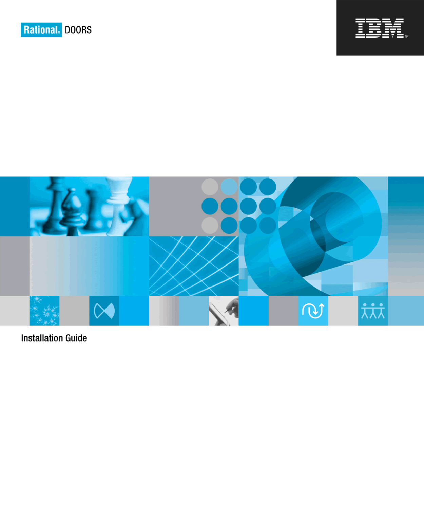





**Installation Guide**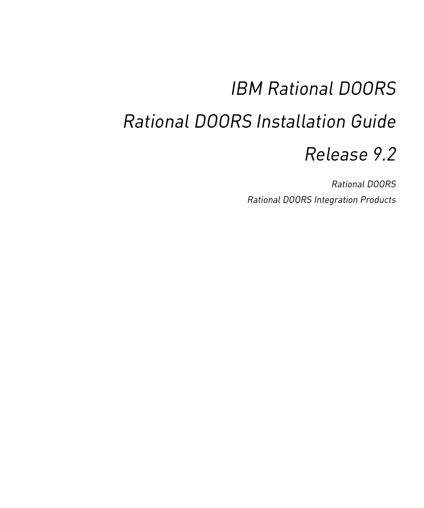# *IBM Rational DOORS*

# *Rational DOORS Installation Guide*

# *Release 9.2*

*Rational DOORS Rational DOORS Integration Products*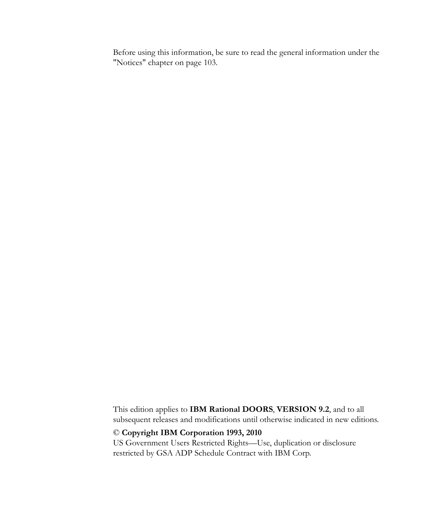Before using this information, be sure to read the general information under the ["Notices" chapter on page 103.](#page-112-0)

This edition applies to **IBM Rational DOORS**, **VERSION 9.2**, and to all subsequent releases and modifications until otherwise indicated in new editions.

#### © **Copyright IBM Corporation 1993, 2010**

US Government Users Restricted Rights—Use, duplication or disclosure restricted by GSA ADP Schedule Contract with IBM Corp.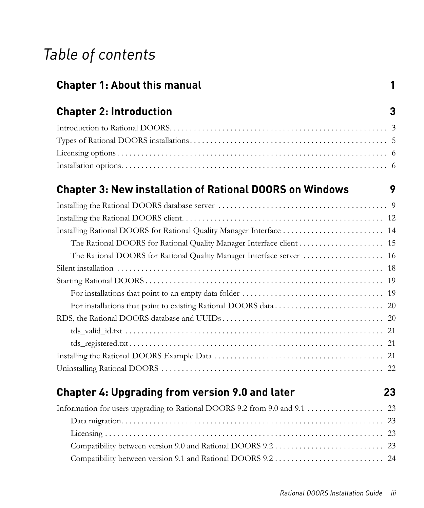# *Table of contents*

| <b>Chapter 1: About this manual</b>                                  | 1  |
|----------------------------------------------------------------------|----|
| <b>Chapter 2: Introduction</b>                                       | 3  |
|                                                                      |    |
|                                                                      |    |
|                                                                      |    |
|                                                                      |    |
| <b>Chapter 3: New installation of Rational DOORS on Windows</b>      | 9  |
|                                                                      |    |
|                                                                      |    |
| Installing Rational DOORS for Rational Quality Manager Interface  14 |    |
| The Rational DOORS for Rational Quality Manager Interface client  15 |    |
| The Rational DOORS for Rational Quality Manager Interface server  16 |    |
|                                                                      |    |
|                                                                      |    |
|                                                                      |    |
|                                                                      |    |
|                                                                      |    |
|                                                                      |    |
|                                                                      |    |
|                                                                      |    |
|                                                                      |    |
| <b>Chapter 4: Upgrading from version 9.0 and later</b>               | 23 |
|                                                                      |    |
|                                                                      |    |
|                                                                      |    |
|                                                                      |    |
|                                                                      |    |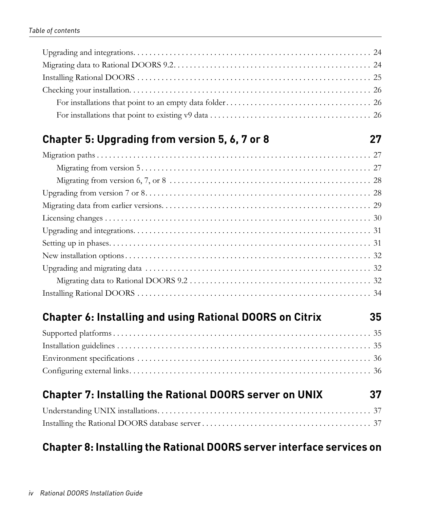## **[Chapter 5: Upgrading from version 5, 6, 7 or 8 27](#page-36-0)**

## **[Chapter 6: Installing and using Rational DOORS on Citrix 35](#page-44-0)**

| <b>Chapter 7: Installing the Rational DOORS server on UNIX</b> | 37 |
|----------------------------------------------------------------|----|
|                                                                |    |
|                                                                |    |

## **[Chapter 8: Installing the Rational DOORS server interface services on](#page-50-0)**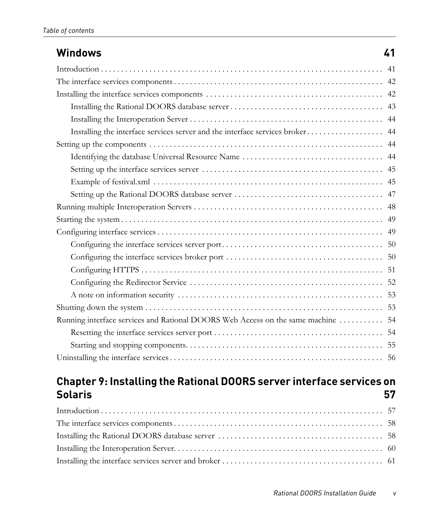## **[Windows 41](#page-50-0)**

| Installing the interface services server and the interface services broker 44    |  |
|----------------------------------------------------------------------------------|--|
|                                                                                  |  |
|                                                                                  |  |
|                                                                                  |  |
|                                                                                  |  |
|                                                                                  |  |
|                                                                                  |  |
|                                                                                  |  |
|                                                                                  |  |
|                                                                                  |  |
|                                                                                  |  |
|                                                                                  |  |
|                                                                                  |  |
|                                                                                  |  |
|                                                                                  |  |
| Running interface services and Rational DOORS Web Access on the same machine  54 |  |
|                                                                                  |  |
|                                                                                  |  |
|                                                                                  |  |

## **[Chapter 9: Installing the Rational DOORS server interface services on](#page-66-0) Solaris 57**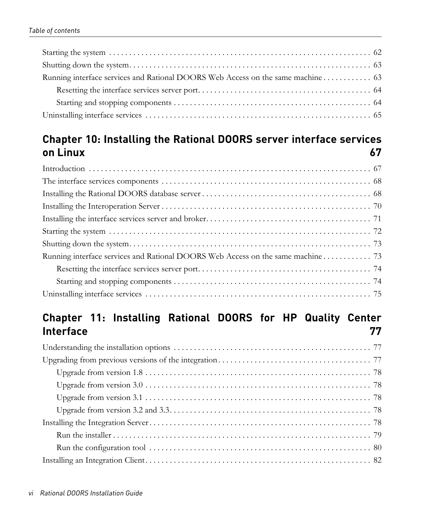## **[Chapter 10: Installing the Rational DOORS server interface services](#page-76-0) on Linux** 67

| Running interface services and Rational DOORS Web Access on the same machine 73 |
|---------------------------------------------------------------------------------|
|                                                                                 |
|                                                                                 |
|                                                                                 |

## **[Chapter 11: Installing Rational DOORS for HP Quality Center](#page-86-0)  Interface 77**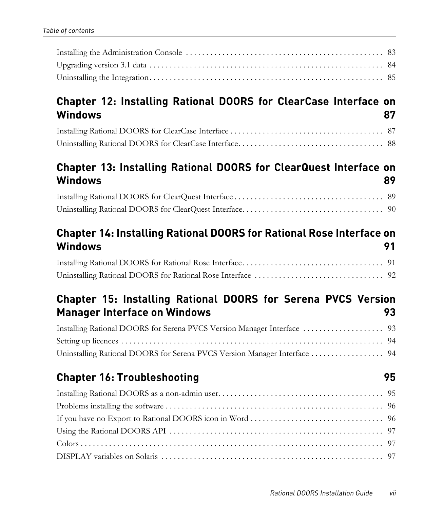## **[Chapter 12: Installing Rational DOORS for ClearCase Interface on](#page-96-0)  Windows 87**

## **[Chapter 13: Installing Rational DOORS for ClearQuest Interface on](#page-98-0) Windows 89**

## **[Chapter 14: Installing Rational DOORS for Rational Rose Interface on](#page-100-0) Windows 91**

## **[Chapter 15: Installing Rational DOORS for Serena PVCS Version](#page-102-0) Manager Interface on Windows 93**

| Uninstalling Rational DOORS for Serena PVCS Version Manager Interface  94 |  |
|---------------------------------------------------------------------------|--|

## **Chapter 16: Troubleshooting 2008 2008 2008 2009 2008 2009 2008 2009 2008 2009 2008 2009 2008 2009 2008 2009 200**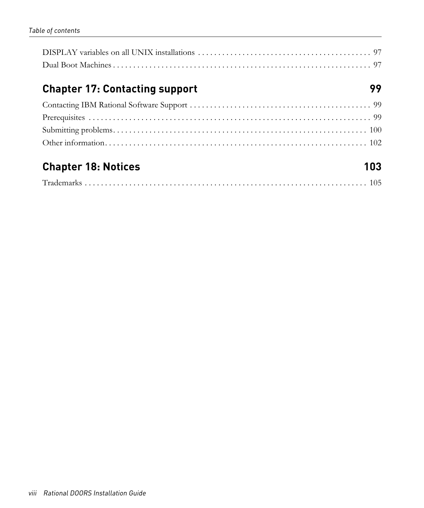| <b>Chapter 17: Contacting support</b> |  |
|---------------------------------------|--|
|                                       |  |

## **Chapter 18: Notices**

| ۰ |                               |
|---|-------------------------------|
|   | ×<br>۰.<br>I<br>$\sim$<br>. . |

| $\sim$ $\sim$ |
|---------------|
|---------------|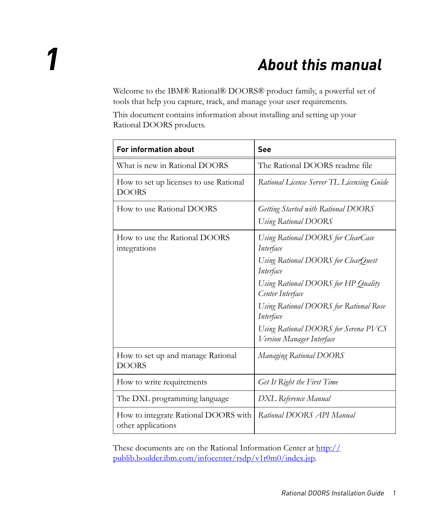# *1 About this manual*

<span id="page-10-0"></span>Welcome to the IBM® Rational® DOORS® product family, a powerful set of tools that help you capture, track, and manage your user requirements.

This document contains information about installing and setting up your Rational DOORS products.

| <b>For information about</b>                               | <b>See</b>                                                         |  |
|------------------------------------------------------------|--------------------------------------------------------------------|--|
| What is new in Rational DOORS                              | The Rational DOORS readme file                                     |  |
| How to set up licenses to use Rational<br><b>DOORS</b>     | Rational License Server TL Licensing Guide                         |  |
| How to use Rational DOORS                                  | Getting Started with Rational DOORS<br><b>Using Rational DOORS</b> |  |
| How to use the Rational DOORS<br>integrations              | Using Rational DOORS for ClearCase<br>Interface                    |  |
|                                                            | Using Rational DOORS for ClearQuest<br>Interface                   |  |
|                                                            | Using Rational DOORS for HP Quality<br>Center Interface            |  |
|                                                            | <b>Using Rational DOORS for Rational Rose</b><br>Interface         |  |
|                                                            | Using Rational DOORS for Serena PVCS<br>Version Manager Interface  |  |
| How to set up and manage Rational<br><b>DOORS</b>          | Managing Rational DOORS                                            |  |
| How to write requirements                                  | Get It Right the First Time                                        |  |
| The DXL programming language                               | <b>DXL</b> Reference Manual                                        |  |
| How to integrate Rational DOORS with<br>other applications | Rational DOORS API Manual                                          |  |

These documents are on the Rational Information Center at http:// publib.boulder.ibm.com/infocenter/rsdp/v1r0m0/index.jsp.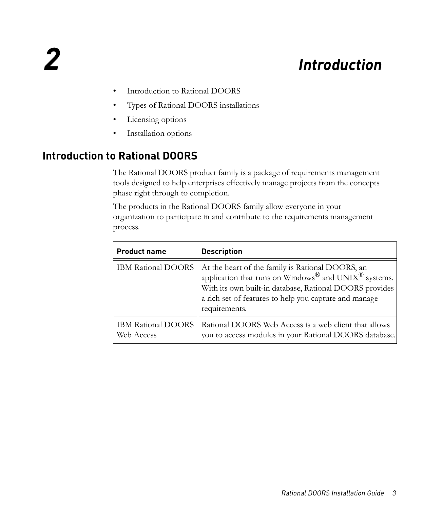# <span id="page-12-0"></span>*2 Introduction*

- [Introduction to Rational DOORS](#page-12-1)
- [Types of Rational DOORS installations](#page-14-0)
- [Licensing options](#page-15-0)
- [Installation options](#page-15-1)

## <span id="page-12-1"></span>**Introduction to Rational DOORS**

The Rational DOORS product family is a package of requirements management tools designed to help enterprises effectively manage projects from the concepts phase right through to completion.

The products in the Rational DOORS family allow everyone in your organization to participate in and contribute to the requirements management process.

| <b>Product name</b>                     | <b>Description</b>                                                                                                                                                                                                                            |
|-----------------------------------------|-----------------------------------------------------------------------------------------------------------------------------------------------------------------------------------------------------------------------------------------------|
| <b>IBM Rational DOORS</b>               | At the heart of the family is Rational DOORS, an<br>application that runs on Windows® and UNIX® systems.<br>With its own built-in database, Rational DOORS provides<br>a rich set of features to help you capture and manage<br>requirements. |
| <b>IBM Rational DOORS</b><br>Web Access | Rational DOORS Web Access is a web client that allows<br>you to access modules in your Rational DOORS database.                                                                                                                               |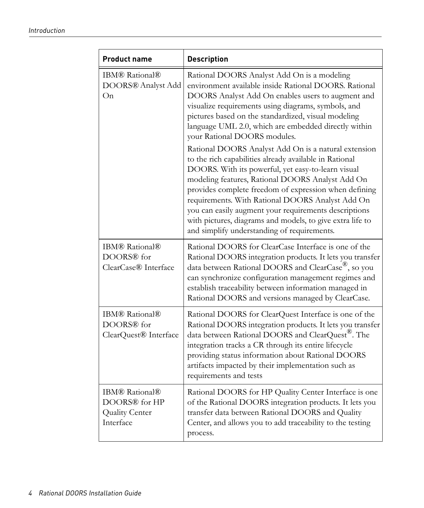| <b>Product name</b>                                                   | <b>Description</b>                                                                                                                                                                                                                                                                                                                                                                                                                                                                                                                                                                                                                                                                                                                                                                                                                                                            |
|-----------------------------------------------------------------------|-------------------------------------------------------------------------------------------------------------------------------------------------------------------------------------------------------------------------------------------------------------------------------------------------------------------------------------------------------------------------------------------------------------------------------------------------------------------------------------------------------------------------------------------------------------------------------------------------------------------------------------------------------------------------------------------------------------------------------------------------------------------------------------------------------------------------------------------------------------------------------|
| <b>IBM®</b> Rational®<br>DOORS® Analyst Add<br>On                     | Rational DOORS Analyst Add On is a modeling<br>environment available inside Rational DOORS. Rational<br>DOORS Analyst Add On enables users to augment and<br>visualize requirements using diagrams, symbols, and<br>pictures based on the standardized, visual modeling<br>language UML 2.0, which are embedded directly within<br>your Rational DOORS modules.<br>Rational DOORS Analyst Add On is a natural extension<br>to the rich capabilities already available in Rational<br>DOORS. With its powerful, yet easy-to-learn visual<br>modeling features, Rational DOORS Analyst Add On<br>provides complete freedom of expression when defining<br>requirements. With Rational DOORS Analyst Add On<br>you can easily augment your requirements descriptions<br>with pictures, diagrams and models, to give extra life to<br>and simplify understanding of requirements. |
| <b>IBM®</b> Rational®<br>DOORS® for<br>ClearCase® Interface           | Rational DOORS for ClearCase Interface is one of the<br>Rational DOORS integration products. It lets you transfer<br>data between Rational DOORS and ClearCase®, so you<br>can synchronize configuration management regimes and<br>establish traceability between information managed in<br>Rational DOORS and versions managed by ClearCase.                                                                                                                                                                                                                                                                                                                                                                                                                                                                                                                                 |
| <b>IBM®</b> Rational®<br>DOORS® for<br>ClearQuest® Interface          | Rational DOORS for ClearQuest Interface is one of the<br>Rational DOORS integration products. It lets you transfer<br>data between Rational DOORS and ClearQuest®. The<br>integration tracks a CR through its entire lifecycle<br>providing status information about Rational DOORS<br>artifacts impacted by their implementation such as<br>requirements and tests                                                                                                                                                                                                                                                                                                                                                                                                                                                                                                           |
| IBM® Rational®<br>DOORS® for HP<br><b>Quality Center</b><br>Interface | Rational DOORS for HP Quality Center Interface is one<br>of the Rational DOORS integration products. It lets you<br>transfer data between Rational DOORS and Quality<br>Center, and allows you to add traceability to the testing<br>process.                                                                                                                                                                                                                                                                                                                                                                                                                                                                                                                                                                                                                                 |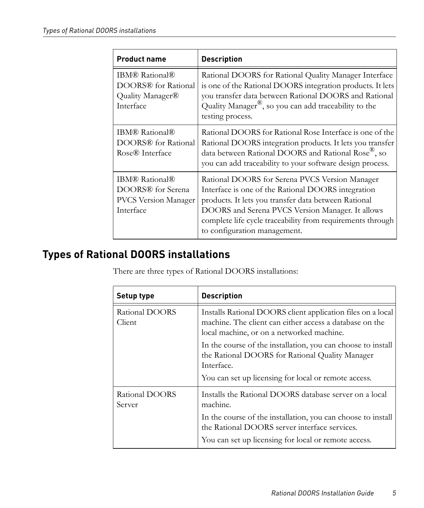| <b>Product name</b>                                                                       | <b>Description</b>                                                                                                                                                                                                                                                                                             |
|-------------------------------------------------------------------------------------------|----------------------------------------------------------------------------------------------------------------------------------------------------------------------------------------------------------------------------------------------------------------------------------------------------------------|
| <b>IBM®</b> Rational®<br>DOORS <sup>®</sup> for Rational<br>Quality Manager®<br>Interface | Rational DOORS for Rational Quality Manager Interface<br>is one of the Rational DOORS integration products. It lets<br>you transfer data between Rational DOORS and Rational<br>Quality Manager <sup>®</sup> , so you can add traceability to the<br>testing process.                                          |
| <b>IBM®</b> Rational®<br>DOORS® for Rational<br>Rose® Interface                           | Rational DOORS for Rational Rose Interface is one of the<br>Rational DOORS integration products. It lets you transfer<br>data between Rational DOORS and Rational Rose <sup>®</sup> , so<br>you can add traceability to your software design process.                                                          |
| <b>IBM®</b> Rational®<br>DOORS® for Serena<br><b>PVCS Version Manager</b><br>Interface    | Rational DOORS for Serena PVCS Version Manager<br>Interface is one of the Rational DOORS integration<br>products. It lets you transfer data between Rational<br>DOORS and Serena PVCS Version Manager. It allows<br>complete life cycle traceability from requirements through<br>to configuration management. |

## <span id="page-14-0"></span>**Types of Rational DOORS installations**

There are three types of Rational DOORS installations:

| Setup type               | <b>Description</b>                                                                                                                                                  |
|--------------------------|---------------------------------------------------------------------------------------------------------------------------------------------------------------------|
| Rational DOORS<br>Client | Installs Rational DOORS client application files on a local<br>machine. The client can either access a database on the<br>local machine, or on a networked machine. |
|                          | In the course of the installation, you can choose to install<br>the Rational DOORS for Rational Quality Manager<br>Interface.                                       |
|                          | You can set up licensing for local or remote access.                                                                                                                |
| Rational DOORS<br>Server | Installs the Rational DOORS database server on a local<br>machine.                                                                                                  |
|                          | In the course of the installation, you can choose to install<br>the Rational DOORS server interface services.                                                       |
|                          | You can set up licensing for local or remote access.                                                                                                                |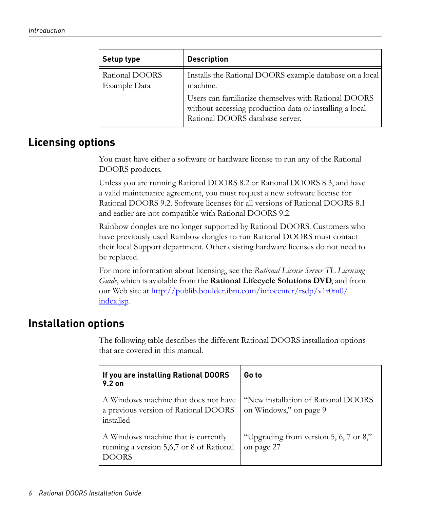| Setup type                     | <b>Description</b>                                                                                                                                 |
|--------------------------------|----------------------------------------------------------------------------------------------------------------------------------------------------|
| Rational DOORS<br>Example Data | Installs the Rational DOORS example database on a local<br>machine.                                                                                |
|                                | Users can familiarize themselves with Rational DOORS<br>without accessing production data or installing a local<br>Rational DOORS database server. |

## <span id="page-15-0"></span>**Licensing options**

You must have either a software or hardware license to run any of the Rational DOORS products.

Unless you are running Rational DOORS 8.2 or Rational DOORS 8.3, and have a valid maintenance agreement, you must request a new software license for Rational DOORS 9.2. Software licenses for all versions of Rational DOORS 8.1 and earlier are not compatible with Rational DOORS 9.2.

Rainbow dongles are no longer supported by Rational DOORS. Customers who have previously used Rainbow dongles to run Rational DOORS must contact their local Support department. Other existing hardware licenses do not need to be replaced.

For more information about licensing, see the *Rational License Server TL Licensing Guide*, which is available from the **Rational Lifecycle Solutions DVD**, and from our Web site at http://publib.boulder.ibm.com/infocenter/rsdp/v1r0m0/ index.jsp.

## <span id="page-15-1"></span>**Installation options**

The following table describes the different Rational DOORS installation options that are covered in this manual.

| If you are installing Rational DOORS<br>$9.2$ on                                          | Go to                                                         |  |
|-------------------------------------------------------------------------------------------|---------------------------------------------------------------|--|
| A Windows machine that does not have<br>a previous version of Rational DOORS<br>installed | "New installation of Rational DOORS<br>on Windows," on page 9 |  |
| A Windows machine that is currently<br>running a version 5,6,7 or 8 of Rational<br>DOORS  | "Upgrading from version 5, 6, 7 or 8,"<br>on page 27          |  |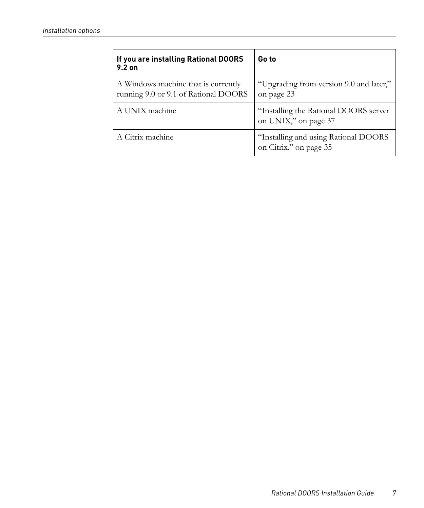| If you are installing Rational DOORS<br>$9.2$ on                            | Go to                                                          |
|-----------------------------------------------------------------------------|----------------------------------------------------------------|
| A Windows machine that is currently<br>running 9.0 or 9.1 of Rational DOORS | "Upgrading from version 9.0 and later,"<br>on page 23          |
| A UNIX machine                                                              | "Installing the Rational DOORS server<br>on UNIX," on page 37  |
| A Citrix machine                                                            | "Installing and using Rational DOORS<br>on Citrix," on page 35 |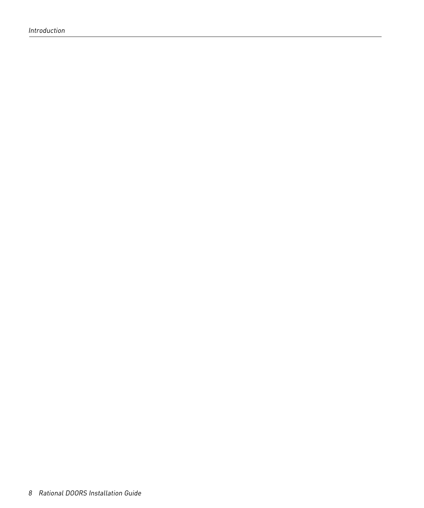*Introduction*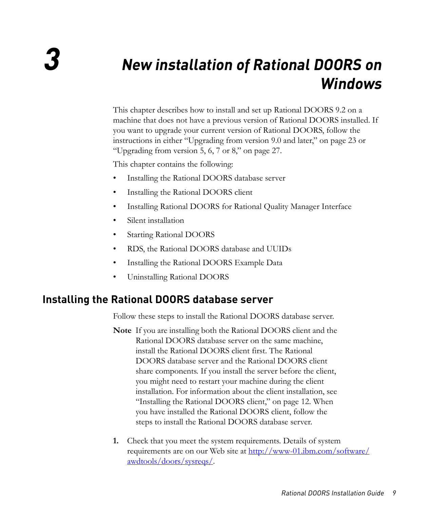## <span id="page-18-2"></span><span id="page-18-0"></span>*3 New installation of Rational DOORS on Windows*

This chapter describes how to install and set up Rational DOORS 9.2 on a machine that does not have a previous version of Rational DOORS installed. If you want to upgrade your current version of Rational DOORS, follow the instructions in either ["Upgrading from version 9.0 and later," on page 23](#page-32-5) or ["Upgrading from version 5, 6, 7 or 8," on page 27.](#page-36-3)

This chapter contains the following:

- [Installing the Rational DOORS database server](#page-18-1)
- [Installing the Rational DOORS client](#page-21-0)
- [Installing Rational DOORS for Rational Quality Manager Interface](#page-23-0)
- [Silent installation](#page-27-0)
- [Starting Rational DOORS](#page-28-0)
- [RDS, the Rational DOORS database and UUIDs](#page-29-1)
- [Installing the Rational DOORS Example Data](#page-30-2)
- [Uninstalling Rational DOORS](#page-31-0)

## <span id="page-18-1"></span>**Installing the Rational DOORS database server**

Follow these steps to install the Rational DOORS database server.

- **Note** If you are installing both the Rational DOORS client and the Rational DOORS database server on the same machine, install the Rational DOORS client first. The Rational DOORS database server and the Rational DOORS client share components. If you install the server before the client, you might need to restart your machine during the client installation. For information about the client installation, see ["Installing the Rational DOORS client," on page 12.](#page-21-0) When you have installed the Rational DOORS client, follow the steps to install the Rational DOORS database server.
- **1.** Check that you meet the system requirements. Details of system requirements are on our Web site at http://www-01.ibm.com/software/ awdtools/doors/sysreqs/.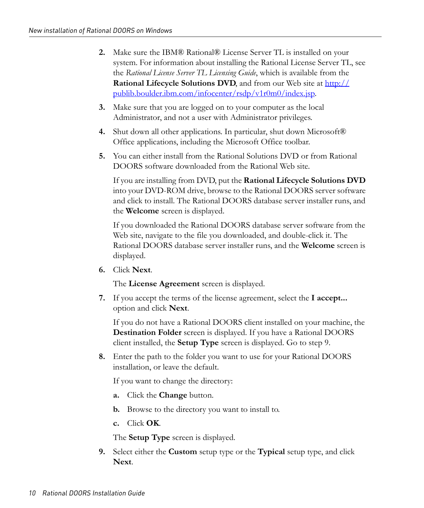- **2.** Make sure the IBM® Rational® License Server TL is installed on your system. For information about installing the Rational License Server TL, see the *Rational License Server TL Licensing Guide*, which is available from the **Rational Lifecycle Solutions DVD**, and from our Web site at **http://** publib.boulder.ibm.com/infocenter/rsdp/v1r0m0/index.jsp.
- **3.** Make sure that you are logged on to your computer as the local Administrator, and not a user with Administrator privileges.
- **4.** Shut down all other applications. In particular, shut down Microsoft® Office applications, including the Microsoft Office toolbar.
- **5.** You can either install from the Rational Solutions DVD or from Rational DOORS software downloaded from the Rational Web site.

If you are installing from DVD, put the **Rational Lifecycle Solutions DVD**  into your DVD-ROM drive, browse to the Rational DOORS server software and click to install. The Rational DOORS database server installer runs, and the **Welcome** screen is displayed.

If you downloaded the Rational DOORS database server software from the Web site, navigate to the file you downloaded, and double-click it. The Rational DOORS database server installer runs, and the **Welcome** screen is displayed.

**6.** Click **Next**.

The **License Agreement** screen is displayed.

**7.** If you accept the terms of the license agreement, select the **I accept...** option and click **Next**.

If you do not have a Rational DOORS client installed on your machine, the **Destination Folder** screen is displayed. If you have a Rational DOORS client installed, the **Setup Type** screen is displayed. Go to [step 9](#page-19-0).

**8.** Enter the path to the folder you want to use for your Rational DOORS installation, or leave the default.

If you want to change the directory:

- **a.** Click the **Change** button.
- **b.** Browse to the directory you want to install to.
- **c.** Click **OK**.

The **Setup Type** screen is displayed.

<span id="page-19-0"></span>**9.** Select either the **Custom** setup type or the **Typical** setup type, and click **Next**.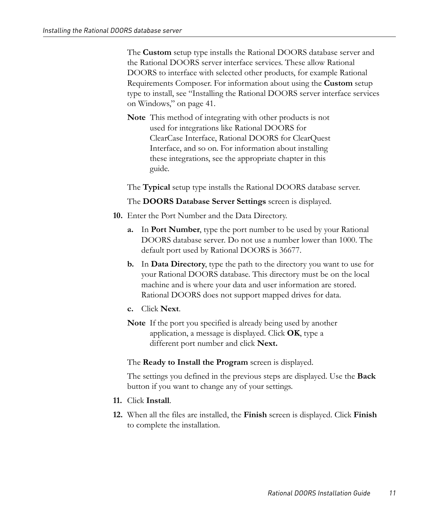The **Custom** setup type installs the Rational DOORS database server and the Rational DOORS server interface services. These allow Rational DOORS to interface with selected other products, for example Rational Requirements Composer. For information about using the **Custom** setup type to install, see ["Installing the Rational DOORS server interface services](#page-50-2)  [on Windows," on page 41](#page-50-2).

**Note** This method of integrating with other products is not used for integrations like Rational DOORS for ClearCase Interface, Rational DOORS for ClearQuest Interface, and so on. For information about installing these integrations, see the appropriate chapter in this guide.

The **Typical** setup type installs the Rational DOORS database server.

#### The **DOORS Database Server Settings** screen is displayed.

- **10.** Enter the Port Number and the Data Directory.
	- **a.** In **Port Number**, type the port number to be used by your Rational DOORS database server. Do not use a number lower than 1000. The default port used by Rational DOORS is 36677.
	- **b.** In **Data Directory**, type the path to the directory you want to use for your Rational DOORS database. This directory must be on the local machine and is where your data and user information are stored. Rational DOORS does not support mapped drives for data.
	- **c.** Click **Next**.
	- **Note** If the port you specified is already being used by another application, a message is displayed. Click **OK**, type a different port number and click **Next.**

#### The **Ready to Install the Program** screen is displayed.

The settings you defined in the previous steps are displayed. Use the **Back** button if you want to change any of your settings.

- **11.** Click **Install**.
- **12.** When all the files are installed, the **Finish** screen is displayed. Click **Finish** to complete the installation.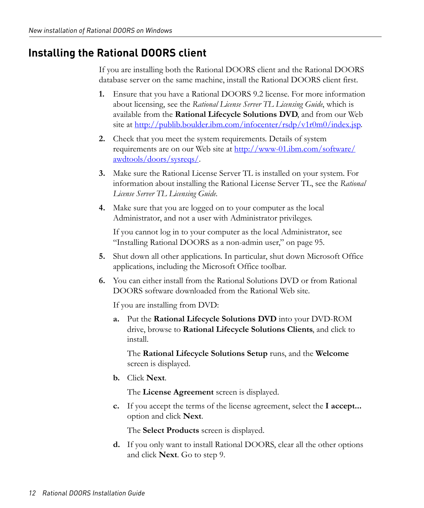## <span id="page-21-1"></span><span id="page-21-0"></span>**Installing the Rational DOORS client**

If you are installing both the Rational DOORS client and the Rational DOORS database server on the same machine, install the Rational DOORS client first.

- **1.** Ensure that you have a Rational DOORS 9.2 license. For more information about licensing, see the *Rational License Server TL Licensing Guide*, which is available from the **Rational Lifecycle Solutions DVD**, and from our Web site at http://publib.boulder.ibm.com/infocenter/rsdp/v1r0m0/index.jsp.
- **2.** Check that you meet the system requirements. Details of system requirements are on our Web site at http://www-01.ibm.com/software/ awdtools/doors/sysreqs/.
- **3.** Make sure the Rational License Server TL is installed on your system. For information about installing the Rational License Server TL, see the *Rational License Server TL Licensing Guide*.
- **4.** Make sure that you are logged on to your computer as the local Administrator, and not a user with Administrator privileges.

If you cannot log in to your computer as the local Administrator, see ["Installing Rational DOORS as a non-admin user," on page 95](#page-104-2).

- **5.** Shut down all other applications. In particular, shut down Microsoft Office applications, including the Microsoft Office toolbar.
- **6.** You can either install from the Rational Solutions DVD or from Rational DOORS software downloaded from the Rational Web site.

If you are installing from DVD:

**a.** Put the **Rational Lifecycle Solutions DVD** into your DVD-ROM drive, browse to **Rational Lifecycle Solutions Clients**, and click to install.

The **Rational Lifecycle Solutions Setup** runs, and the **Welcome** screen is displayed.

**b.** Click **Next**.

The **License Agreement** screen is displayed.

**c.** If you accept the terms of the license agreement, select the **I accept...** option and click **Next**.

The **Select Products** screen is displayed.

**d.** If you only want to install Rational DOORS, clear all the other options and click **Next**. Go to [step 9.](#page-22-0)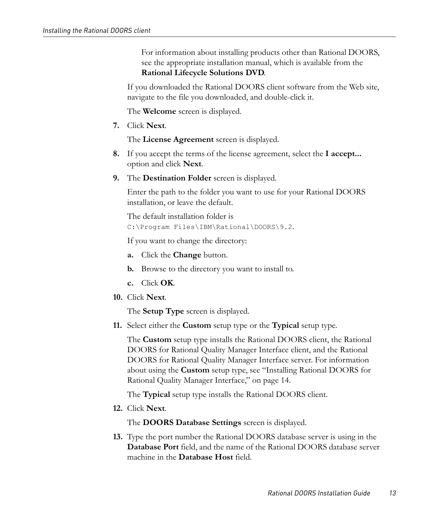For information about installing products other than Rational DOORS, see the appropriate installation manual, which is available from the **Rational Lifecycle Solutions DVD**.

If you downloaded the Rational DOORS client software from the Web site, navigate to the file you downloaded, and double-click it.

The **Welcome** screen is displayed.

**7.** Click **Next**.

The **License Agreement** screen is displayed.

- **8.** If you accept the terms of the license agreement, select the **I accept...** option and click **Next**.
- <span id="page-22-0"></span>**9.** The **Destination Folder** screen is displayed.

Enter the path to the folder you want to use for your Rational DOORS installation, or leave the default.

The default installation folder is

C:\Program Files\IBM\Rational\DOORS\9.2.

If you want to change the directory:

- **a.** Click the **Change** button.
- **b.** Browse to the directory you want to install to.
- **c.** Click **OK**.
- <span id="page-22-1"></span>**10.** Click **Next**.

The **Setup Type** screen is displayed.

**11.** Select either the **Custom** setup type or the **Typical** setup type.

The **Custom** setup type installs the Rational DOORS client, the Rational DOORS for Rational Quality Manager Interface client, and the Rational DOORS for Rational Quality Manager Interface server. For information about using the **Custom** setup type, see ["Installing Rational DOORS for](#page-23-0)  [Rational Quality Manager Interface," on page 14.](#page-23-0)

The **Typical** setup type installs the Rational DOORS client.

**12.** Click **Next**.

The **DOORS Database Settings** screen is displayed.

**13.** Type the port number the Rational DOORS database server is using in the **Database Port** field, and the name of the Rational DOORS database server machine in the **Database Host** field.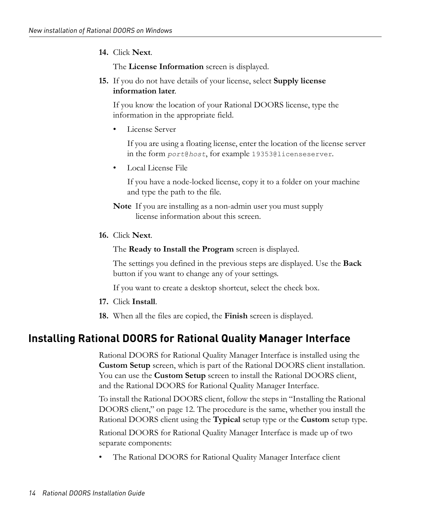#### **14.** Click **Next**.

The **License Information** screen is displayed.

**15.** If you do not have details of your license, select **Supply license information later**.

If you know the location of your Rational DOORS license, type the information in the appropriate field.

• License Server

If you are using a floating license, enter the location of the license server in the form *port*@*host*, for example 19353@licenseserver.

• Local License File

If you have a node-locked license, copy it to a folder on your machine and type the path to the file.

**Note** If you are installing as a non-admin user you must supply license information about this screen.

#### **16.** Click **Next**.

The **Ready to Install the Program** screen is displayed.

The settings you defined in the previous steps are displayed. Use the **Back** button if you want to change any of your settings.

If you want to create a desktop shortcut, select the check box.

**17.** Click **Install**.

**18.** When all the files are copied, the **Finish** screen is displayed.

#### <span id="page-23-0"></span>**Installing Rational DOORS for Rational Quality Manager Interface**

Rational DOORS for Rational Quality Manager Interface is installed using the **Custom Setup** screen, which is part of the Rational DOORS client installation. You can use the **Custom Setup** screen to install the Rational DOORS client, and the Rational DOORS for Rational Quality Manager Interface.

To install the Rational DOORS client, follow the steps in ["Installing the Rational](#page-21-0)  [DOORS client," on page 12.](#page-21-0) The procedure is the same, whether you install the Rational DOORS client using the **Typical** setup type or the **Custom** setup type.

Rational DOORS for Rational Quality Manager Interface is made up of two separate components:

• [The Rational DOORS for Rational Quality Manager Interface client](#page-24-0)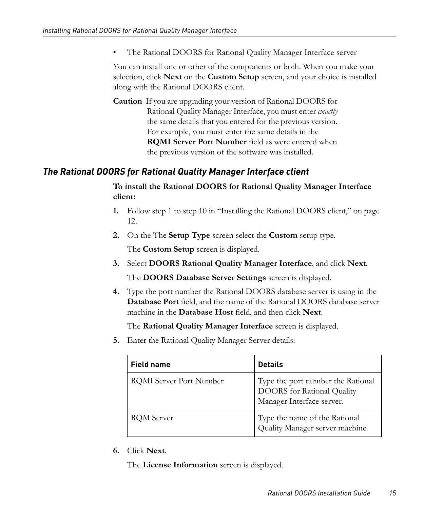• [The Rational DOORS for Rational Quality Manager Interface server](#page-25-0)

You can install one or other of the components or both. When you make your selection, click **Next** on the **Custom Setup** screen, and your choice is installed along with the Rational DOORS client.

**Caution** If you are upgrading your version of Rational DOORS for Rational Quality Manager Interface, you must enter *exactly* the same details that you entered for the previous version. For example, you must enter the same details in the **RQMI Server Port Number** field as were entered when the previous version of the software was installed.

#### <span id="page-24-0"></span>*The Rational DOORS for Rational Quality Manager Interface client*

#### **To install the Rational DOORS for Rational Quality Manager Interface client:**

- **1.** Follow [step 1](#page-21-1) to [step 10](#page-22-1) in ["Installing the Rational DOORS client," on page](#page-21-0)  [12](#page-21-0).
- **2.** On the The **Setup Type** screen select the **Custom** setup type.

The **Custom Setup** screen is displayed.

**3.** Select **DOORS Rational Quality Manager Interface**, and click **Next**.

The **DOORS Database Server Settings** screen is displayed.

**4.** Type the port number the Rational DOORS database server is using in the **Database Port** field, and the name of the Rational DOORS database server machine in the **Database Host** field, and then click **Next**.

The **Rational Quality Manager Interface** screen is displayed.

**5.** Enter the Rational Quality Manager Server details:

| <b>Field name</b>       | <b>Details</b>                                                                               |
|-------------------------|----------------------------------------------------------------------------------------------|
| RQMI Server Port Number | Type the port number the Rational<br>DOORS for Rational Quality<br>Manager Interface server. |
| <b>RQM</b> Server       | Type the name of the Rational<br>Quality Manager server machine.                             |

**6.** Click **Next**.

The **License Information** screen is displayed.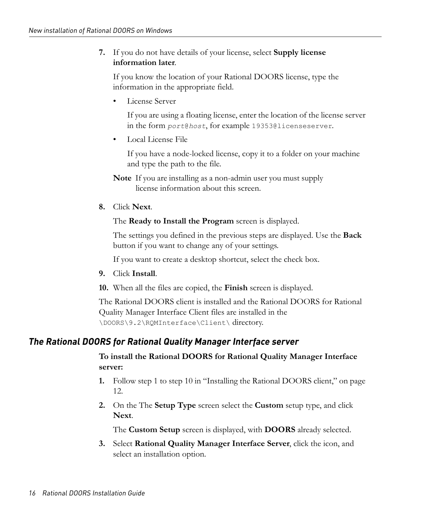**7.** If you do not have details of your license, select **Supply license information later**.

If you know the location of your Rational DOORS license, type the information in the appropriate field.

• License Server

If you are using a floating license, enter the location of the license server in the form *port*@*host*, for example 19353@licenseserver.

• Local License File

If you have a node-locked license, copy it to a folder on your machine and type the path to the file.

**Note** If you are installing as a non-admin user you must supply license information about this screen.

**8.** Click **Next**.

The **Ready to Install the Program** screen is displayed.

The settings you defined in the previous steps are displayed. Use the **Back** button if you want to change any of your settings.

If you want to create a desktop shortcut, select the check box.

**9.** Click **Install**.

**10.** When all the files are copied, the **Finish** screen is displayed.

The Rational DOORS client is installed and the Rational DOORS for Rational Quality Manager Interface Client files are installed in the \DOORS\9.2\RQMInterface\Client\ directory.

#### <span id="page-25-0"></span>*The Rational DOORS for Rational Quality Manager Interface server*

**To install the Rational DOORS for Rational Quality Manager Interface server:**

- **1.** Follow [step 1](#page-21-1) to [step 10](#page-22-1) in ["Installing the Rational DOORS client," on page](#page-21-0)  [12](#page-21-0).
- **2.** On the The **Setup Type** screen select the **Custom** setup type, and click **Next**.

The **Custom Setup** screen is displayed, with **DOORS** already selected.

**3.** Select **Rational Quality Manager Interface Server**, click the icon, and select an installation option.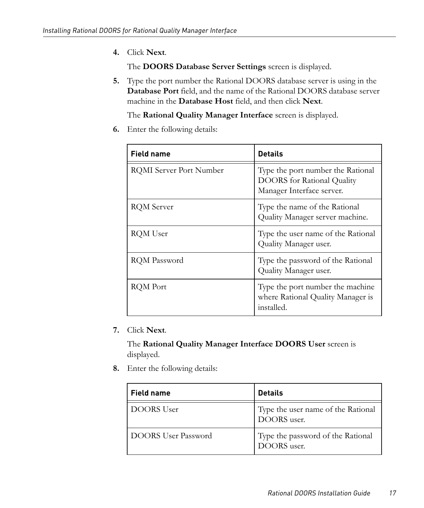**4.** Click **Next**.

The **DOORS Database Server Settings** screen is displayed.

**5.** Type the port number the Rational DOORS database server is using in the **Database Port** field, and the name of the Rational DOORS database server machine in the **Database Host** field, and then click **Next**.

The **Rational Quality Manager Interface** screen is displayed.

**6.** Enter the following details:

| <b>Field name</b>              | <b>Details</b>                                                                                      |
|--------------------------------|-----------------------------------------------------------------------------------------------------|
| <b>RQMI</b> Server Port Number | Type the port number the Rational<br><b>DOORS</b> for Rational Quality<br>Manager Interface server. |
| <b>RQM</b> Server              | Type the name of the Rational<br>Quality Manager server machine.                                    |
| <b>RQM</b> User                | Type the user name of the Rational<br>Quality Manager user.                                         |
| <b>RQM</b> Password            | Type the password of the Rational<br>Quality Manager user.                                          |
| RQM Port                       | Type the port number the machine<br>where Rational Quality Manager is<br>installed.                 |

**7.** Click **Next**.

The **Rational Quality Manager Interface DOORS User** screen is displayed.

**8.** Enter the following details:

| <b>Field name</b>          | <b>Details</b>                                    |
|----------------------------|---------------------------------------------------|
| DOORS User                 | Type the user name of the Rational<br>DOORS user. |
| <b>DOORS</b> User Password | Type the password of the Rational<br>DOORS user.  |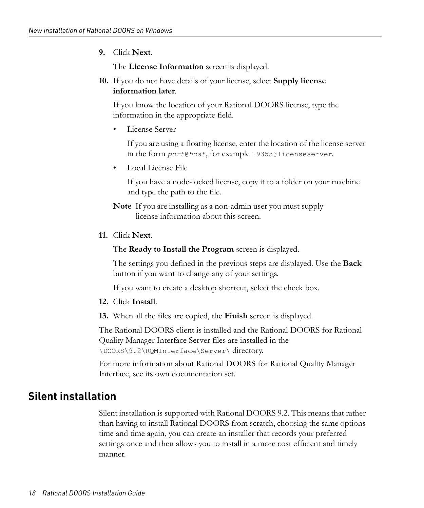#### **9.** Click **Next**.

The **License Information** screen is displayed.

**10.** If you do not have details of your license, select **Supply license information later**.

If you know the location of your Rational DOORS license, type the information in the appropriate field.

• License Server

If you are using a floating license, enter the location of the license server in the form *port*@*host*, for example 19353@licenseserver.

• Local License File

If you have a node-locked license, copy it to a folder on your machine and type the path to the file.

**Note** If you are installing as a non-admin user you must supply license information about this screen.

#### **11.** Click **Next**.

The **Ready to Install the Program** screen is displayed.

The settings you defined in the previous steps are displayed. Use the **Back** button if you want to change any of your settings.

If you want to create a desktop shortcut, select the check box.

**12.** Click **Install**.

**13.** When all the files are copied, the **Finish** screen is displayed.

The Rational DOORS client is installed and the Rational DOORS for Rational Quality Manager Interface Server files are installed in the \DOORS\9.2\RQMInterface\Server\ directory.

For more information about Rational DOORS for Rational Quality Manager Interface, see its own documentation set.

## <span id="page-27-0"></span>**Silent installation**

Silent installation is supported with Rational DOORS 9.2. This means that rather than having to install Rational DOORS from scratch, choosing the same options time and time again, you can create an installer that records your preferred settings once and then allows you to install in a more cost efficient and timely manner.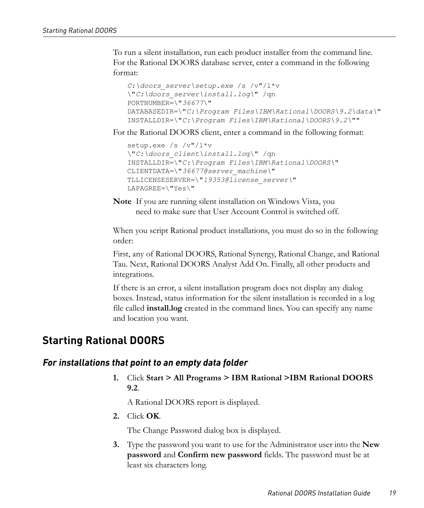To run a silent installation, run each product installer from the command line. For the Rational DOORS database server, enter a command in the following format:

```
C:\doors_server\setup.exe /s /v"/l*v 
\"C:\doors_server\install.log\" /qn
PORTNUMBER=\"36677\"
DATABASEDIR=\"C:\Program Files\IBM\Rational\DOORS\9.2\data\" 
INSTALLDIR=\"C:\Program Files\IBM\Rational\DOORS\9.2\""
```
For the Rational DOORS client, enter a command in the following format:

```
setup.exe /s /v"/l*v 
\"C:\doors_client\install.log\" /qn
INSTALLDIR=\"C:\Program Files\IBM\Rational\DOORS\" 
CLIENTDATA=\"36677@server_machine\"
TLLICENSESERVER=\"19353@license_server\"
LAPAGREE=\"Yes\"
```
**Note** If you are running silent installation on Windows Vista, you need to make sure that User Account Control is switched off.

When you script Rational product installations, you must do so in the following order:

First, any of Rational DOORS, Rational Synergy, Rational Change, and Rational Tau. Next, Rational DOORS Analyst Add On. Finally, all other products and integrations.

If there is an error, a silent installation program does not display any dialog boxes. Instead, status information for the silent installation is recorded in a log file called **install.log** created in the command lines. You can specify any name and location you want.

## <span id="page-28-0"></span>**Starting Rational DOORS**

#### <span id="page-28-1"></span>*For installations that point to an empty data folder*

**1.** Click **Start > All Programs > IBM Rational >IBM Rational DOORS 9.2**.

A Rational DOORS report is displayed.

**2.** Click **OK**.

The Change Password dialog box is displayed.

**3.** Type the password you want to use for the Administrator user into the **New password** and **Confirm new password** fields. The password must be at least six characters long.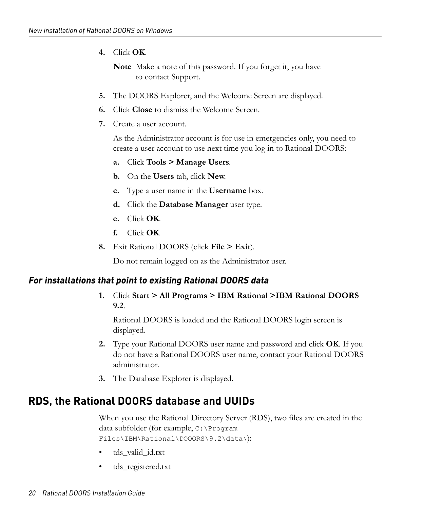#### **4.** Click **OK**.

**Note** Make a note of this password. If you forget it, you have to contact Support.

- **5.** The DOORS Explorer, and the Welcome Screen are displayed.
- **6.** Click **Close** to dismiss the Welcome Screen.
- **7.** Create a user account.

As the Administrator account is for use in emergencies only, you need to create a user account to use next time you log in to Rational DOORS:

- **a.** Click **Tools > Manage Users**.
- **b.** On the **Users** tab, click **New**.
- **c.** Type a user name in the **Username** box.
- **d.** Click the **Database Manager** user type.
- **e.** Click **OK**.
- **f.** Click **OK**.
- **8.** Exit Rational DOORS (click **File > Exit**).

Do not remain logged on as the Administrator user.

#### <span id="page-29-0"></span>*For installations that point to existing Rational DOORS data*

**1.** Click **Start > All Programs > IBM Rational >IBM Rational DOORS 9.2**.

Rational DOORS is loaded and the Rational DOORS login screen is displayed.

- **2.** Type your Rational DOORS user name and password and click **OK**. If you do not have a Rational DOORS user name, contact your Rational DOORS administrator.
- **3.** The Database Explorer is displayed.

## <span id="page-29-1"></span>**RDS, the Rational DOORS database and UUIDs**

When you use the Rational Directory Server (RDS), two files are created in the data subfolder (for example, C:\Program Files\IBM\Rational\DOOORS\9.2\data\):

- tds\_valid\_id.txt
- tds\_registered.txt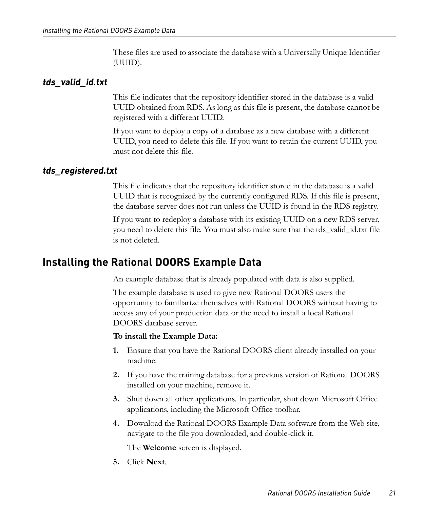These files are used to associate the database with a Universally Unique Identifier (UUID).

#### <span id="page-30-0"></span>*tds\_valid\_id.txt*

This file indicates that the repository identifier stored in the database is a valid UUID obtained from RDS. As long as this file is present, the database cannot be registered with a different UUID.

If you want to deploy a copy of a database as a new database with a different UUID, you need to delete this file. If you want to retain the current UUID, you must not delete this file.

#### <span id="page-30-1"></span>*tds\_registered.txt*

This file indicates that the repository identifier stored in the database is a valid UUID that is recognized by the currently configured RDS. If this file is present, the database server does not run unless the UUID is found in the RDS registry.

If you want to redeploy a database with its existing UUID on a new RDS server, you need to delete this file. You must also make sure that the tds\_valid\_id.txt file is not deleted.

#### <span id="page-30-2"></span>**Installing the Rational DOORS Example Data**

An example database that is already populated with data is also supplied.

The example database is used to give new Rational DOORS users the opportunity to familiarize themselves with Rational DOORS without having to access any of your production data or the need to install a local Rational DOORS database server.

#### **To install the Example Data:**

- **1.** Ensure that you have the Rational DOORS client already installed on your machine.
- **2.** If you have the training database for a previous version of Rational DOORS installed on your machine, remove it.
- **3.** Shut down all other applications. In particular, shut down Microsoft Office applications, including the Microsoft Office toolbar.
- **4.** Download the Rational DOORS Example Data software from the Web site, navigate to the file you downloaded, and double-click it.

The **Welcome** screen is displayed.

**5.** Click **Next**.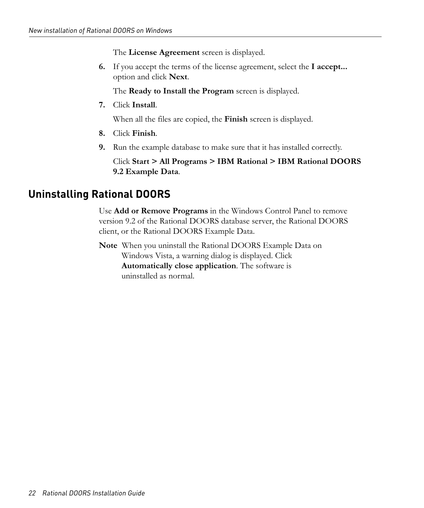The **License Agreement** screen is displayed.

**6.** If you accept the terms of the license agreement, select the **I accept...** option and click **Next**.

The **Ready to Install the Program** screen is displayed.

**7.** Click **Install**.

When all the files are copied, the **Finish** screen is displayed.

- **8.** Click **Finish**.
- **9.** Run the example database to make sure that it has installed correctly.

Click **Start > All Programs > IBM Rational > IBM Rational DOORS 9.2 Example Data**.

## <span id="page-31-0"></span>**Uninstalling Rational DOORS**

Use **Add or Remove Programs** in the Windows Control Panel to remove version 9.2 of the Rational DOORS database server, the Rational DOORS client, or the Rational DOORS Example Data.

**Note** When you uninstall the Rational DOORS Example Data on Windows Vista, a warning dialog is displayed. Click **Automatically close application**. The software is uninstalled as normal.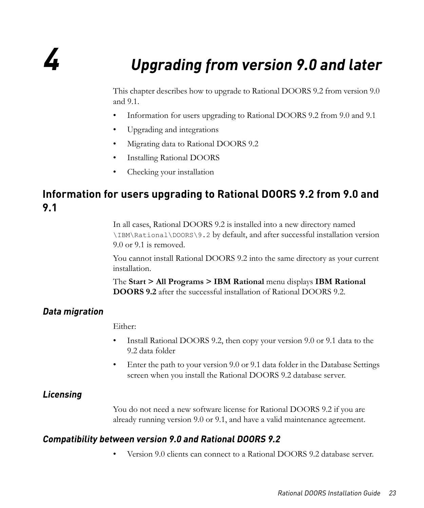# <span id="page-32-0"></span>*4 Upgrading from version 9.0 and later*

<span id="page-32-5"></span>This chapter describes how to upgrade to Rational DOORS 9.2 from version 9.0 and 9.1.

- [Information for users upgrading to Rational DOORS 9.2 from 9.0 and 9.1](#page-32-1)
- [Upgrading and integrations](#page-33-1)
- [Migrating data to Rational DOORS 9.2](#page-33-2)
- [Installing Rational DOORS](#page-34-0)
- [Checking your installation](#page-35-0)

## <span id="page-32-1"></span>**Information for users upgrading to Rational DOORS 9.2 from 9.0 and 9.1**

In all cases, Rational DOORS 9.2 is installed into a new directory named \IBM\Rational\DOORS\9.2 by default, and after successful installation version 9.0 or 9.1 is removed.

You cannot install Rational DOORS 9.2 into the same directory as your current installation.

The **Start > All Programs > IBM Rational** menu displays **IBM Rational DOORS 9.2** after the successful installation of Rational DOORS 9.2.

#### <span id="page-32-2"></span>*Data migration*

Either:

- Install Rational DOORS 9.2, then copy your version 9.0 or 9.1 data to the 9.2 data folder
- Enter the path to your version 9.0 or 9.1 data folder in the Database Settings screen when you install the Rational DOORS 9.2 database server.

#### <span id="page-32-3"></span>*Licensing*

You do not need a new software license for Rational DOORS 9.2 if you are already running version 9.0 or 9.1, and have a valid maintenance agreement.

#### <span id="page-32-4"></span>*Compatibility between version 9.0 and Rational DOORS 9.2*

• Version 9.0 clients can connect to a Rational DOORS 9.2 database server.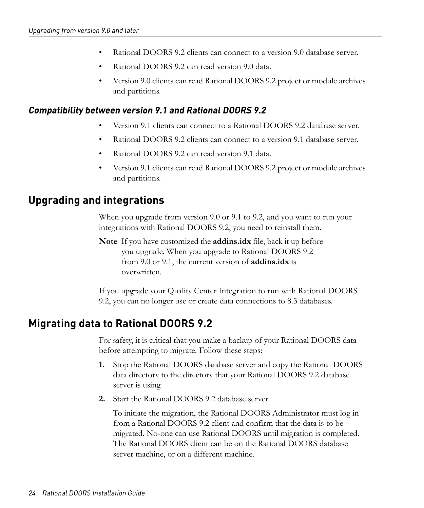- Rational DOORS 9.2 clients can connect to a version 9.0 database server.
- Rational DOORS 9.2 can read version 9.0 data.
- Version 9.0 clients can read Rational DOORS 9.2 project or module archives and partitions.

#### <span id="page-33-0"></span>*Compatibility between version 9.1 and Rational DOORS 9.2*

- Version 9.1 clients can connect to a Rational DOORS 9.2 database server.
- Rational DOORS 9.2 clients can connect to a version 9.1 database server.
- Rational DOORS 9.2 can read version 9.1 data.
- Version 9.1 clients can read Rational DOORS 9.2 project or module archives and partitions.

## <span id="page-33-1"></span>**Upgrading and integrations**

When you upgrade from version 9.0 or 9.1 to 9.2, and you want to run your integrations with Rational DOORS 9.2, you need to reinstall them.

**Note** If you have customized the **addins.idx** file, back it up before you upgrade. When you upgrade to Rational DOORS 9.2 from 9.0 or 9.1, the current version of **addins.idx** is overwritten.

If you upgrade your Quality Center Integration to run with Rational DOORS 9.2, you can no longer use or create data connections to 8.3 databases.

## <span id="page-33-2"></span>**Migrating data to Rational DOORS 9.2**

For safety, it is critical that you make a backup of your Rational DOORS data before attempting to migrate. Follow these steps:

- **1.** Stop the Rational DOORS database server and copy the Rational DOORS data directory to the directory that your Rational DOORS 9.2 database server is using.
- **2.** Start the Rational DOORS 9.2 database server.

To initiate the migration, the Rational DOORS Administrator must log in from a Rational DOORS 9.2 client and confirm that the data is to be migrated. No-one can use Rational DOORS until migration is completed. The Rational DOORS client can be on the Rational DOORS database server machine, or on a different machine.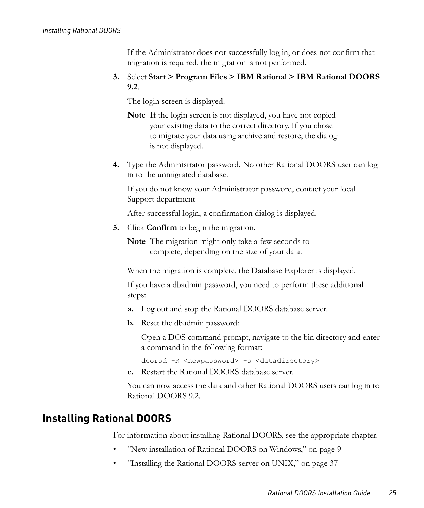If the Administrator does not successfully log in, or does not confirm that migration is required, the migration is not performed.

**3.** Select **Start > Program Files > IBM Rational > IBM Rational DOORS 9.2**.

The login screen is displayed.

- **Note** If the login screen is not displayed, you have not copied your existing data to the correct directory. If you chose to migrate your data using archive and restore, the dialog is not displayed.
- **4.** Type the Administrator password. No other Rational DOORS user can log in to the unmigrated database.

If you do not know your Administrator password, contact your local Support department

After successful login, a confirmation dialog is displayed.

**5.** Click **Confirm** to begin the migration.

**Note** The migration might only take a few seconds to complete, depending on the size of your data.

When the migration is complete, the Database Explorer is displayed.

If you have a dbadmin password, you need to perform these additional steps:

- **a.** Log out and stop the Rational DOORS database server.
- **b.** Reset the dbadmin password:

Open a DOS command prompt, navigate to the bin directory and enter a command in the following format:

doorsd -R <newpassword> -s <datadirectory>

**c.** Restart the Rational DOORS database server.

You can now access the data and other Rational DOORS users can log in to Rational DOORS 9.2.

#### <span id="page-34-0"></span>**Installing Rational DOORS**

For information about installing Rational DOORS, see the appropriate chapter.

- ["New installation of Rational DOORS on Windows," on page 9](#page-18-2)
- ["Installing the Rational DOORS server on UNIX," on page 37](#page-46-3)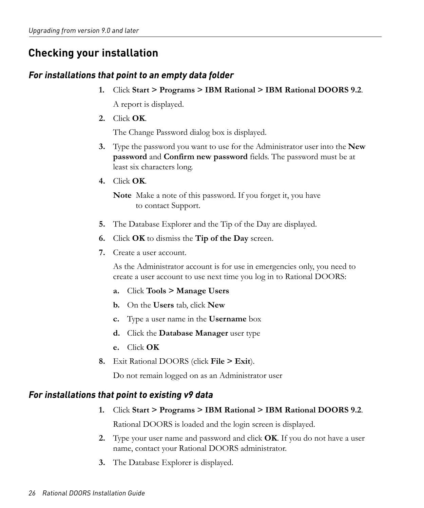## <span id="page-35-0"></span>**Checking your installation**

#### <span id="page-35-1"></span>*For installations that point to an empty data folder*

**1.** Click **Start > Programs > IBM Rational > IBM Rational DOORS 9.2**.

A report is displayed.

**2.** Click **OK**.

The Change Password dialog box is displayed.

- **3.** Type the password you want to use for the Administrator user into the **New password** and **Confirm new password** fields. The password must be at least six characters long.
- **4.** Click **OK**.

**Note** Make a note of this password. If you forget it, you have to contact Support.

- **5.** The Database Explorer and the Tip of the Day are displayed.
- **6.** Click **OK** to dismiss the **Tip of the Day** screen.
- **7.** Create a user account.

As the Administrator account is for use in emergencies only, you need to create a user account to use next time you log in to Rational DOORS:

- **a.** Click **Tools > Manage Users**
- **b.** On the **Users** tab, click **New**
- **c.** Type a user name in the **Username** box
- **d.** Click the **Database Manager** user type
- **e.** Click **OK**
- **8.** Exit Rational DOORS (click **File > Exit**).

Do not remain logged on as an Administrator user

#### <span id="page-35-2"></span>*For installations that point to existing v9 data*

- **1.** Click **Start > Programs > IBM Rational > IBM Rational DOORS 9.2**. Rational DOORS is loaded and the login screen is displayed.
- **2.** Type your user name and password and click **OK**. If you do not have a user name, contact your Rational DOORS administrator.
- **3.** The Database Explorer is displayed.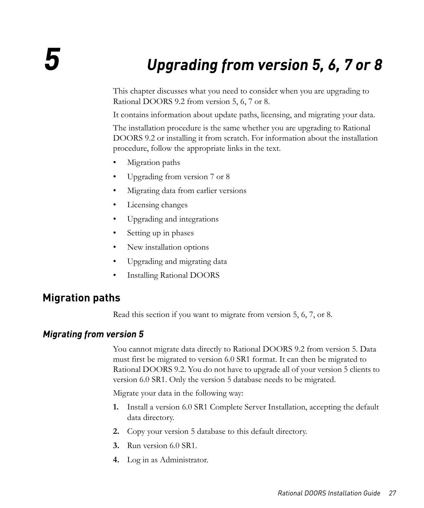## <span id="page-36-1"></span>*5 Upgrading from version 5, 6, 7 or 8*

This chapter discusses what you need to consider when you are upgrading to Rational DOORS 9.2 from version 5, 6, 7 or 8.

It contains information about update paths, licensing, and migrating your data.

The installation procedure is the same whether you are upgrading to Rational DOORS 9.2 or installing it from scratch. For information about the installation procedure, follow the appropriate links in the text.

- [Migration paths](#page-36-0)
- [Upgrading from version 7 or 8](#page-37-0)
- [Migrating data from earlier versions](#page-38-0)
- [Licensing changes](#page-39-0)
- [Upgrading and integrations](#page-40-0)
- [Setting up in phases](#page-40-1)
- [New installation options](#page-41-0)
- [Upgrading and migrating data](#page-41-1)
- [Installing Rational DOORS](#page-43-0)

## <span id="page-36-0"></span>**Migration paths**

Read this section if you want to migrate from version 5, 6, 7, or 8.

#### *Migrating from version 5*

You cannot migrate data directly to Rational DOORS 9.2 from version 5. Data must first be migrated to version 6.0 SR1 format. It can then be migrated to Rational DOORS 9.2. You do not have to upgrade all of your version 5 clients to version 6.0 SR1. Only the version 5 database needs to be migrated.

Migrate your data in the following way:

- **1.** Install a version 6.0 SR1 Complete Server Installation, accepting the default data directory.
- **2.** Copy your version 5 database to this default directory.
- **3.** Run version 6.0 SR1.
- **4.** Log in as Administrator.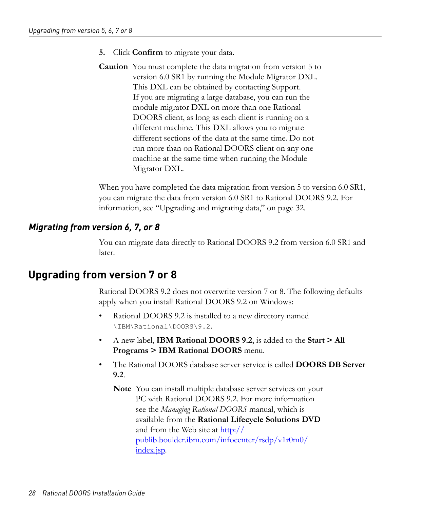- **5.** Click **Confirm** to migrate your data.
- **Caution** You must complete the data migration from version 5 to version 6.0 SR1 by running the Module Migrator DXL. This DXL can be obtained by contacting Support. If you are migrating a large database, you can run the module migrator DXL on more than one Rational DOORS client, as long as each client is running on a different machine. This DXL allows you to migrate different sections of the data at the same time. Do not run more than on Rational DOORS client on any one machine at the same time when running the Module Migrator DXL.

When you have completed the data migration from version 5 to version 6.0 SR1, you can migrate the data from version 6.0 SR1 to Rational DOORS 9.2. For information, see ["Upgrading and migrating data," on page 32.](#page-41-1)

#### *Migrating from version 6, 7, or 8*

You can migrate data directly to Rational DOORS 9.2 from version 6.0 SR1 and later.

### <span id="page-37-0"></span>**Upgrading from version 7 or 8**

Rational DOORS 9.2 does not overwrite version 7 or 8. The following defaults apply when you install Rational DOORS 9.2 on Windows:

- Rational DOORS 9.2 is installed to a new directory named \IBM\Rational\DOORS\9.2.
- A new label, **IBM Rational DOORS 9.2**, is added to the **Start > All Programs > IBM Rational DOORS** menu.
- The Rational DOORS database server service is called **DOORS DB Server 9.2**.
	- **Note** You can install multiple database server services on your PC with Rational DOORS 9.2. For more information see the *Managing Rational DOORS* manual, which is available from the **Rational Lifecycle Solutions DVD** and from the Web site at http:// publib.boulder.ibm.com/infocenter/rsdp/v1r0m0/ index.jsp.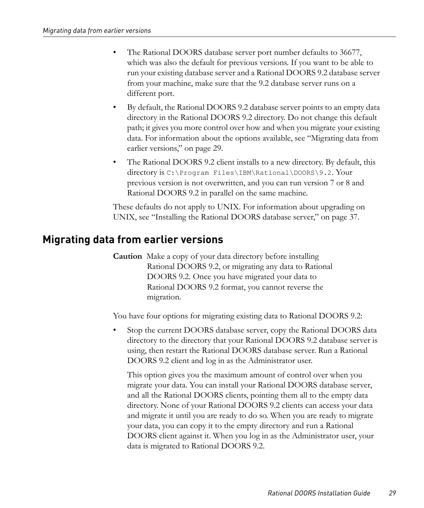- The Rational DOORS database server port number defaults to 36677, which was also the default for previous versions. If you want to be able to run your existing database server and a Rational DOORS 9.2 database server from your machine, make sure that the 9.2 database server runs on a different port.
- By default, the Rational DOORS 9.2 database server points to an empty data directory in the Rational DOORS 9.2 directory. Do not change this default path; it gives you more control over how and when you migrate your existing data. For information about the options available, see ["Migrating data from](#page-38-0)  [earlier versions," on page 29.](#page-38-0)
- The Rational DOORS 9.2 client installs to a new directory. By default, this directory is C:\Program Files\IBM\Rational\DOORS\9.2. Your previous version is not overwritten, and you can run version 7 or 8 and Rational DOORS 9.2 in parallel on the same machine.

These defaults do not apply to UNIX. For information about upgrading on UNIX, see ["Installing the Rational DOORS database server," on page 37](#page-46-0).

## <span id="page-38-0"></span>**Migrating data from earlier versions**

**Caution** Make a copy of your data directory before installing Rational DOORS 9.2, or migrating any data to Rational DOORS 9.2. Once you have migrated your data to Rational DOORS 9.2 format, you cannot reverse the migration.

You have four options for migrating existing data to Rational DOORS 9.2:

• Stop the current DOORS database server, copy the Rational DOORS data directory to the directory that your Rational DOORS 9.2 database server is using, then restart the Rational DOORS database server. Run a Rational DOORS 9.2 client and log in as the Administrator user.

This option gives you the maximum amount of control over when you migrate your data. You can install your Rational DOORS database server, and all the Rational DOORS clients, pointing them all to the empty data directory. None of your Rational DOORS 9.2 clients can access your data and migrate it until you are ready to do so. When you are ready to migrate your data, you can copy it to the empty directory and run a Rational DOORS client against it. When you log in as the Administrator user, your data is migrated to Rational DOORS 9.2.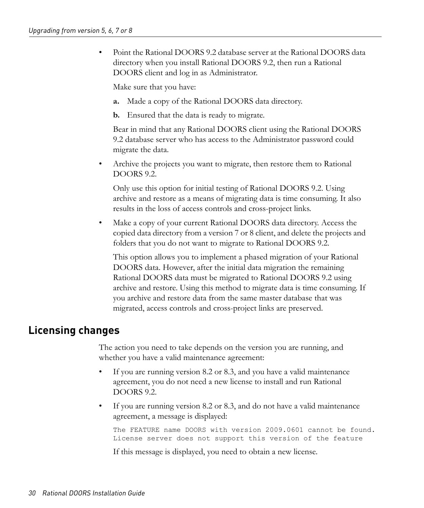• Point the Rational DOORS 9.2 database server at the Rational DOORS data directory when you install Rational DOORS 9.2, then run a Rational DOORS client and log in as Administrator.

Make sure that you have:

- **a.** Made a copy of the Rational DOORS data directory.
- **b.** Ensured that the data is ready to migrate.

Bear in mind that any Rational DOORS client using the Rational DOORS 9.2 database server who has access to the Administrator password could migrate the data.

• Archive the projects you want to migrate, then restore them to Rational DOORS 9.2.

Only use this option for initial testing of Rational DOORS 9.2. Using archive and restore as a means of migrating data is time consuming. It also results in the loss of access controls and cross-project links.

• Make a copy of your current Rational DOORS data directory. Access the copied data directory from a version 7 or 8 client, and delete the projects and folders that you do not want to migrate to Rational DOORS 9.2.

This option allows you to implement a phased migration of your Rational DOORS data. However, after the initial data migration the remaining Rational DOORS data must be migrated to Rational DOORS 9.2 using archive and restore. Using this method to migrate data is time consuming. If you archive and restore data from the same master database that was migrated, access controls and cross-project links are preserved.

## <span id="page-39-0"></span>**Licensing changes**

The action you need to take depends on the version you are running, and whether you have a valid maintenance agreement:

- If you are running version 8.2 or 8.3, and you have a valid maintenance agreement, you do not need a new license to install and run Rational DOORS 9.2.
- If you are running version 8.2 or 8.3, and do not have a valid maintenance agreement, a message is displayed:

The FEATURE name DOORS with version 2009.0601 cannot be found. License server does not support this version of the feature

If this message is displayed, you need to obtain a new license.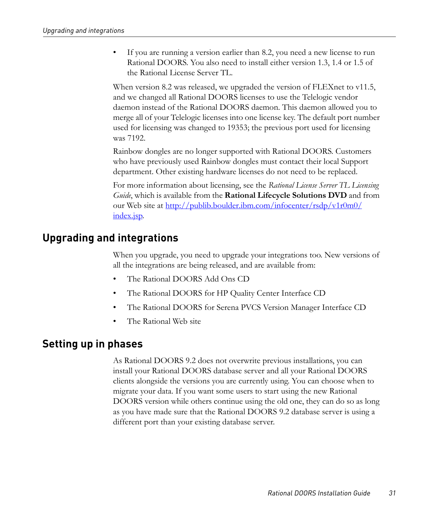If you are running a version earlier than 8.2, you need a new license to run Rational DOORS. You also need to install either version 1.3, 1.4 or 1.5 of the Rational License Server TL.

When version 8.2 was released, we upgraded the version of FLEXnet to v11.5, and we changed all Rational DOORS licenses to use the Telelogic vendor daemon instead of the Rational DOORS daemon. This daemon allowed you to merge all of your Telelogic licenses into one license key. The default port number used for licensing was changed to 19353; the previous port used for licensing was 7192.

Rainbow dongles are no longer supported with Rational DOORS. Customers who have previously used Rainbow dongles must contact their local Support department. Other existing hardware licenses do not need to be replaced.

For more information about licensing, see the *Rational License Server TL Licensing Guide*, which is available from the **Rational Lifecycle Solutions DVD** and from our Web site at http://publib.boulder.ibm.com/infocenter/rsdp/v1r0m0/ index.jsp.

## <span id="page-40-0"></span>**Upgrading and integrations**

When you upgrade, you need to upgrade your integrations too. New versions of all the integrations are being released, and are available from:

- The Rational DOORS Add Ons CD
- The Rational DOORS for HP Quality Center Interface CD
- The Rational DOORS for Serena PVCS Version Manager Interface CD
- The Rational Web site

## <span id="page-40-1"></span>**Setting up in phases**

As Rational DOORS 9.2 does not overwrite previous installations, you can install your Rational DOORS database server and all your Rational DOORS clients alongside the versions you are currently using. You can choose when to migrate your data. If you want some users to start using the new Rational DOORS version while others continue using the old one, they can do so as long as you have made sure that the Rational DOORS 9.2 database server is using a different port than your existing database server.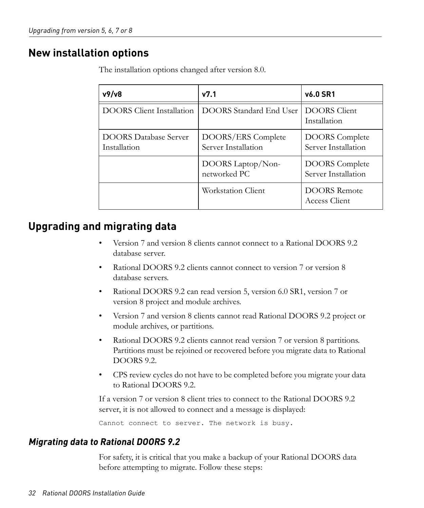## <span id="page-41-0"></span>**New installation options**

| v9/v8                                        | v7.1                                      | <b>v6.0 SR1</b>                              |
|----------------------------------------------|-------------------------------------------|----------------------------------------------|
| <b>DOORS</b> Client Installation             | DOORS Standard End User                   | DOORS Client<br>Installation                 |
| <b>DOORS</b> Database Server<br>Installation | DOORS/ERS Complete<br>Server Installation | <b>DOORS</b> Complete<br>Server Installation |
|                                              | DOORS Laptop/Non-<br>networked PC         | <b>DOORS</b> Complete<br>Server Installation |
|                                              | Workstation Client                        | <b>DOORS</b> Remote<br>Access Client         |

The installation options changed after version 8.0.

## <span id="page-41-1"></span>**Upgrading and migrating data**

- Version 7 and version 8 clients cannot connect to a Rational DOORS 9.2 database server.
- Rational DOORS 9.2 clients cannot connect to version 7 or version 8 database servers.
- Rational DOORS 9.2 can read version 5, version 6.0 SR1, version 7 or version 8 project and module archives.
- Version 7 and version 8 clients cannot read Rational DOORS 9.2 project or module archives, or partitions.
- Rational DOORS 9.2 clients cannot read version 7 or version 8 partitions. Partitions must be rejoined or recovered before you migrate data to Rational DOORS 9.2.
- CPS review cycles do not have to be completed before you migrate your data to Rational DOORS 9.2.

If a version 7 or version 8 client tries to connect to the Rational DOORS 9.2 server, it is not allowed to connect and a message is displayed:

```
Cannot connect to server. The network is busy.
```
#### *Migrating data to Rational DOORS 9.2*

For safety, it is critical that you make a backup of your Rational DOORS data before attempting to migrate. Follow these steps: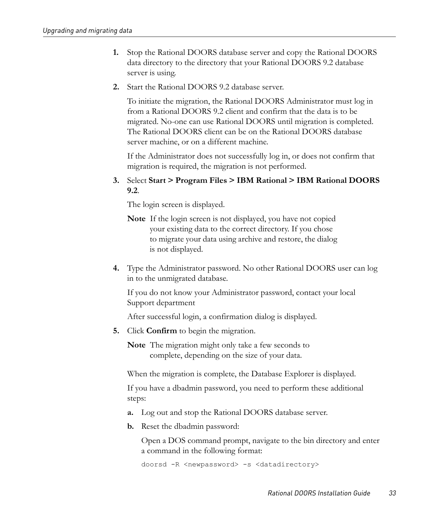- **1.** Stop the Rational DOORS database server and copy the Rational DOORS data directory to the directory that your Rational DOORS 9.2 database server is using.
- **2.** Start the Rational DOORS 9.2 database server.

To initiate the migration, the Rational DOORS Administrator must log in from a Rational DOORS 9.2 client and confirm that the data is to be migrated. No-one can use Rational DOORS until migration is completed. The Rational DOORS client can be on the Rational DOORS database server machine, or on a different machine.

If the Administrator does not successfully log in, or does not confirm that migration is required, the migration is not performed.

#### **3.** Select **Start > Program Files > IBM Rational > IBM Rational DOORS 9.2**.

The login screen is displayed.

**Note** If the login screen is not displayed, you have not copied your existing data to the correct directory. If you chose to migrate your data using archive and restore, the dialog is not displayed.

**4.** Type the Administrator password. No other Rational DOORS user can log in to the unmigrated database.

If you do not know your Administrator password, contact your local Support department

After successful login, a confirmation dialog is displayed.

**5.** Click **Confirm** to begin the migration.

**Note** The migration might only take a few seconds to complete, depending on the size of your data.

When the migration is complete, the Database Explorer is displayed.

If you have a dbadmin password, you need to perform these additional steps:

- **a.** Log out and stop the Rational DOORS database server.
- **b.** Reset the dbadmin password:

Open a DOS command prompt, navigate to the bin directory and enter a command in the following format:

doorsd -R <newpassword> -s <datadirectory>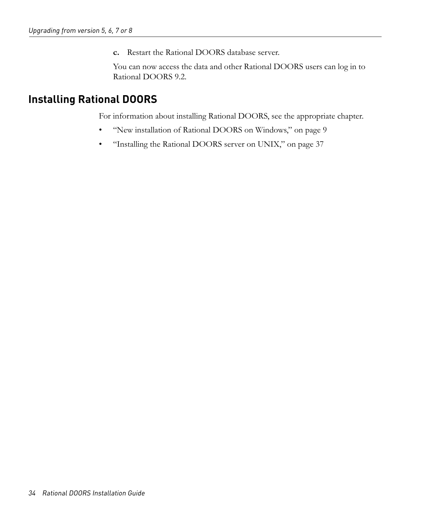**c.** Restart the Rational DOORS database server.

You can now access the data and other Rational DOORS users can log in to Rational DOORS 9.2.

## <span id="page-43-0"></span>**Installing Rational DOORS**

For information about installing Rational DOORS, see the appropriate chapter.

- ["New installation of Rational DOORS on Windows," on page 9](#page-18-0)
- ["Installing the Rational DOORS server on UNIX," on page 37](#page-46-1)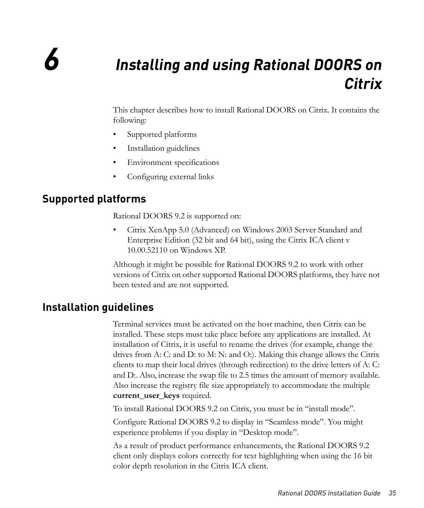# *6 Installing and using Rational DOORS on Citrix*

This chapter describes how to install Rational DOORS on Citrix. It contains the following:

- [Supported platforms](#page-44-0)
- [Installation guidelines](#page-44-1)
- [Environment specifications](#page-45-0)
- [Configuring external links](#page-45-1)

## <span id="page-44-0"></span>**Supported platforms**

Rational DOORS 9.2 is supported on:

• Citrix XenApp 5.0 (Advanced) on Windows 2003 Server Standard and Enterprise Edition (32 bit and 64 bit), using the Citrix ICA client v 10.00.52110 on Windows XP.

Although it might be possible for Rational DOORS 9.2 to work with other versions of Citrix on other supported Rational DOORS platforms, they have not been tested and are not supported.

## <span id="page-44-1"></span>**Installation guidelines**

Terminal services must be activated on the host machine, then Citrix can be installed. These steps must take place before any applications are installed. At installation of Citrix, it is useful to rename the drives (for example, change the drives from A: C: and D: to M: N: and O:). Making this change allows the Citrix clients to map their local drives (through redirection) to the drive letters of A: C: and D:. Also, increase the swap file to 2.5 times the amount of memory available. Also increase the registry file size appropriately to accommodate the multiple **current\_user\_keys** required.

To install Rational DOORS 9.2 on Citrix, you must be in "install mode".

Configure Rational DOORS 9.2 to display in "Seamless mode". You might experience problems if you display in "Desktop mode".

As a result of product performance enhancements, the Rational DOORS 9.2 client only displays colors correctly for text highlighting when using the 16 bit color depth resolution in the Citrix ICA client.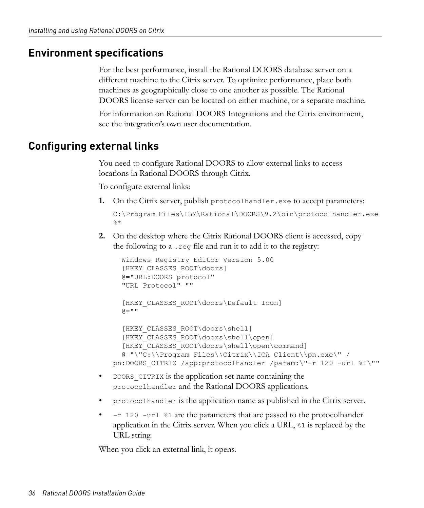## <span id="page-45-0"></span>**Environment specifications**

For the best performance, install the Rational DOORS database server on a different machine to the Citrix server. To optimize performance, place both machines as geographically close to one another as possible. The Rational DOORS license server can be located on either machine, or a separate machine.

For information on Rational DOORS Integrations and the Citrix environment, see the integration's own user documentation.

## <span id="page-45-1"></span>**Configuring external links**

You need to configure Rational DOORS to allow external links to access locations in Rational DOORS through Citrix.

To configure external links:

**1.** On the Citrix server, publish protocolhandler.exe to accept parameters:

```
C:\Program Files\IBM\Rational\DOORS\9.2\bin\protocolhandler.exe 
\frac{6}{2} \star
```
**2.** On the desktop where the Citrix Rational DOORS client is accessed, copy the following to a .reg file and run it to add it to the registry:

```
 Windows Registry Editor Version 5.00
   [HKEY_CLASSES_ROOT\doors]
   @="URL:DOORS protocol"
   "URL Protocol"=""
   [HKEY_CLASSES_ROOT\doors\Default Icon]
  a = 0 [HKEY_CLASSES_ROOT\doors\shell]
   [HKEY_CLASSES_ROOT\doors\shell\open]
   [HKEY_CLASSES_ROOT\doors\shell\open\command]
   @="\"C:\\Program Files\\Citrix\\ICA Client\\pn.exe\" /
pn:DOORS_CITRIX /app:protocolhandler /param:\"-r 120 -url %1\""
```
- DOORS\_CITRIX is the application set name containing the protocolhandler and the Rational DOORS applications.
- protocolhandler is the application name as published in the Citrix server.
- -r 120 -url %1 are the parameters that are passed to the protocolhander application in the Citrix server. When you click a URL, %1 is replaced by the URL string.

When you click an external link, it opens.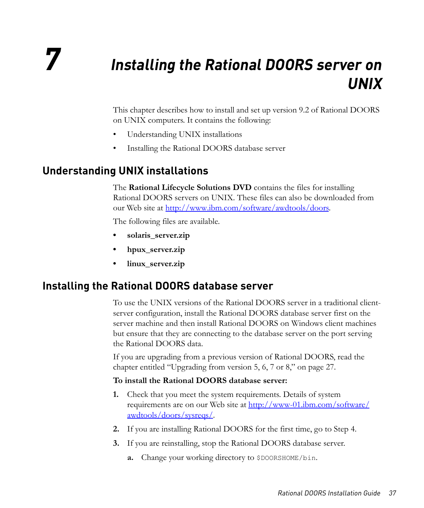<span id="page-46-1"></span>This chapter describes how to install and set up version 9.2 of Rational DOORS on UNIX computers. It contains the following:

- [Understanding UNIX installations](#page-46-2)
- [Installing the Rational DOORS database server](#page-46-3)

## <span id="page-46-2"></span>**Understanding UNIX installations**

The **Rational Lifecycle Solutions DVD** contains the files for installing Rational DOORS servers on UNIX. These files can also be downloaded from our Web site at http://www.ibm.com/software/awdtools/doors.

The following files are available.

- **solaris\_server.zip**
- **hpux\_server.zip**
- **linux\_server.zip**

## <span id="page-46-3"></span><span id="page-46-0"></span>**Installing the Rational DOORS database server**

To use the UNIX versions of the Rational DOORS server in a traditional clientserver configuration, install the Rational DOORS database server first on the server machine and then install Rational DOORS on Windows client machines but ensure that they are connecting to the database server on the port serving the Rational DOORS data.

If you are upgrading from a previous version of Rational DOORS, read the chapter entitled ["Upgrading from version 5, 6, 7 or 8," on page 27](#page-36-1).

#### <span id="page-46-4"></span>**To install the Rational DOORS database server:**

- **1.** Check that you meet the system requirements. Details of system requirements are on our Web site at http://www-01.ibm.com/software/ awdtools/doors/sysreqs/.
- **2.** If you are installing Rational DOORS for the first time, go to [Step 4.](#page-47-0)
- **3.** If you are reinstalling, stop the Rational DOORS database server.
	- **a.** Change your working directory to \$DOORSHOME/bin.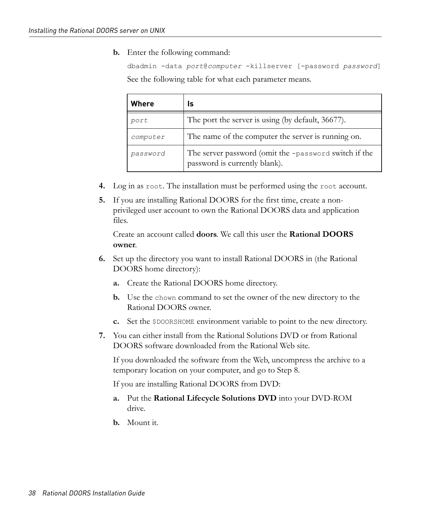**b.** Enter the following command:

```
dbadmin -data port@computer -killserver [-password password]
See the following table for what each parameter means.
```

| Where    | Is                                                                                     |
|----------|----------------------------------------------------------------------------------------|
| port     | The port the server is using (by default, 36677).                                      |
| computer | The name of the computer the server is running on.                                     |
| password | The server password (omit the -password switch if the<br>password is currently blank). |

- <span id="page-47-0"></span>**4.** Log in as root. The installation must be performed using the root account.
- **5.** If you are installing Rational DOORS for the first time, create a nonprivileged user account to own the Rational DOORS data and application files.

<span id="page-47-2"></span>Create an account called **doors**. We call this user the **Rational DOORS owner**.

- <span id="page-47-1"></span>**6.** Set up the directory you want to install Rational DOORS in (the Rational DOORS home directory):
	- **a.** Create the Rational DOORS home directory.
	- **b.** Use the chown command to set the owner of the new directory to the Rational DOORS owner.
	- **c.** Set the \$DOORSHOME environment variable to point to the new directory.
- **7.** You can either install from the Rational Solutions DVD or from Rational DOORS software downloaded from the Rational Web site.

If you downloaded the software from the Web, uncompress the archive to a temporary location on your computer, and go to [Step 8.](#page-48-0)

If you are installing Rational DOORS from DVD:

- **a.** Put the **Rational Lifecycle Solutions DVD** into your DVD-ROM drive.
- **b.** Mount it.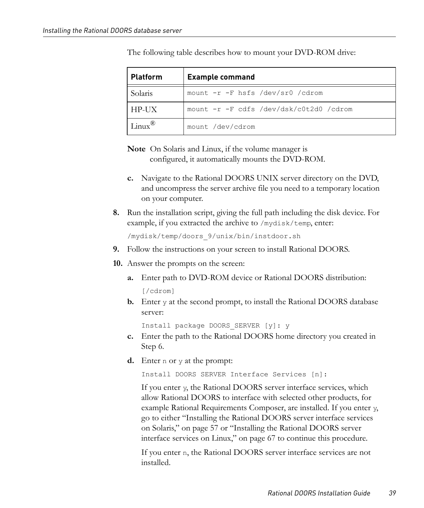| <b>Platform</b>          | <b>Example command</b>                  |
|--------------------------|-----------------------------------------|
| Solaris                  | mount -r -F hsfs /dev/sr0 /cdrom        |
| HP-UX                    | mount -r -F cdfs /dev/dsk/c0t2d0 /cdrom |
| $\text{Linux}^\circledR$ | mount /dev/cdrom                        |

The following table describes how to mount your DVD-ROM drive:

**Note** On Solaris and Linux, if the volume manager is configured, it automatically mounts the DVD-ROM.

- **c.** Navigate to the Rational DOORS UNIX server directory on the DVD, and uncompress the server archive file you need to a temporary location on your computer.
- <span id="page-48-0"></span>**8.** Run the installation script, giving the full path including the disk device. For example, if you extracted the archive to /mydisk/temp, enter:

<span id="page-48-1"></span>/mydisk/temp/doors\_9/unix/bin/instdoor.sh

- **9.** Follow the instructions on your screen to install Rational DOORS.
- **10.** Answer the prompts on the screen:
	- **a.** Enter path to DVD-ROM device or Rational DOORS distribution: [/cdrom]
	- **b.** Enter y at the second prompt, to install the Rational DOORS database server:

Install package DOORS\_SERVER [y]: y

- **c.** Enter the path to the Rational DOORS home directory you created in [Step 6.](#page-47-1)
- **d.** Enter n or y at the prompt:

Install DOORS SERVER Interface Services [n]:

If you enter y, the Rational DOORS server interface services, which allow Rational DOORS to interface with selected other products, for example Rational Requirements Composer, are installed. If you enter y, go to either ["Installing the Rational DOORS server interface services](#page-66-0)  [on Solaris," on page 57](#page-66-0) or ["Installing the Rational DOORS server](#page-76-0)  [interface services on Linux," on page 67](#page-76-0) to continue this procedure.

If you enter n, the Rational DOORS server interface services are not installed.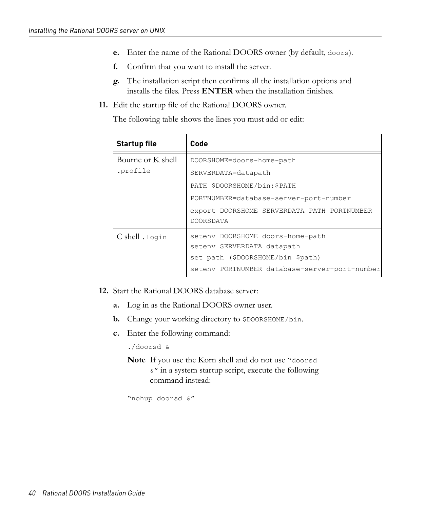- **e.** Enter the name of the Rational DOORS owner (by default, doors).
- **f.** Confirm that you want to install the server.
- **g.** The installation script then confirms all the installation options and installs the files. Press **ENTER** when the installation finishes.
- **11.** Edit the startup file of the Rational DOORS owner.

The following table shows the lines you must add or edit:

| <b>Startup file</b>           | Code                                                                                                                                                                     |
|-------------------------------|--------------------------------------------------------------------------------------------------------------------------------------------------------------------------|
| Bourne or K shell<br>.profile | DOORSHOME=doors-home-path<br>SERVERDATA=datapath<br>PATH=\$DOORSHOME/bin:\$PATH<br>PORTNUMBER=database-server-port-number<br>export DOORSHOME SERVERDATA PATH PORTNUMBER |
|                               | <b>DOORSDATA</b>                                                                                                                                                         |
| C shell .login                | setenv DOORSHOME doors-home-path<br>setenv SERVERDATA datapath<br>set path=(\$DOORSHOME/bin \$path)<br>setenv PORTNUMBER database-server-port-number                     |

- **12.** Start the Rational DOORS database server:
	- **a.** Log in as the Rational DOORS owner user.
	- **b.** Change your working directory to \$DOORSHOME/bin.
	- **c.** Enter the following command:
		- ./doorsd &
		- **Note** If you use the Korn shell and do not use "doorsd &" in a system startup script, execute the following command instead:

"nohup doorsd &"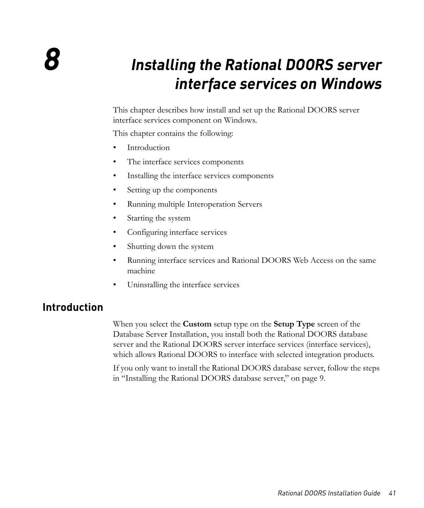## *8 Installing the Rational DOORS server interface services on Windows*

This chapter describes how install and set up the Rational DOORS server interface services component on Windows.

This chapter contains the following:

- **[Introduction](#page-50-0)**
- [The interface services components](#page-51-0)
- [Installing the interface services components](#page-51-1)
- [Setting up the components](#page-53-0)
- [Running multiple Interoperation Servers](#page-57-0)
- [Starting the system](#page-58-0)
- [Configuring interface services](#page-58-1)
- [Shutting down the system](#page-62-0)
- [Running interface services and Rational DOORS Web Access on the same](#page-63-0)  [machine](#page-63-0)
- [Uninstalling the interface services](#page-65-0)

## <span id="page-50-0"></span>**Introduction**

When you select the **Custom** setup type on the **Setup Type** screen of the Database Server Installation, you install both the Rational DOORS database server and the Rational DOORS server interface services (interface services), which allows Rational DOORS to interface with selected integration products.

If you only want to install the Rational DOORS database server, follow the steps in ["Installing the Rational DOORS database server," on page 9](#page-18-1).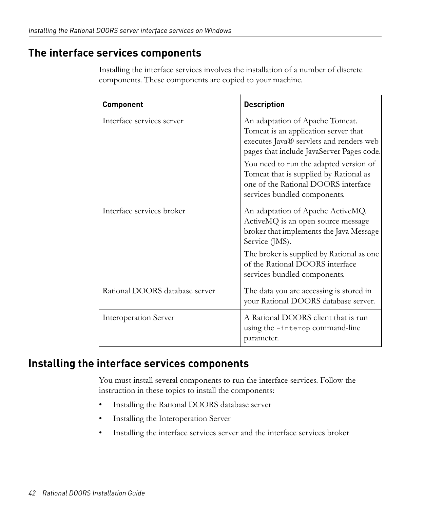## <span id="page-51-0"></span>**The interface services components**

Installing the interface services involves the installation of a number of discrete components. These components are copied to your machine.

| <b>Component</b>               | <b>Description</b>                                                                                                                                                                                                                                                                                                         |
|--------------------------------|----------------------------------------------------------------------------------------------------------------------------------------------------------------------------------------------------------------------------------------------------------------------------------------------------------------------------|
| Interface services server      | An adaptation of Apache Tomcat.<br>Tomcat is an application server that<br>executes Java® servlets and renders web<br>pages that include JavaServer Pages code.<br>You need to run the adapted version of<br>Tomcat that is supplied by Rational as<br>one of the Rational DOORS interface<br>services bundled components. |
| Interface services broker      | An adaptation of Apache ActiveMQ.<br>ActiveMQ is an open source message<br>broker that implements the Java Message<br>Service (JMS).<br>The broker is supplied by Rational as one<br>of the Rational DOORS interface<br>services bundled components.                                                                       |
| Rational DOORS database server | The data you are accessing is stored in<br>your Rational DOORS database server.                                                                                                                                                                                                                                            |
| <b>Interoperation Server</b>   | A Rational DOORS client that is run<br>using the -interop command-line<br>parameter.                                                                                                                                                                                                                                       |

## <span id="page-51-1"></span>**Installing the interface services components**

You must install several components to run the interface services. Follow the instruction in these topics to install the components:

- [Installing the Rational DOORS database server](#page-52-0)
- [Installing the Interoperation Server](#page-53-1)
- [Installing the interface services server and the interface services broker](#page-53-2)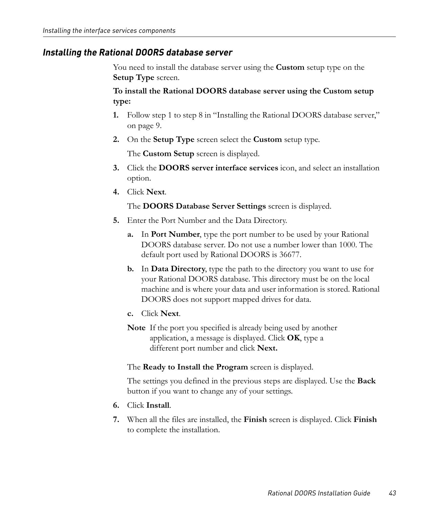#### <span id="page-52-0"></span>*Installing the Rational DOORS database server*

You need to install the database server using the **Custom** setup type on the **Setup Type** screen.

#### **To install the Rational DOORS database server using the Custom setup type:**

- **1.** Follow [step 1](#page-18-2) to [step 8](#page-19-0) in ["Installing the Rational DOORS database server,"](#page-18-1)  [on page 9.](#page-18-1)
- **2.** On the **Setup Type** screen select the **Custom** setup type.

The **Custom Setup** screen is displayed.

- **3.** Click the **DOORS server interface services** icon, and select an installation option.
- **4.** Click **Next**.

The **DOORS Database Server Settings** screen is displayed.

- **5.** Enter the Port Number and the Data Directory.
	- **a.** In **Port Number**, type the port number to be used by your Rational DOORS database server. Do not use a number lower than 1000. The default port used by Rational DOORS is 36677.
	- **b.** In **Data Directory**, type the path to the directory you want to use for your Rational DOORS database. This directory must be on the local machine and is where your data and user information is stored. Rational DOORS does not support mapped drives for data.
	- **c.** Click **Next**.
	- **Note** If the port you specified is already being used by another application, a message is displayed. Click **OK**, type a different port number and click **Next.**

#### The **Ready to Install the Program** screen is displayed.

The settings you defined in the previous steps are displayed. Use the **Back** button if you want to change any of your settings.

- **6.** Click **Install**.
- **7.** When all the files are installed, the **Finish** screen is displayed. Click **Finish** to complete the installation.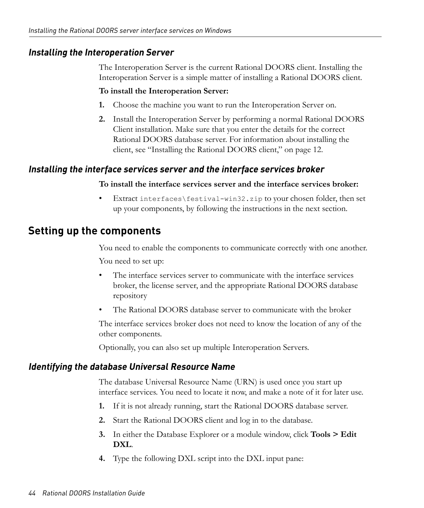#### <span id="page-53-1"></span>*Installing the Interoperation Server*

The Interoperation Server is the current Rational DOORS client. Installing the Interoperation Server is a simple matter of installing a Rational DOORS client.

#### **To install the Interoperation Server:**

- **1.** Choose the machine you want to run the Interoperation Server on.
- **2.** Install the Interoperation Server by performing a normal Rational DOORS Client installation. Make sure that you enter the details for the correct Rational DOORS database server. For information about installing the client, see ["Installing the Rational DOORS client," on page 12](#page-21-0).

#### <span id="page-53-2"></span>*Installing the interface services server and the interface services broker*

#### **To install the interface services server and the interface services broker:**

Extract interfaces\festival-win32.zip to your chosen folder, then set up your components, by following the instructions in the next section.

## <span id="page-53-4"></span><span id="page-53-0"></span>**Setting up the components**

You need to enable the components to communicate correctly with one another. You need to set up:

- The interface services server to communicate with the interface services broker, the license server, and the appropriate Rational DOORS database repository
- The Rational DOORS database server to communicate with the broker

The interface services broker does not need to know the location of any of the other components.

Optionally, you can also set up multiple Interoperation Servers.

#### <span id="page-53-3"></span>*Identifying the database Universal Resource Name*

The database Universal Resource Name (URN) is used once you start up interface services. You need to locate it now, and make a note of it for later use.

- **1.** If it is not already running, start the Rational DOORS database server.
- **2.** Start the Rational DOORS client and log in to the database.
- **3.** In either the Database Explorer or a module window, click **Tools > Edit DXL**.
- **4.** Type the following DXL script into the DXL input pane: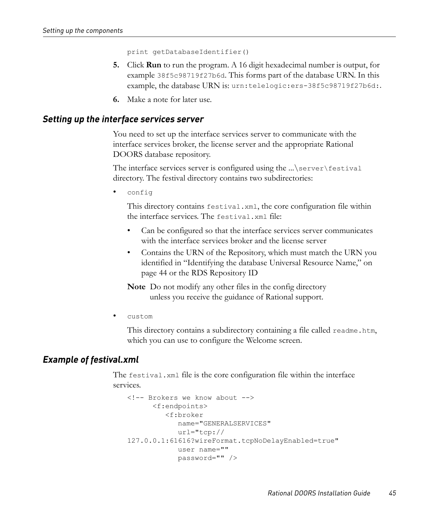print getDatabaseIdentifier()

- **5.** Click **Run** to run the program. A 16 digit hexadecimal number is output, for example 38f5c98719f27b6d. This forms part of the database URN. In this example, the database URN is: urn:telelogic:ers-38f5c98719f27b6d:.
- **6.** Make a note for later use.

#### *Setting up the interface services server*

You need to set up the interface services server to communicate with the interface services broker, the license server and the appropriate Rational DOORS database repository.

The interface services server is configured using the ... \server\festival directory. The festival directory contains two subdirectories:

• config

This directory contains festival.xml, the core configuration file within the interface services. The festival.xml file:

- Can be configured so that the interface services server communicates with the interface services broker and the license server
- Contains the URN of the Repository, which must match the URN you identified in ["Identifying the database Universal Resource Name," on](#page-53-3)  [page 44](#page-53-3) or the RDS Repository ID

**Note** Do not modify any other files in the config directory unless you receive the guidance of Rational support.

• custom

This directory contains a subdirectory containing a file called readme.htm, which you can use to configure the Welcome screen.

#### *Example of festival.xml*

The festival.xml file is the core configuration file within the interface services.

```
<!-- Brokers we know about -->
       <f:endpoints>
          <f:broker 
             name="GENERALSERVICES" 
             url="tcp://
127.0.0.1:61616?wireFormat.tcpNoDelayEnabled=true"
             user name="" 
             password="" />
```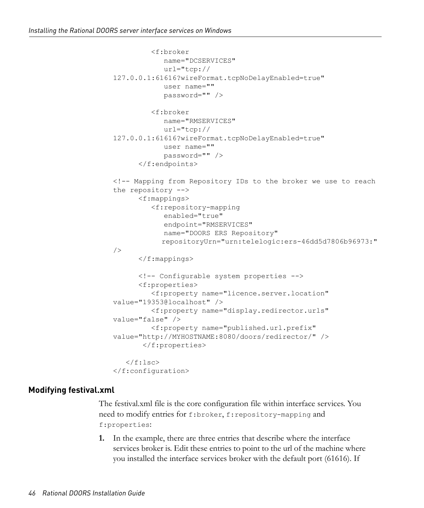```
 <f:broker 
             name="DCSERVICES" 
            url="tcp://127.0.0.1:61616?wireFormat.tcpNoDelayEnabled=true"
             user name="" 
             password="" />
          <f:broker 
             name="RMSERVICES" 
             url="tcp://
127.0.0.1:61616?wireFormat.tcpNoDelayEnabled=true"
             user name="" 
             password="" /> 
       </f:endpoints>
<!-- Mapping from Repository IDs to the broker we use to reach 
the repository -->
       <f:mappings>
          <f:repository-mapping 
             enabled="true" 
             endpoint="RMSERVICES"
             name="DOORS ERS Repository"
             repositoryUrn="urn:telelogic:ers-46dd5d7806b96973:" 
/>
       </f:mappings>
       <!-- Configurable system properties -->
       <f:properties>
          <f:property name="licence.server.location" 
value="19353@localhost" />
          <f:property name="display.redirector.urls" 
value="false" />
          <f:property name="published.url.prefix" 
value="http://MYHOSTNAME:8080/doors/redirector/" /> 
        </f:properties>
   \langlef:lsc\rangle</f:configuration>
```
#### **Modifying festival.xml**

The festival.xml file is the core configuration file within interface services. You need to modify entries for f:broker, f:repository-mapping and f:properties:

**1.** In the example, there are three entries that describe where the interface services broker is. Edit these entries to point to the url of the machine where you installed the interface services broker with the default port (61616). If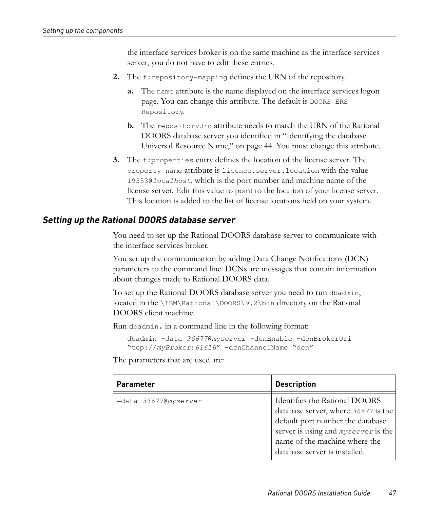the interface services broker is on the same machine as the interface services server, you do not have to edit these entries.

- **2.** The f:repository-mapping defines the URN of the repository.
	- The name attribute is the name displayed on the interface services logon page. You can change this attribute. The default is DOORS ERS Repository.
	- **b.** The repositoryUrn attribute needs to match the URN of the Rational DOORS database server you identified in ["Identifying the database](#page-53-3)  [Universal Resource Name," on page 44.](#page-53-3) You must change this attribute.
- **3.** The f:properties entry defines the location of the license server. The property name attribute is licence.server.location with the value 19353@*localhost*, which is the port number and machine name of the license server. Edit this value to point to the location of your license server. This location is added to the list of license locations held on your system.

#### *Setting up the Rational DOORS database server*

You need to set up the Rational DOORS database server to communicate with the interface services broker.

You set up the communication by adding Data Change Notifications (DCN) parameters to the command line. DCNs are messages that contain information about changes made to Rational DOORS data.

To set up the Rational DOORS database server you need to run dbadmin, located in the \IBM\Rational\DOORS\9.2\bin directory on the Rational DOORS client machine.

Run dbadmin, in a command line in the following format:

dbadmin -data *36677*@*myserver* -dcnEnable -dcnBrokerUri "tcp://*myBroker*:*61616*" -dcnChannelName "dcn"

The parameters that are used are:

| <b>Parameter</b>     | <b>Description</b>                                                                                                                                                                                                |
|----------------------|-------------------------------------------------------------------------------------------------------------------------------------------------------------------------------------------------------------------|
| -data 36677@myserver | Identifies the Rational DOORS<br>database server, where 36677 is the<br>default port number the database<br>server is using and myserver is the<br>name of the machine where the<br>database server is installed. |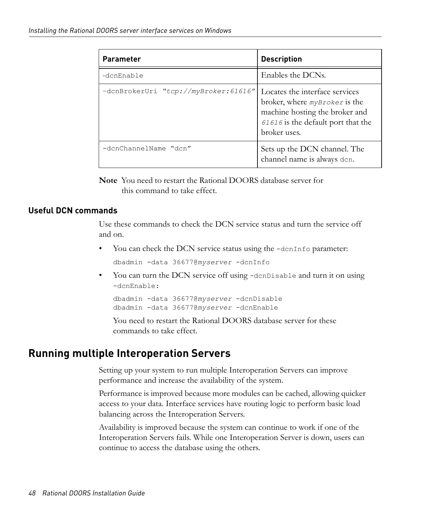| <b>Parameter</b>                     | <b>Description</b>                                                                                                                                      |
|--------------------------------------|---------------------------------------------------------------------------------------------------------------------------------------------------------|
| -dcnEnable                           | Enables the DCNs.                                                                                                                                       |
| -dcnBrokerUri "tcp://myBroker:61616" | Locates the interface services<br>broker, where myBroker is the<br>machine hosting the broker and<br>61616 is the default port that the<br>broker uses. |
| -dcnChannelName "dcn"                | Sets up the DCN channel. The<br>channel name is always den.                                                                                             |

**Note** You need to restart the Rational DOORS database server for this command to take effect.

#### **Useful DCN commands**

Use these commands to check the DCN service status and turn the service off and on.

• You can check the DCN service status using the  $-\text{denInfo}$  parameter:

dbadmin -data 36677@*myserver* -dcnInfo

• You can turn the DCN service off using -dcnDisable and turn it on using -dcnEnable:

dbadmin -data 36677@*myserver* -dcnDisable dbadmin -data 36677@*myserver* -dcnEnable

You need to restart the Rational DOORS database server for these commands to take effect.

## <span id="page-57-1"></span><span id="page-57-0"></span>**Running multiple Interoperation Servers**

Setting up your system to run multiple Interoperation Servers can improve performance and increase the availability of the system.

Performance is improved because more modules can be cached, allowing quicker access to your data. Interface services have routing logic to perform basic load balancing across the Interoperation Servers.

Availability is improved because the system can continue to work if one of the Interoperation Servers fails. While one Interoperation Server is down, users can continue to access the database using the others.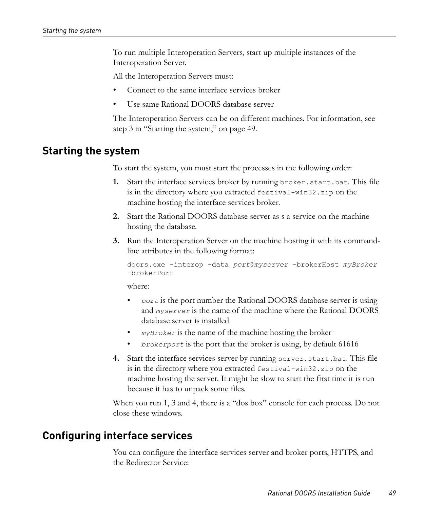To run multiple Interoperation Servers, start up multiple instances of the Interoperation Server.

All the Interoperation Servers must:

- Connect to the same interface services broker
- Use same Rational DOORS database server

The Interoperation Servers can be on different machines. For information, see [step 3](#page-58-2) in ["Starting the system," on page 49](#page-58-0).

#### <span id="page-58-0"></span>**Starting the system**

To start the system, you must start the processes in the following order:

- **1.** Start the interface services broker by running broker.start.bat. This file is in the directory where you extracted festival-win32.zip on the machine hosting the interface services broker.
- **2.** Start the Rational DOORS database server as s a service on the machine hosting the database.
- <span id="page-58-2"></span>**3.** Run the Interoperation Server on the machine hosting it with its commandline attributes in the following format:

doors.exe –interop –data *port*@*myserver* –brokerHost *myBroker* –brokerPort

where:

- *port* is the port number the Rational DOORS database server is using and *myserver* is the name of the machine where the Rational DOORS database server is installed
- *myBroker* is the name of the machine hosting the broker
- *brokerport* is the port that the broker is using, by default 61616
- **4.** Start the interface services server by running server.start.bat. This file is in the directory where you extracted festival-win32.zip on the machine hosting the server. It might be slow to start the first time it is run because it has to unpack some files.

When you run 1, 3 and 4, there is a "dos box" console for each process. Do not close these windows.

## <span id="page-58-1"></span>**Configuring interface services**

You can configure the interface services server and broker ports, HTTPS, and the Redirector Service: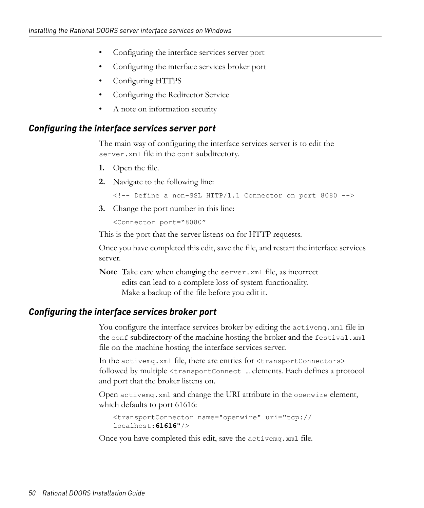- [Configuring the interface services server port](#page-59-0)
- [Configuring the interface services broker port](#page-59-1)
- [Configuring HTTPS](#page-60-0)
- [Configuring the Redirector Service](#page-61-0)
- [A note on information security](#page-62-1)

#### <span id="page-59-0"></span>*Configuring the interface services server port*

The main way of configuring the interface services server is to edit the server. xml file in the conf subdirectory.

- **1.** Open the file.
- **2.** Navigate to the following line:

```
<!-- Define a non-SSL HTTP/1.1 Connector on port 8080 -->
```
**3.** Change the port number in this line:

<Connector port="8080"

This is the port that the server listens on for HTTP requests.

Once you have completed this edit, save the file, and restart the interface services server.

**Note** Take care when changing the server.xml file, as incorrect edits can lead to a complete loss of system functionality. Make a backup of the file before you edit it.

#### <span id="page-59-1"></span>*Configuring the interface services broker port*

You configure the interface services broker by editing the activemq.xml file in the conf subdirectory of the machine hosting the broker and the festival.xml file on the machine hosting the interface services server.

In the activemq. xml file, there are entries for <transportConnectors> followed by multiple <transportConnect … elements. Each defines a protocol and port that the broker listens on.

Open activemq.xml and change the URI attribute in the openwire element, which defaults to port 61616:

```
<transportConnector name="openwire" uri="tcp://
localhost:61616"/>
```
Once you have completed this edit, save the activemq.xml file.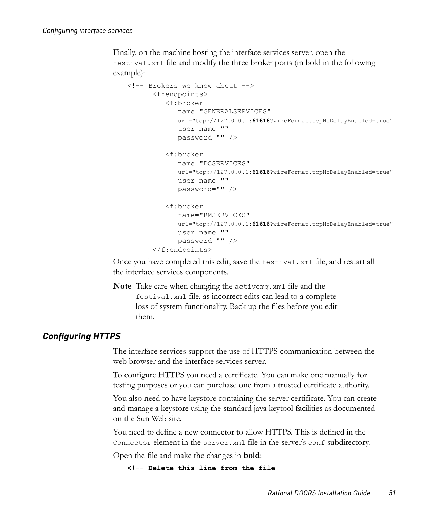Finally, on the machine hosting the interface services server, open the festival.xml file and modify the three broker ports (in bold in the following example):

```
<!-- Brokers we know about -->
        <f:endpoints>
           <f:broker 
               name="GENERALSERVICES" 
               url="tcp://127.0.0.1:61616?wireFormat.tcpNoDelayEnabled=true"
               user name="" 
              password="" />
           <f:broker 
               name="DCSERVICES" 
               url="tcp://127.0.0.1:61616?wireFormat.tcpNoDelayEnabled=true"
               user name="" 
              password="" />
           <f:broker 
              name="RMSERVICES" 
               url="tcp://127.0.0.1:61616?wireFormat.tcpNoDelayEnabled=true"
               user name="" 
              password="" /> 
        </f:endpoints>
```
Once you have completed this edit, save the festival.xml file, and restart all the interface services components.

**Note** Take care when changing the activemq.xml file and the festival.xml file, as incorrect edits can lead to a complete loss of system functionality. Back up the files before you edit them.

#### <span id="page-60-0"></span>*Configuring HTTPS*

The interface services support the use of HTTPS communication between the web browser and the interface services server.

To configure HTTPS you need a certificate. You can make one manually for testing purposes or you can purchase one from a trusted certificate authority.

You also need to have keystore containing the server certificate. You can create and manage a keystore using the standard java keytool facilities as documented on the Sun Web site.

You need to define a new connector to allow HTTPS. This is defined in the Connector element in the server.xml file in the server's conf subdirectory.

Open the file and make the changes in **bold**:

**<!-- Delete this line from the file**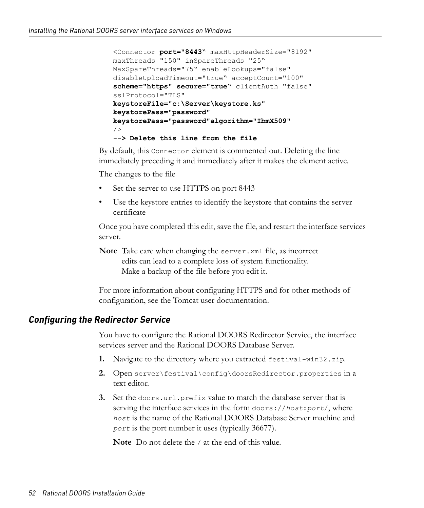```
<Connector port="8443" maxHttpHeaderSize="8192"
maxThreads="150" inSpareThreads="25"
MaxSpareThreads="75" enableLookups="false" 
disableUploadTimeout="true" acceptCount="100" 
scheme="https" secure="true" clientAuth="false" 
sslProtocol="TLS"
keystoreFile="c:\Server\keystore.ks"
keystorePass="password" 
keystorePass="password"algorithm="IbmX509"
/> 
--> Delete this line from the file
```
By default, this Connector element is commented out. Deleting the line immediately preceding it and immediately after it makes the element active.

The changes to the file

- Set the server to use HTTPS on port 8443
- Use the keystore entries to identify the keystore that contains the server certificate

Once you have completed this edit, save the file, and restart the interface services server.

**Note** Take care when changing the server.xml file, as incorrect edits can lead to a complete loss of system functionality. Make a backup of the file before you edit it.

For more information about configuring HTTPS and for other methods of configuration, see the Tomcat user documentation.

#### <span id="page-61-0"></span>*Configuring the Redirector Service*

You have to configure the Rational DOORS Redirector Service, the interface services server and the Rational DOORS Database Server.

- **1.** Navigate to the directory where you extracted festival-win32.zip.
- **2.** Open server\festival\config\doorsRedirector.properties in a text editor.
- **3.** Set the doors.url.prefix value to match the database server that is serving the interface services in the form doors://*host*:*port*/, where *host* is the name of the Rational DOORS Database Server machine and *port* is the port number it uses (typically 36677).

**Note** Do not delete the / at the end of this value.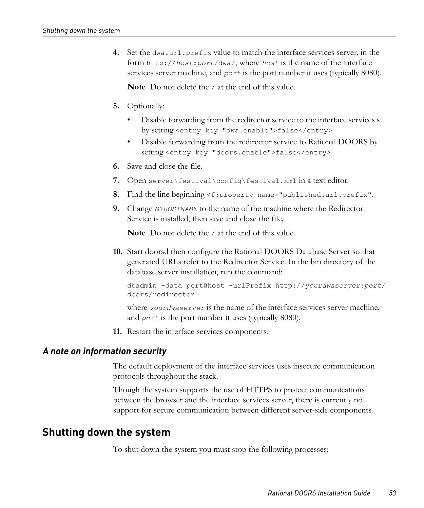**4.** Set the dwa.url.prefix value to match the interface services server, in the form http://*host*:*port*/dwa/, where *host* is the name of the interface services server machine, and *port* is the port number it uses (typically 8080).

**Note** Do not delete the / at the end of this value.

- **5.** Optionally:
	- Disable forwarding from the redirector service to the interface services s by setting <entry key="dwa.enable">false</entry>
	- Disable forwarding from the redirector service to Rational DOORS by setting <entry key="doors.enable">false</entry>
- **6.** Save and close the file.
- **7.** Open server\festival\config\festival.xml in a text editor.
- **8.** Find the line beginning <f:property name="published.url.prefix".
- **9.** Change *MYHOSTNAME* to the name of the machine where the Redirector Service is installed, then save and close the file.

**Note** Do not delete the / at the end of this value.

**10.** Start doorsd then configure the Rational DOORS Database Server so that generated URLs refer to the Redirector Service. In the bin directory of the database server installation, run the command:

dbadmin -data port@host -urlPrefix http://*yourdwaserver*:*port*/ doors/redirector

where *yourdwaserver* is the name of the interface services server machine, and *port* is the port number it uses (typically 8080).

**11.** Restart the interface services components.

#### <span id="page-62-1"></span>*A note on information security*

The default deployment of the interface services uses insecure communication protocols throughout the stack.

Though the system supports the use of HTTPS to protect communications between the browser and the interface services server, there is currently no support for secure communication between different server-side components.

## <span id="page-62-0"></span>**Shutting down the system**

To shut down the system you must stop the following processes: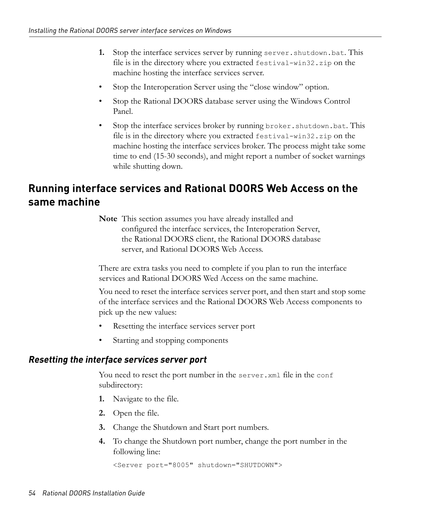- **1.** Stop the interface services server by running server.shutdown.bat. This file is in the directory where you extracted festival-win32.zip on the machine hosting the interface services server.
- Stop the Interoperation Server using the "close window" option.
- Stop the Rational DOORS database server using the Windows Control Panel.
- Stop the interface services broker by running broker.shutdown.bat. This file is in the directory where you extracted festival-win32.zip on the machine hosting the interface services broker. The process might take some time to end (15-30 seconds), and might report a number of socket warnings while shutting down.

## <span id="page-63-0"></span>**Running interface services and Rational DOORS Web Access on the same machine**

**Note** This section assumes you have already installed and configured the interface services, the Interoperation Server, the Rational DOORS client, the Rational DOORS database server, and Rational DOORS Web Access.

There are extra tasks you need to complete if you plan to run the interface services and Rational DOORS Wed Access on the same machine.

You need to reset the interface services server port, and then start and stop some of the interface services and the Rational DOORS Web Access components to pick up the new values:

- [Resetting the interface services server port](#page-63-1)
- [Starting and stopping components](#page-64-0)

#### <span id="page-63-1"></span>*Resetting the interface services server port*

You need to reset the port number in the server. xml file in the conf subdirectory:

- **1.** Navigate to the file.
- **2.** Open the file.
- **3.** Change the Shutdown and Start port numbers.
- **4.** To change the Shutdown port number, change the port number in the following line:

```
<Server port="8005" shutdown="SHUTDOWN">
```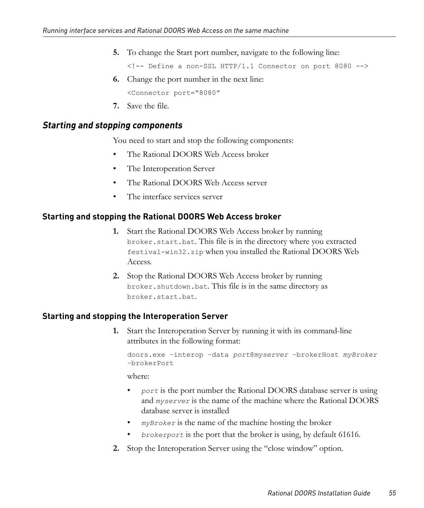**5.** To change the Start port number, navigate to the following line:

```
<!-- Define a non-SSL HTTP/1.1 Connector on port 8080 -->
```
- **6.** Change the port number in the next line: <Connector port="8080"
- **7.** Save the file.

#### <span id="page-64-0"></span>*Starting and stopping components*

You need to start and stop the following components:

- The Rational DOORS Web Access broker
- The Interoperation Server
- The Rational DOORS Web Access server
- The interface services server

#### **Starting and stopping the Rational DOORS Web Access broker**

- **1.** Start the Rational DOORS Web Access broker by running broker.start.bat. This file is in the directory where you extracted festival-win32.zip when you installed the Rational DOORS Web Access.
- **2.** Stop the Rational DOORS Web Access broker by running broker.shutdown.bat. This file is in the same directory as broker.start.bat.

#### **Starting and stopping the Interoperation Server**

**1.** Start the Interoperation Server by running it with its command-line attributes in the following format:

```
doors.exe –interop –data port@myserver –brokerHost myBroker
–brokerPort
```
where:

- *port* is the port number the Rational DOORS database server is using and *myserver* is the name of the machine where the Rational DOORS database server is installed
- *myBroker* is the name of the machine hosting the broker
- *brokerport* is the port that the broker is using, by default 61616.
- **2.** Stop the Interoperation Server using the "close window" option.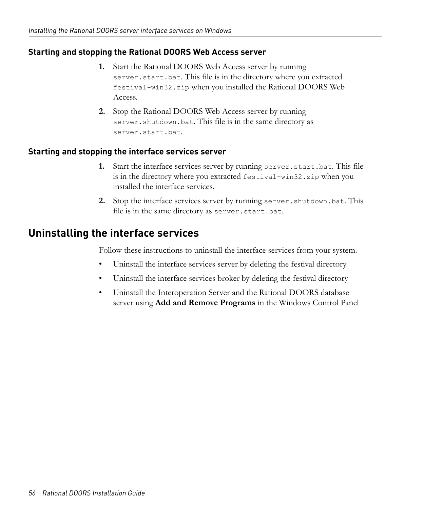#### **Starting and stopping the Rational DOORS Web Access server**

- **1.** Start the Rational DOORS Web Access server by running server.start.bat. This file is in the directory where you extracted festival-win32.zip when you installed the Rational DOORS Web Access.
- **2.** Stop the Rational DOORS Web Access server by running server.shutdown.bat. This file is in the same directory as server.start.bat.

#### **Starting and stopping the interface services server**

- **1.** Start the interface services server by running server.start.bat. This file is in the directory where you extracted festival-win32.zip when you installed the interface services.
- **2.** Stop the interface services server by running server.shutdown.bat. This file is in the same directory as server.start.bat.

## <span id="page-65-0"></span>**Uninstalling the interface services**

Follow these instructions to uninstall the interface services from your system.

- Uninstall the interface services server by deleting the festival directory
- Uninstall the interface services broker by deleting the festival directory
- Uninstall the Interoperation Server and the Rational DOORS database server using **Add and Remove Programs** in the Windows Control Panel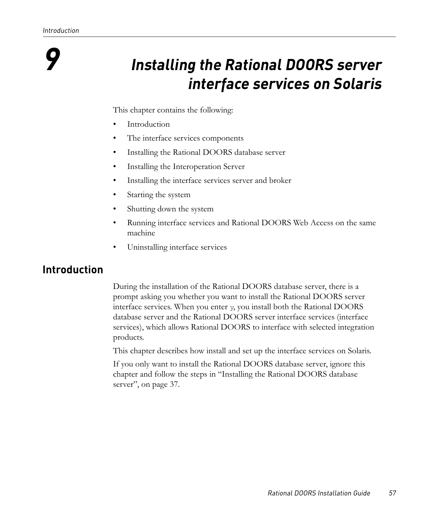## <span id="page-66-0"></span>*9 Installing the Rational DOORS server interface services on Solaris*

This chapter contains the following:

- **[Introduction](#page-66-1)**
- [The interface services components](#page-67-0)
- [Installing the Rational DOORS database server](#page-67-1)
- [Installing the Interoperation Server](#page-69-0)
- [Installing the interface services server and broker](#page-70-0)
- [Starting the system](#page-71-0)
- [Shutting down the system](#page-72-0)
- [Running interface services and Rational DOORS Web Access on the same](#page-72-1)  [machine](#page-72-1)
- [Uninstalling interface services](#page-74-0)

## <span id="page-66-1"></span>**Introduction**

During the installation of the Rational DOORS database server, there is a prompt asking you whether you want to install the Rational DOORS server interface services. When you enter y, you install both the Rational DOORS database server and the Rational DOORS server interface services (interface services), which allows Rational DOORS to interface with selected integration products.

This chapter describes how install and set up the interface services on Solaris.

If you only want to install the Rational DOORS database server, ignore this chapter and follow the steps in ["Installing the Rational DOORS database](#page-46-0)  [server", on page 37.](#page-46-0)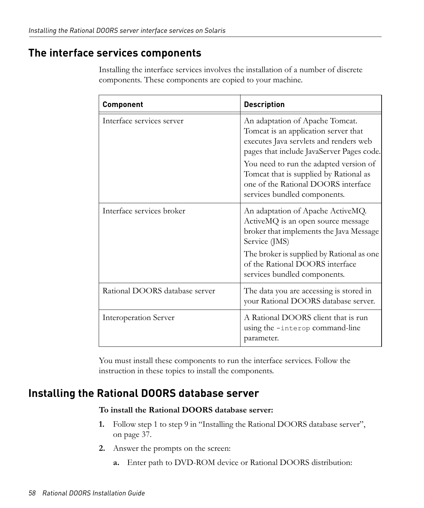## <span id="page-67-0"></span>**The interface services components**

Installing the interface services involves the installation of a number of discrete components. These components are copied to your machine.

| <b>Component</b>               | <b>Description</b>                                                                                                                                                                                                                                                                                                        |
|--------------------------------|---------------------------------------------------------------------------------------------------------------------------------------------------------------------------------------------------------------------------------------------------------------------------------------------------------------------------|
| Interface services server      | An adaptation of Apache Tomcat.<br>Tomcat is an application server that<br>executes Java servlets and renders web<br>pages that include JavaServer Pages code.<br>You need to run the adapted version of<br>Tomcat that is supplied by Rational as<br>one of the Rational DOORS interface<br>services bundled components. |
| Interface services broker      | An adaptation of Apache ActiveMQ.<br>ActiveMQ is an open source message<br>broker that implements the Java Message<br>Service (JMS)<br>The broker is supplied by Rational as one<br>of the Rational DOORS interface<br>services bundled components.                                                                       |
| Rational DOORS database server | The data you are accessing is stored in<br>your Rational DOORS database server.                                                                                                                                                                                                                                           |
| <b>Interoperation Server</b>   | A Rational DOORS client that is run<br>using the -interop command-line<br>parameter.                                                                                                                                                                                                                                      |

You must install these components to run the interface services. Follow the instruction in these topics to install the components.

## <span id="page-67-1"></span>**Installing the Rational DOORS database server**

#### **To install the Rational DOORS database server:**

- **1.** Follow [step 1](#page-46-4) to [step 9](#page-48-1) in ["Installing the Rational DOORS database server",](#page-46-0)  [on page 37.](#page-46-0)
- **2.** Answer the prompts on the screen:
	- **a.** Enter path to DVD-ROM device or Rational DOORS distribution: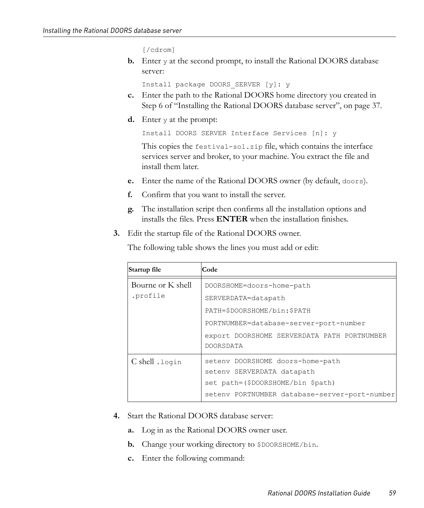[/cdrom]

**b.** Enter y at the second prompt, to install the Rational DOORS database server:

Install package DOORS\_SERVER [y]: y

- **c.** Enter the path to the Rational DOORS home directory you created in [Step 6](#page-47-2) of ["Installing the Rational DOORS database server", on page 37](#page-46-0).
- **d.** Enter y at the prompt:

```
Install DOORS SERVER Interface Services [n]: y
```
This copies the festival-sol.zip file, which contains the interface services server and broker, to your machine. You extract the file and install them later.

- **e.** Enter the name of the Rational DOORS owner (by default, doors).
- **f.** Confirm that you want to install the server.
- **g.** The installation script then confirms all the installation options and installs the files. Press **ENTER** when the installation finishes.
- **3.** Edit the startup file of the Rational DOORS owner.

The following table shows the lines you must add or edit:

| Startup file                  | Code                                                                                                                                                                                         |
|-------------------------------|----------------------------------------------------------------------------------------------------------------------------------------------------------------------------------------------|
| Bourne or K shell<br>.profile | DOORSHOME=doors-home-path<br>SERVERDATA=datapath<br>PATH=\$DOORSHOME/bin:\$PATH<br>PORTNUMBER=database-server-port-number<br>export DOORSHOME SERVERDATA PATH PORTNUMBER<br><b>DOORSDATA</b> |
| C shell .login                | seteny DOORSHOME doors-home-path<br>setenv SERVERDATA datapath<br>set path=(\$DOORSHOME/bin \$path)<br>setenv PORTNUMBER database-server-port-number                                         |

- **4.** Start the Rational DOORS database server:
	- **a.** Log in as the Rational DOORS owner user.
	- **b.** Change your working directory to \$DOORSHOME/bin.
	- **c.** Enter the following command: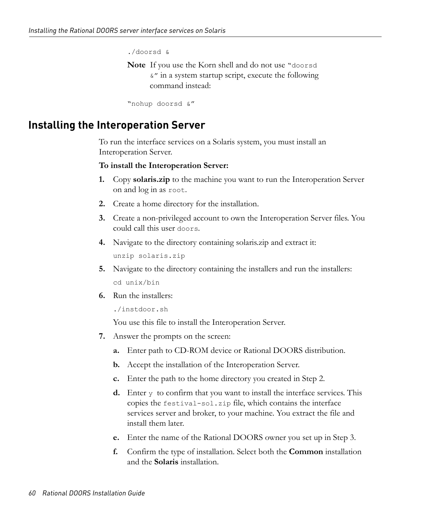```
./doorsd &
```
**Note** If you use the Korn shell and do not use "doorsd &" in a system startup script, execute the following command instead:

```
"nohup doorsd &"
```
## <span id="page-69-0"></span>**Installing the Interoperation Server**

To run the interface services on a Solaris system, you must install an Interoperation Server.

#### **To install the Interoperation Server:**

- **1.** Copy **solaris.zip** to the machine you want to run the Interoperation Server on and log in as root.
- <span id="page-69-1"></span>**2.** Create a home directory for the installation.
- <span id="page-69-2"></span>**3.** Create a non-privileged account to own the Interoperation Server files. You could call this user doors.
- **4.** Navigate to the directory containing solaris.zip and extract it:

unzip solaris.zip

- **5.** Navigate to the directory containing the installers and run the installers: cd unix/bin
- **6.** Run the installers:

./instdoor.sh

You use this file to install the Interoperation Server.

- **7.** Answer the prompts on the screen:
	- **a.** Enter path to CD-ROM device or Rational DOORS distribution.
	- **b.** Accept the installation of the Interoperation Server.
	- **c.** Enter the path to the home directory you created in [Step 2](#page-69-1).
	- **d.** Enter y to confirm that you want to install the interface services. This copies the festival-sol.zip file, which contains the interface services server and broker, to your machine. You extract the file and install them later.
	- **e.** Enter the name of the Rational DOORS owner you set up in [Step 3.](#page-69-2)
	- **f.** Confirm the type of installation. Select both the **Common** installation and the **Solaris** installation.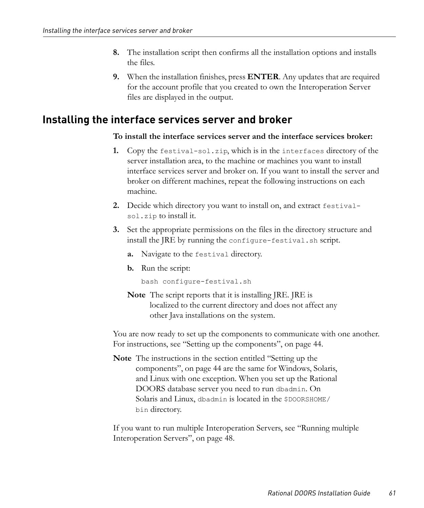- **8.** The installation script then confirms all the installation options and installs the files.
- **9.** When the installation finishes, press **ENTER**. Any updates that are required for the account profile that you created to own the Interoperation Server files are displayed in the output.

### <span id="page-70-0"></span>**Installing the interface services server and broker**

#### **To install the interface services server and the interface services broker:**

- **1.** Copy the festival-sol.zip, which is in the interfaces directory of the server installation area, to the machine or machines you want to install interface services server and broker on. If you want to install the server and broker on different machines, repeat the following instructions on each machine.
- **2.** Decide which directory you want to install on, and extract festivalsol.zip to install it.
- **3.** Set the appropriate permissions on the files in the directory structure and install the JRE by running the configure-festival.sh script.
	- **a.** Navigate to the festival directory.
	- **b.** Run the script:

bash configure-festival.sh

**Note** The script reports that it is installing JRE. JRE is localized to the current directory and does not affect any other Java installations on the system.

You are now ready to set up the components to communicate with one another. For instructions, see ["Setting up the components", on page 44](#page-53-4).

**Note** The instructions in the section entitled ["Setting up the](#page-53-4)  [components", on page 44](#page-53-4) are the same for Windows, Solaris, and Linux with one exception. When you set up the Rational DOORS database server you need to run dbadmin. On Solaris and Linux, dbadmin is located in the \$DOORSHOME/ bin directory.

If you want to run multiple Interoperation Servers, see ["Running multiple](#page-57-1)  [Interoperation Servers", on page 48](#page-57-1).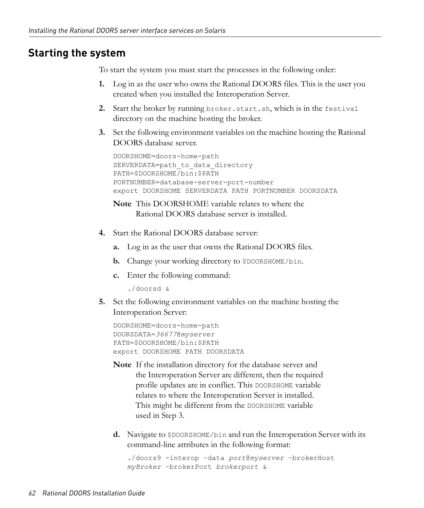## <span id="page-71-0"></span>**Starting the system**

To start the system you must start the processes in the following order:

- **1.** Log in as the user who owns the Rational DOORS files. This is the user you created when you installed the Interoperation Server.
- **2.** Start the broker by running broker.start.sh, which is in the festival directory on the machine hosting the broker.
- <span id="page-71-1"></span>**3.** Set the following environment variables on the machine hosting the Rational DOORS database server.

```
DOORSHOME=doors-home-path
SERVERDATA=path to data directory
PATH=$DOORSHOME/bin:$PATH
PORTNUMBER=database-server-port-number
export DOORSHOME SERVERDATA PATH PORTNUMBER DOORSDATA
```
**Note** This DOORSHOME variable relates to where the Rational DOORS database server is installed.

- **4.** Start the Rational DOORS database server:
	- **a.** Log in as the user that owns the Rational DOORS files.
	- **b.** Change your working directory to \$DOORSHOME/bin.
	- **c.** Enter the following command:

./doorsd &

**5.** Set the following environment variables on the machine hosting the Interoperation Server:

```
DOORSHOME=doors-home-path
DOORSDATA=36677@myserver
PATH=$DOORSHOME/bin:$PATH
export DOORSHOME PATH DOORSDATA
```
- **Note** If the installation directory for the database server and the Interoperation Server are different, then the required profile updates are in conflict. This DOORSHOME variable relates to where the Interoperation Server is installed. This might be different from the DOORSHOME variable used in [Step 3.](#page-71-1)
- **d.** Navigate to \$DOORSHOME/bin and run the Interoperation Server with its command-line attributes in the following format:

```
./doors9 -interop –data port@myserver –brokerHost
myBroker –brokerPort brokerport &
```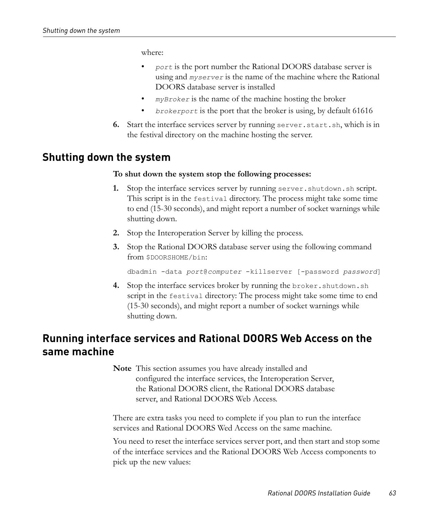where:

- *port* is the port number the Rational DOORS database server is using and *myserver* is the name of the machine where the Rational DOORS database server is installed
- *myBroker* is the name of the machine hosting the broker
- *brokerport* is the port that the broker is using, by default 61616
- **6.** Start the interface services server by running server.start.sh, which is in the festival directory on the machine hosting the server.

## **Shutting down the system**

#### **To shut down the system stop the following processes:**

- **1.** Stop the interface services server by running server.shutdown.sh script. This script is in the festival directory. The process might take some time to end (15-30 seconds), and might report a number of socket warnings while shutting down.
- **2.** Stop the Interoperation Server by killing the process.
- **3.** Stop the Rational DOORS database server using the following command from \$DOORSHOME/bin:

dbadmin -data *port*@*computer* -killserver [-password *password*]

**4.** Stop the interface services broker by running the broker.shutdown.sh script in the festival directory: The process might take some time to end (15-30 seconds), and might report a number of socket warnings while shutting down.

## **Running interface services and Rational DOORS Web Access on the same machine**

**Note** This section assumes you have already installed and configured the interface services, the Interoperation Server, the Rational DOORS client, the Rational DOORS database server, and Rational DOORS Web Access.

There are extra tasks you need to complete if you plan to run the interface services and Rational DOORS Wed Access on the same machine.

You need to reset the interface services server port, and then start and stop some of the interface services and the Rational DOORS Web Access components to pick up the new values: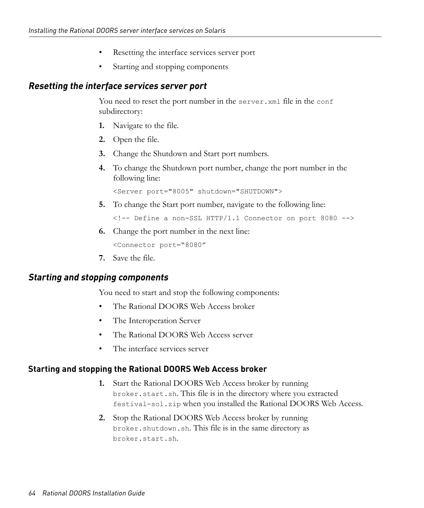- [Resetting the interface services server port](#page-73-0)
- [Starting and stopping components](#page-73-1)

#### <span id="page-73-0"></span>*Resetting the interface services server port*

You need to reset the port number in the server, xml file in the conf subdirectory:

- **1.** Navigate to the file.
- **2.** Open the file.
- **3.** Change the Shutdown and Start port numbers.
- **4.** To change the Shutdown port number, change the port number in the following line:

<Server port="8005" shutdown="SHUTDOWN">

**5.** To change the Start port number, navigate to the following line:

```
<!-- Define a non-SSL HTTP/1.1 Connector on port 8080 -->
```
- **6.** Change the port number in the next line: <Connector port="8080"
- **7.** Save the file.

#### <span id="page-73-1"></span>*Starting and stopping components*

You need to start and stop the following components:

- The Rational DOORS Web Access broker
- The Interoperation Server
- The Rational DOORS Web Access server
- The interface services server

#### **Starting and stopping the Rational DOORS Web Access broker**

- **1.** Start the Rational DOORS Web Access broker by running broker.start.sh. This file is in the directory where you extracted festival-sol.zip when you installed the Rational DOORS Web Access.
- **2.** Stop the Rational DOORS Web Access broker by running broker.shutdown.sh. This file is in the same directory as broker.start.sh.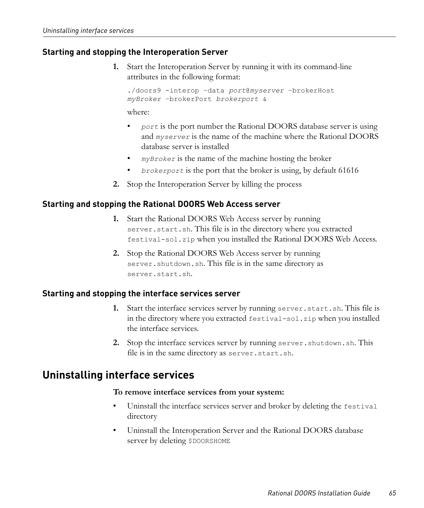#### **Starting and stopping the Interoperation Server**

**1.** Start the Interoperation Server by running it with its command-line attributes in the following format:

./doors9 -interop –data *port*@*myserver* –brokerHost *myBroker* –brokerPort *brokerport* &

where:

- *port* is the port number the Rational DOORS database server is using and *myserver* is the name of the machine where the Rational DOORS database server is installed
- *myBroker* is the name of the machine hosting the broker
- *brokerport* is the port that the broker is using, by default 61616
- **2.** Stop the Interoperation Server by killing the process

#### **Starting and stopping the Rational DOORS Web Access server**

- **1.** Start the Rational DOORS Web Access server by running server.start.sh. This file is in the directory where you extracted festival-sol.zip when you installed the Rational DOORS Web Access.
- **2.** Stop the Rational DOORS Web Access server by running server.shutdown.sh. This file is in the same directory as server.start.sh.

#### **Starting and stopping the interface services server**

- **1.** Start the interface services server by running server.start.sh. This file is in the directory where you extracted festival-sol.zip when you installed the interface services.
- **2.** Stop the interface services server by running server.shutdown.sh. This file is in the same directory as server.start.sh.

### **Uninstalling interface services**

#### **To remove interface services from your system:**

- Uninstall the interface services server and broker by deleting the festival directory
- Uninstall the Interoperation Server and the Rational DOORS database server by deleting \$DOORSHOME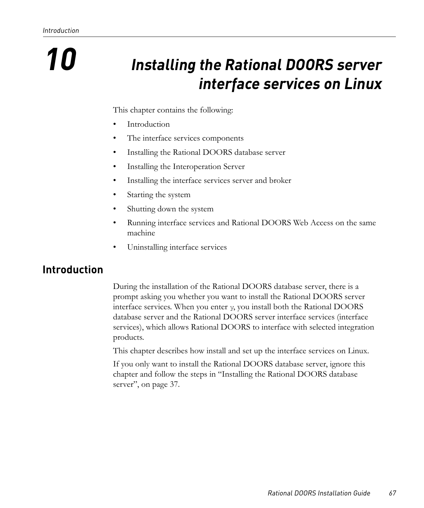## *10 Installing the Rational DOORS server interface services on Linux*

This chapter contains the following:

- **[Introduction](#page-76-0)**
- [The interface services components](#page-77-0)
- [Installing the Rational DOORS database server](#page-77-1)
- [Installing the Interoperation Server](#page-79-0)
- [Installing the interface services server and broker](#page-80-0)
- [Starting the system](#page-81-0)
- [Shutting down the system](#page-82-0)
- [Running interface services and Rational DOORS Web Access on the same](#page-82-1)  [machine](#page-82-1)
- [Uninstalling interface services](#page-84-0)

## <span id="page-76-0"></span>**Introduction**

During the installation of the Rational DOORS database server, there is a prompt asking you whether you want to install the Rational DOORS server interface services. When you enter y, you install both the Rational DOORS database server and the Rational DOORS server interface services (interface services), which allows Rational DOORS to interface with selected integration products.

This chapter describes how install and set up the interface services on Linux.

If you only want to install the Rational DOORS database server, ignore this chapter and follow the steps in ["Installing the Rational DOORS database](#page-46-0)  [server", on page 37.](#page-46-0)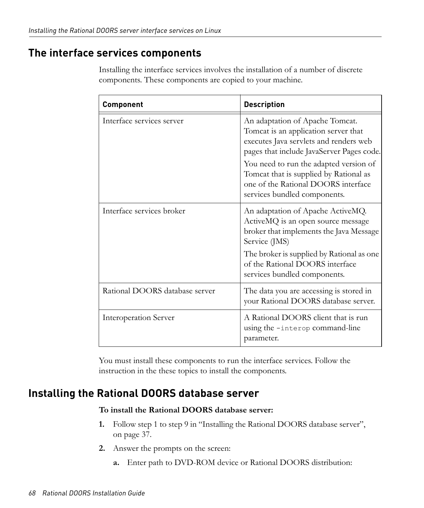## <span id="page-77-0"></span>**The interface services components**

Installing the interface services involves the installation of a number of discrete components. These components are copied to your machine.

| Component                      | <b>Description</b>                                                                                                                                                                                                                                                                                                        |
|--------------------------------|---------------------------------------------------------------------------------------------------------------------------------------------------------------------------------------------------------------------------------------------------------------------------------------------------------------------------|
| Interface services server      | An adaptation of Apache Tomcat.<br>Tomcat is an application server that<br>executes Java servlets and renders web<br>pages that include JavaServer Pages code.<br>You need to run the adapted version of<br>Tomcat that is supplied by Rational as<br>one of the Rational DOORS interface<br>services bundled components. |
| Interface services broker      | An adaptation of Apache ActiveMQ.<br>ActiveMQ is an open source message<br>broker that implements the Java Message<br>Service (JMS)<br>The broker is supplied by Rational as one<br>of the Rational DOORS interface<br>services bundled components.                                                                       |
| Rational DOORS database server | The data you are accessing is stored in<br>your Rational DOORS database server.                                                                                                                                                                                                                                           |
| <b>Interoperation Server</b>   | A Rational DOORS client that is run<br>using the -interop command-line<br>parameter.                                                                                                                                                                                                                                      |

You must install these components to run the interface services. Follow the instruction in the these topics to install the components.

## <span id="page-77-1"></span>**Installing the Rational DOORS database server**

#### **To install the Rational DOORS database server:**

- **1.** Follow [step 1](#page-46-1) to [step 9](#page-48-0) in ["Installing the Rational DOORS database server",](#page-46-0)  [on page 37.](#page-46-0)
- **2.** Answer the prompts on the screen:
	- **a.** Enter path to DVD-ROM device or Rational DOORS distribution: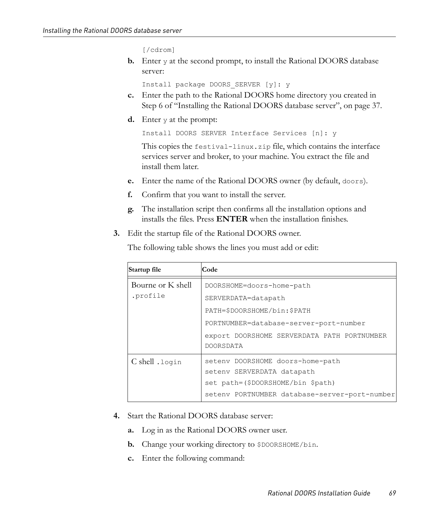[/cdrom]

**b.** Enter y at the second prompt, to install the Rational DOORS database server:

Install package DOORS\_SERVER [y]: y

- **c.** Enter the path to the Rational DOORS home directory you created in [Step 6](#page-47-0) of ["Installing the Rational DOORS database server", on page 37](#page-46-0).
- **d.** Enter y at the prompt:

```
Install DOORS SERVER Interface Services [n]: y
```
This copies the festival-linux.zip file, which contains the interface services server and broker, to your machine. You extract the file and install them later.

- **e.** Enter the name of the Rational DOORS owner (by default, doors).
- **f.** Confirm that you want to install the server.
- **g.** The installation script then confirms all the installation options and installs the files. Press **ENTER** when the installation finishes.
- **3.** Edit the startup file of the Rational DOORS owner.

The following table shows the lines you must add or edit:

| Startup file                  | Code                                                                                                                                                                                         |
|-------------------------------|----------------------------------------------------------------------------------------------------------------------------------------------------------------------------------------------|
| Bourne or K shell<br>.profile | DOORSHOME=doors-home-path<br>SERVERDATA=datapath<br>PATH=\$DOORSHOME/bin:\$PATH<br>PORTNUMBER=database-server-port-number<br>export DOORSHOME SERVERDATA PATH PORTNUMBER<br><b>DOORSDATA</b> |
| C shell .login                | seteny DOORSHOME doors-home-path<br>setenv SERVERDATA datapath<br>set path=(\$DOORSHOME/bin \$path)<br>setenv PORTNUMBER database-server-port-number                                         |

- **4.** Start the Rational DOORS database server:
	- **a.** Log in as the Rational DOORS owner user.
	- **b.** Change your working directory to \$DOORSHOME/bin.
	- **c.** Enter the following command: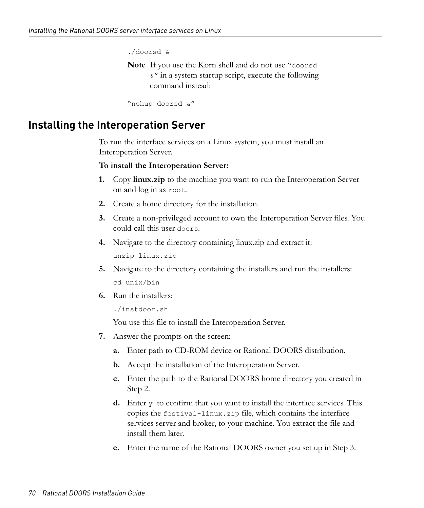```
./doorsd &
```
**Note** If you use the Korn shell and do not use "doorsd &" in a system startup script, execute the following command instead:

```
"nohup doorsd &"
```
## <span id="page-79-0"></span>**Installing the Interoperation Server**

To run the interface services on a Linux system, you must install an Interoperation Server.

#### **To install the Interoperation Server:**

- **1.** Copy **linux.zip** to the machine you want to run the Interoperation Server on and log in as root.
- **2.** Create a home directory for the installation.
- <span id="page-79-1"></span>**3.** Create a non-privileged account to own the Interoperation Server files. You could call this user doors.
- **4.** Navigate to the directory containing linux.zip and extract it:

unzip linux.zip

- **5.** Navigate to the directory containing the installers and run the installers: cd unix/bin
- **6.** Run the installers:

./instdoor.sh

You use this file to install the Interoperation Server.

- **7.** Answer the prompts on the screen:
	- **a.** Enter path to CD-ROM device or Rational DOORS distribution.
	- **b.** Accept the installation of the Interoperation Server.
	- **c.** Enter the path to the Rational DOORS home directory you created in Step 2.
	- **d.** Enter y to confirm that you want to install the interface services. This copies the festival-linux.zip file, which contains the interface services server and broker, to your machine. You extract the file and install them later.
	- **e.** Enter the name of the Rational DOORS owner you set up in [Step 3.](#page-79-1)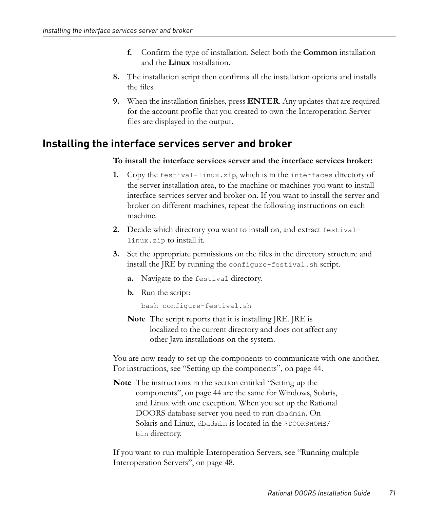- **f.** Confirm the type of installation. Select both the **Common** installation and the **Linux** installation.
- **8.** The installation script then confirms all the installation options and installs the files.
- **9.** When the installation finishes, press **ENTER**. Any updates that are required for the account profile that you created to own the Interoperation Server files are displayed in the output.

### <span id="page-80-0"></span>**Installing the interface services server and broker**

#### **To install the interface services server and the interface services broker:**

- **1.** Copy the festival-linux.zip, which is in the interfaces directory of the server installation area, to the machine or machines you want to install interface services server and broker on. If you want to install the server and broker on different machines, repeat the following instructions on each machine.
- **2.** Decide which directory you want to install on, and extract festivallinux.zip to install it.
- **3.** Set the appropriate permissions on the files in the directory structure and install the JRE by running the configure-festival.sh script.
	- **a.** Navigate to the festival directory.
	- **b.** Run the script:

bash configure-festival.sh

**Note** The script reports that it is installing JRE. JRE is localized to the current directory and does not affect any other Java installations on the system.

You are now ready to set up the components to communicate with one another. For instructions, see ["Setting up the components", on page 44](#page-53-0).

**Note** The instructions in the section entitled ["Setting up the](#page-53-0)  [components", on page 44](#page-53-0) are the same for Windows, Solaris, and Linux with one exception. When you set up the Rational DOORS database server you need to run dbadmin. On Solaris and Linux, dbadmin is located in the \$DOORSHOME/ bin directory.

If you want to run multiple Interoperation Servers, see ["Running multiple](#page-57-0)  [Interoperation Servers", on page 48](#page-57-0).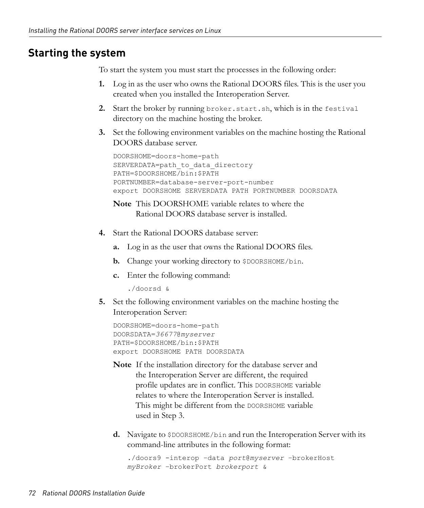## <span id="page-81-0"></span>**Starting the system**

To start the system you must start the processes in the following order:

- **1.** Log in as the user who owns the Rational DOORS files. This is the user you created when you installed the Interoperation Server.
- **2.** Start the broker by running broker.start.sh, which is in the festival directory on the machine hosting the broker.
- **3.** Set the following environment variables on the machine hosting the Rational DOORS database server.

```
DOORSHOME=doors-home-path
SERVERDATA=path to data directory
PATH=$DOORSHOME/bin:$PATH
PORTNUMBER=database-server-port-number
export DOORSHOME SERVERDATA PATH PORTNUMBER DOORSDATA
```
**Note** This DOORSHOME variable relates to where the Rational DOORS database server is installed.

- **4.** Start the Rational DOORS database server:
	- **a.** Log in as the user that owns the Rational DOORS files.
	- **b.** Change your working directory to \$DOORSHOME/bin.
	- **c.** Enter the following command:

./doorsd &

**5.** Set the following environment variables on the machine hosting the Interoperation Server:

```
DOORSHOME=doors-home-path
DOORSDATA=36677@myserver
PATH=$DOORSHOME/bin:$PATH
export DOORSHOME PATH DOORSDATA
```
- **Note** If the installation directory for the database server and the Interoperation Server are different, the required profile updates are in conflict. This DOORSHOME variable relates to where the Interoperation Server is installed. This might be different from the DOORSHOME variable used in Step 3.
- **d.** Navigate to \$DOORSHOME/bin and run the Interoperation Server with its command-line attributes in the following format:

```
./doors9 -interop –data port@myserver –brokerHost
myBroker –brokerPort brokerport &
```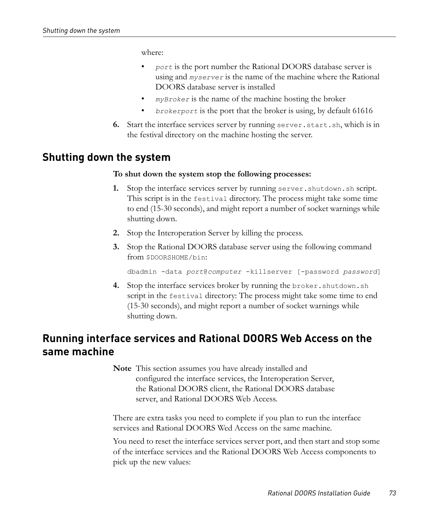where:

- *port* is the port number the Rational DOORS database server is using and *myserver* is the name of the machine where the Rational DOORS database server is installed
- *myBroker* is the name of the machine hosting the broker
- *brokerport* is the port that the broker is using, by default 61616
- **6.** Start the interface services server by running server.start.sh, which is in the festival directory on the machine hosting the server.

## <span id="page-82-0"></span>**Shutting down the system**

#### **To shut down the system stop the following processes:**

- **1.** Stop the interface services server by running server.shutdown.sh script. This script is in the festival directory. The process might take some time to end (15-30 seconds), and might report a number of socket warnings while shutting down.
- **2.** Stop the Interoperation Server by killing the process.
- **3.** Stop the Rational DOORS database server using the following command from \$DOORSHOME/bin:

dbadmin -data *port*@*computer* -killserver [-password *password*]

**4.** Stop the interface services broker by running the broker.shutdown.sh script in the festival directory: The process might take some time to end (15-30 seconds), and might report a number of socket warnings while shutting down.

## <span id="page-82-1"></span>**Running interface services and Rational DOORS Web Access on the same machine**

**Note** This section assumes you have already installed and configured the interface services, the Interoperation Server, the Rational DOORS client, the Rational DOORS database server, and Rational DOORS Web Access.

There are extra tasks you need to complete if you plan to run the interface services and Rational DOORS Wed Access on the same machine.

You need to reset the interface services server port, and then start and stop some of the interface services and the Rational DOORS Web Access components to pick up the new values: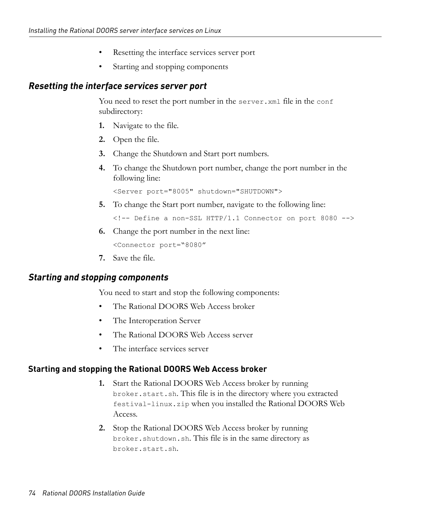- [Resetting the interface services server port](#page-83-0)
- [Starting and stopping components](#page-83-1)

#### <span id="page-83-0"></span>*Resetting the interface services server port*

You need to reset the port number in the server, xml file in the conf subdirectory:

- **1.** Navigate to the file.
- **2.** Open the file.
- **3.** Change the Shutdown and Start port numbers.
- **4.** To change the Shutdown port number, change the port number in the following line:

<Server port="8005" shutdown="SHUTDOWN">

**5.** To change the Start port number, navigate to the following line:

```
<!-- Define a non-SSL HTTP/1.1 Connector on port 8080 -->
```
- **6.** Change the port number in the next line: <Connector port="8080"
- **7.** Save the file.

#### <span id="page-83-1"></span>*Starting and stopping components*

You need to start and stop the following components:

- The Rational DOORS Web Access broker
- The Interoperation Server
- The Rational DOORS Web Access server
- The interface services server

#### **Starting and stopping the Rational DOORS Web Access broker**

- **1.** Start the Rational DOORS Web Access broker by running broker.start.sh. This file is in the directory where you extracted festival-linux.zip when you installed the Rational DOORS Web Access.
- **2.** Stop the Rational DOORS Web Access broker by running broker.shutdown.sh. This file is in the same directory as broker.start.sh.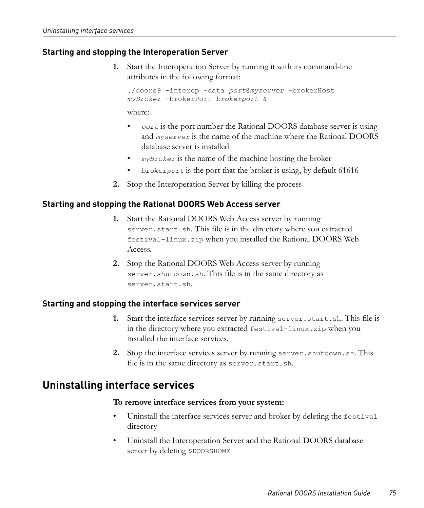#### **Starting and stopping the Interoperation Server**

**1.** Start the Interoperation Server by running it with its command-line attributes in the following format:

./doors9 -interop –data *port*@*myserver* –brokerHost *myBroker* –brokerPort *brokerport* &

where:

- *port* is the port number the Rational DOORS database server is using and *myserver* is the name of the machine where the Rational DOORS database server is installed
- *myBroker* is the name of the machine hosting the broker
- *brokerport* is the port that the broker is using, by default 61616
- **2.** Stop the Interoperation Server by killing the process

#### **Starting and stopping the Rational DOORS Web Access server**

- **1.** Start the Rational DOORS Web Access server by running server.start.sh. This file is in the directory where you extracted festival-linux.zip when you installed the Rational DOORS Web Access.
- **2.** Stop the Rational DOORS Web Access server by running server.shutdown.sh. This file is in the same directory as server.start.sh.

#### **Starting and stopping the interface services server**

- **1.** Start the interface services server by running server.start.sh. This file is in the directory where you extracted festival-linux.zip when you installed the interface services.
- **2.** Stop the interface services server by running server.shutdown.sh. This file is in the same directory as server.start.sh.

## <span id="page-84-0"></span>**Uninstalling interface services**

#### **To remove interface services from your system:**

- Uninstall the interface services server and broker by deleting the festival directory
- Uninstall the Interoperation Server and the Rational DOORS database server by deleting \$DOORSHOME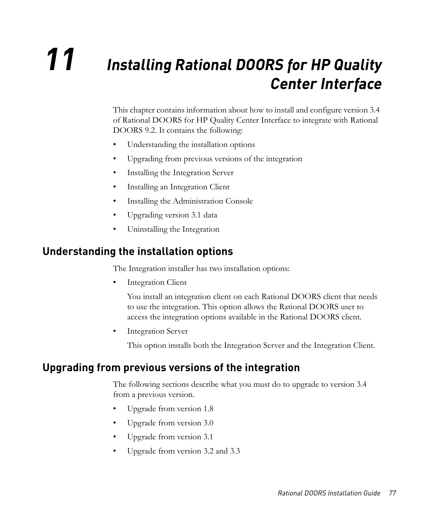## *11 Installing Rational DOORS for HP Quality Center Interface*

This chapter contains information about how to install and configure version 3.4 of Rational DOORS for HP Quality Center Interface to integrate with Rational DOORS 9.2. It contains the following:

- [Understanding the installation options](#page-86-0)
- [Upgrading from previous versions of the integration](#page-86-1)
- [Installing the Integration Server](#page-87-3)
- [Installing an Integration Client](#page-91-0)
- [Installing the Administration Console](#page-92-0)
- [Upgrading version 3.1 data](#page-93-0)
- [Uninstalling the Integration](#page-94-0)

## <span id="page-86-0"></span>**Understanding the installation options**

The Integration installer has two installation options:

**Integration Client** 

You install an integration client on each Rational DOORS client that needs to use the integration. This option allows the Rational DOORS user to access the integration options available in the Rational DOORS client.

**Integration Server** 

This option installs both the Integration Server and the Integration Client.

## <span id="page-86-1"></span>**Upgrading from previous versions of the integration**

The following sections describe what you must do to upgrade to version 3.4 from a previous version.

- [Upgrade from version 1.8](#page-87-4)
- [Upgrade from version 3.0](#page-87-0)
- [Upgrade from version 3.1](#page-87-1)
- [Upgrade from version 3.2 and 3.3](#page-87-2)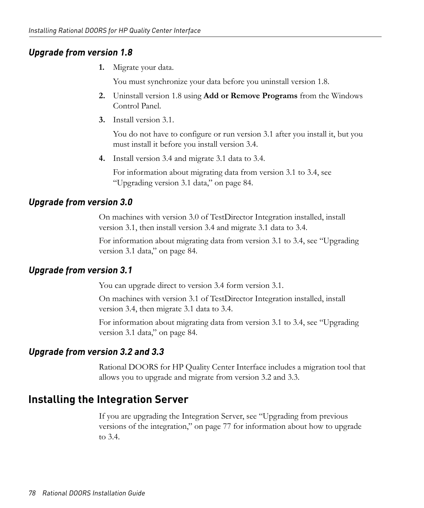#### <span id="page-87-4"></span>*Upgrade from version 1.8*

**1.** Migrate your data.

You must synchronize your data before you uninstall version 1.8.

- **2.** Uninstall version 1.8 using **Add or Remove Programs** from the Windows Control Panel.
- **3.** Install version 3.1.

You do not have to configure or run version 3.1 after you install it, but you must install it before you install version 3.4.

**4.** Install version 3.4 and migrate 3.1 data to 3.4.

For information about migrating data from version 3.1 to 3.4, see ["Upgrading version 3.1 data," on page 84](#page-93-0).

#### <span id="page-87-0"></span>*Upgrade from version 3.0*

On machines with version 3.0 of TestDirector Integration installed, install version 3.1, then install version 3.4 and migrate 3.1 data to 3.4.

For information about migrating data from version 3.1 to 3.4, see ["Upgrading](#page-93-0)  [version 3.1 data," on page 84](#page-93-0).

#### <span id="page-87-1"></span>*Upgrade from version 3.1*

You can upgrade direct to version 3.4 form version 3.1.

On machines with version 3.1 of TestDirector Integration installed, install version 3.4, then migrate 3.1 data to 3.4.

For information about migrating data from version 3.1 to 3.4, see ["Upgrading](#page-93-0)  [version 3.1 data," on page 84](#page-93-0).

#### <span id="page-87-2"></span>*Upgrade from version 3.2 and 3.3*

Rational DOORS for HP Quality Center Interface includes a migration tool that allows you to upgrade and migrate from version 3.2 and 3.3.

## <span id="page-87-3"></span>**Installing the Integration Server**

If you are upgrading the Integration Server, see ["Upgrading from previous](#page-86-1)  [versions of the integration," on page 77](#page-86-1) for information about how to upgrade to 3.4.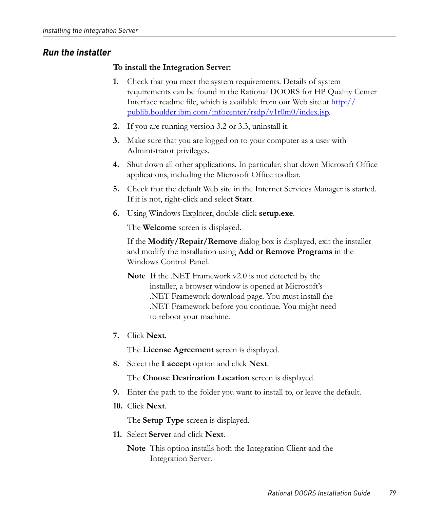### <span id="page-88-0"></span>*Run the installer*

#### **To install the Integration Server:**

- **1.** Check that you meet the system requirements. Details of system requirements can be found in the Rational DOORS for HP Quality Center Interface readme file, which is available from our Web site at http:// publib.boulder.ibm.com/infocenter/rsdp/v1r0m0/index.jsp.
- **2.** If you are running version 3.2 or 3.3, uninstall it.
- **3.** Make sure that you are logged on to your computer as a user with Administrator privileges.
- **4.** Shut down all other applications. In particular, shut down Microsoft Office applications, including the Microsoft Office toolbar.
- **5.** Check that the default Web site in the Internet Services Manager is started. If it is not, right-click and select **Start**.
- **6.** Using Windows Explorer, double-click **setup.exe**.

The **Welcome** screen is displayed.

If the **Modify/Repair/Remove** dialog box is displayed, exit the installer and modify the installation using **Add or Remove Programs** in the Windows Control Panel.

- **Note** If the .NET Framework v2.0 is not detected by the installer, a browser window is opened at Microsoft's .NET Framework download page. You must install the .NET Framework before you continue. You might need to reboot your machine.
- **7.** Click **Next**.

The **License Agreement** screen is displayed.

**8.** Select the **I accept** option and click **Next**.

The **Choose Destination Location** screen is displayed.

- **9.** Enter the path to the folder you want to install to, or leave the default.
- **10.** Click **Next**.

The **Setup Type** screen is displayed.

**11.** Select **Server** and click **Next**.

**Note** This option installs both the Integration Client and the Integration Server.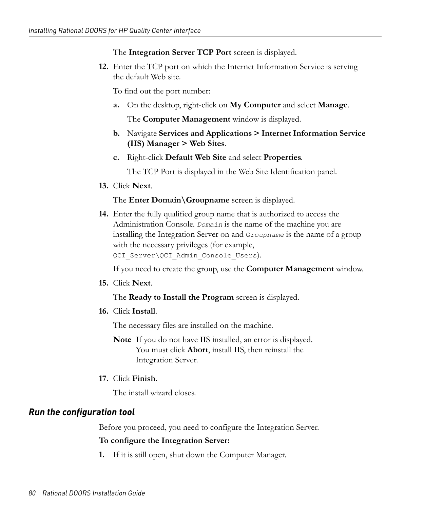The **Integration Server TCP Port** screen is displayed.

<span id="page-89-1"></span>**12.** Enter the TCP port on which the Internet Information Service is serving the default Web site.

To find out the port number:

**a.** On the desktop, right-click on **My Computer** and select **Manage**.

The **Computer Management** window is displayed.

- **b.** Navigate **Services and Applications > Internet Information Service (IIS) Manager > Web Sites**.
- **c.** Right-click **Default Web Site** and select **Properties**.

The TCP Port is displayed in the Web Site Identification panel.

**13.** Click **Next**.

The **Enter Domain\Groupname** screen is displayed.

<span id="page-89-0"></span>**14.** Enter the fully qualified group name that is authorized to access the Administration Console. *Domain* is the name of the machine you are installing the Integration Server on and G*roupname* is the name of a group with the necessary privileges (for example,

QCI Server\QCI Admin Console Users).

If you need to create the group, use the **Computer Management** window.

**15.** Click **Next**.

The **Ready to Install the Program** screen is displayed.

**16.** Click **Install**.

The necessary files are installed on the machine.

- **Note** If you do not have IIS installed, an error is displayed. You must click **Abort**, install IIS, then reinstall the Integration Server.
- **17.** Click **Finish**.

The install wizard closes.

### *Run the configuration tool*

Before you proceed, you need to configure the Integration Server.

#### **To configure the Integration Server:**

**1.** If it is still open, shut down the Computer Manager.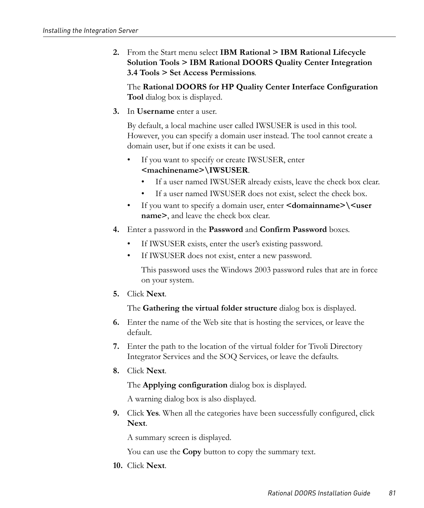**2.** From the Start menu select **IBM Rational > IBM Rational Lifecycle Solution Tools > IBM Rational DOORS Quality Center Integration 3.4 Tools > Set Access Permissions**.

The **Rational DOORS for HP Quality Center Interface Configuration Tool** dialog box is displayed.

**3.** In **Username** enter a user.

By default, a local machine user called IWSUSER is used in this tool. However, you can specify a domain user instead. The tool cannot create a domain user, but if one exists it can be used.

- If you want to specify or create IWSUSER, enter **<machinename>\IWSUSER**.
	- If a user named IWSUSER already exists, leave the check box clear.
	- If a user named IWSUSER does not exist, select the check box.
- If you want to specify a domain user, enter **<domainname>\ <user name>**, and leave the check box clear.
- **4.** Enter a password in the **Password** and **Confirm Password** boxes.
	- If IWSUSER exists, enter the user's existing password.
	- If IWSUSER does not exist, enter a new password.

This password uses the Windows 2003 password rules that are in force on your system.

**5.** Click **Next**.

The **Gathering the virtual folder structure** dialog box is displayed.

- **6.** Enter the name of the Web site that is hosting the services, or leave the default.
- **7.** Enter the path to the location of the virtual folder for Tivoli Directory Integrator Services and the SOQ Services, or leave the defaults.
- **8.** Click **Next**.

The **Applying configuration** dialog box is displayed.

A warning dialog box is also displayed.

**9.** Click **Yes**. When all the categories have been successfully configured, click **Next**.

A summary screen is displayed.

You can use the **Copy** button to copy the summary text.

**10.** Click **Next**.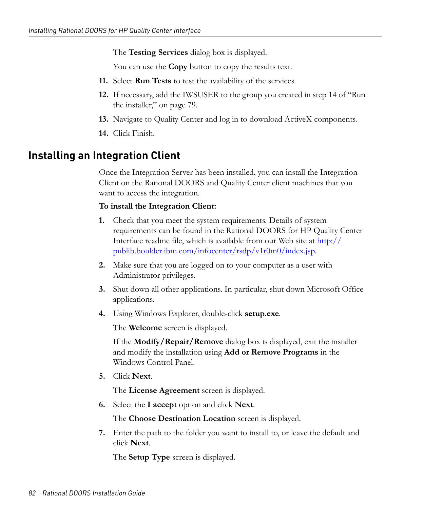The **Testing Services** dialog box is displayed.

You can use the **Copy** button to copy the results text.

- **11.** Select **Run Tests** to test the availability of the services.
- **12.** If necessary, add the IWSUSER to the group you created in [step 14](#page-89-0) of ["Run](#page-88-0)  [the installer," on page 79](#page-88-0).
- **13.** Navigate to Quality Center and log in to download ActiveX components.
- **14.** Click Finish.

## <span id="page-91-0"></span>**Installing an Integration Client**

Once the Integration Server has been installed, you can install the Integration Client on the Rational DOORS and Quality Center client machines that you want to access the integration.

#### **To install the Integration Client:**

- **1.** Check that you meet the system requirements. Details of system requirements can be found in the Rational DOORS for HP Quality Center Interface readme file, which is available from our Web site at http:// publib.boulder.ibm.com/infocenter/rsdp/v1r0m0/index.jsp.
- **2.** Make sure that you are logged on to your computer as a user with Administrator privileges.
- **3.** Shut down all other applications. In particular, shut down Microsoft Office applications.
- **4.** Using Windows Explorer, double-click **setup.exe**.

The **Welcome** screen is displayed.

If the **Modify/Repair/Remove** dialog box is displayed, exit the installer and modify the installation using **Add or Remove Programs** in the Windows Control Panel.

**5.** Click **Next**.

The **License Agreement** screen is displayed.

**6.** Select the **I accept** option and click **Next**.

The **Choose Destination Location** screen is displayed.

**7.** Enter the path to the folder you want to install to, or leave the default and click **Next**.

The **Setup Type** screen is displayed.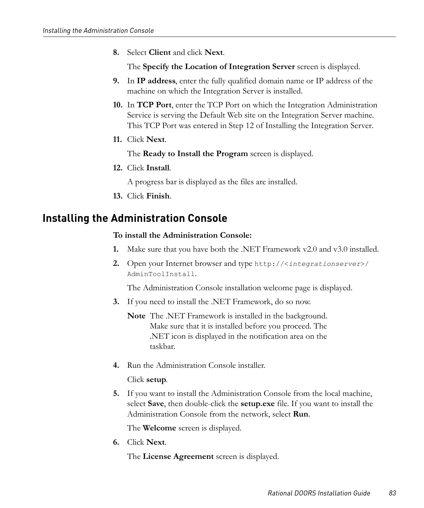**8.** Select **Client** and click **Next**.

The **Specify the Location of Integration Server** screen is displayed.

- **9.** In **IP address**, enter the fully qualified domain name or IP address of the machine on which the Integration Server is installed.
- **10.** In **TCP Port**, enter the TCP Port on which the Integration Administration Service is serving the Default Web site on the Integration Server machine. This TCP Port was entered in [Step 12](#page-89-1) of [Installing the Integration Server](#page-87-3).
- **11.** Click **Next**.

The **Ready to Install the Program** screen is displayed.

**12.** Click **Install**.

A progress bar is displayed as the files are installed.

**13.** Click **Finish**.

### <span id="page-92-0"></span>**Installing the Administration Console**

#### **To install the Administration Console:**

- **1.** Make sure that you have both the .NET Framework v2.0 and v3.0 installed.
- **2.** Open your Internet browser and type http://<*integrationserver*>/ AdminToolInstall.

The Administration Console installation welcome page is displayed.

- **3.** If you need to install the .NET Framework, do so now.
	- **Note** The .NET Framework is installed in the background. Make sure that it is installed before you proceed. The .NET icon is displayed in the notification area on the taskbar.
- **4.** Run the Administration Console installer.

Click **setup**.

**5.** If you want to install the Administration Console from the local machine, select **Save**, then double-click the **setup.exe** file. If you want to install the Administration Console from the network, select **Run**.

The **Welcome** screen is displayed.

**6.** Click **Next**.

The **License Agreement** screen is displayed.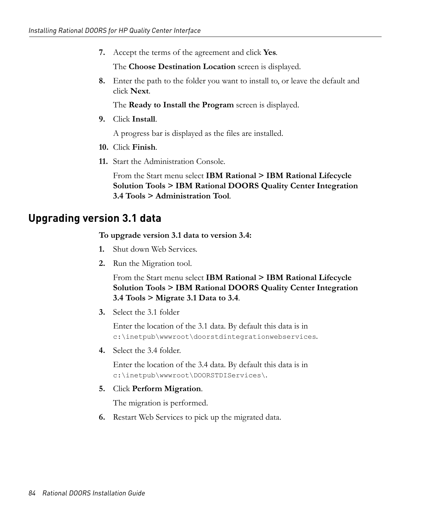**7.** Accept the terms of the agreement and click **Yes**.

The **Choose Destination Location** screen is displayed.

**8.** Enter the path to the folder you want to install to, or leave the default and click **Next**.

The **Ready to Install the Program** screen is displayed.

**9.** Click **Install**.

A progress bar is displayed as the files are installed.

- **10.** Click **Finish**.
- **11.** Start the Administration Console.

From the Start menu select **IBM Rational > IBM Rational Lifecycle Solution Tools > IBM Rational DOORS Quality Center Integration 3.4 Tools > Administration Tool**.

## <span id="page-93-0"></span>**Upgrading version 3.1 data**

**To upgrade version 3.1 data to version 3.4:**

- **1.** Shut down Web Services.
- **2.** Run the Migration tool.

From the Start menu select **IBM Rational > IBM Rational Lifecycle Solution Tools > IBM Rational DOORS Quality Center Integration 3.4 Tools > Migrate 3.1 Data to 3.4**.

**3.** Select the 3.1 folder

Enter the location of the 3.1 data. By default this data is in c:\inetpub\wwwroot\doorstdintegrationwebservices.

**4.** Select the 3.4 folder.

Enter the location of the 3.4 data. By default this data is in c:\inetpub\wwwroot\DOORSTDIServices\.

**5.** Click **Perform Migration**.

The migration is performed.

**6.** Restart Web Services to pick up the migrated data.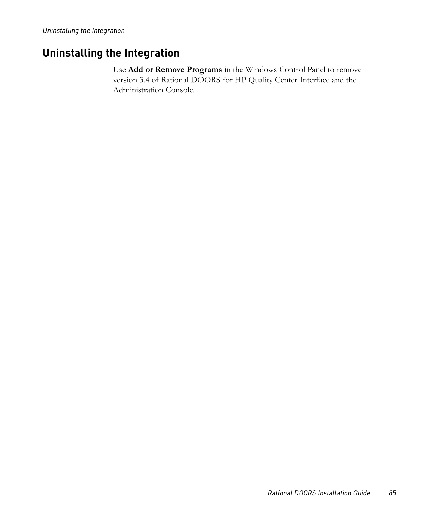## <span id="page-94-0"></span>**Uninstalling the Integration**

Use **Add or Remove Programs** in the Windows Control Panel to remove version 3.4 of Rational DOORS for HP Quality Center Interface and the Administration Console.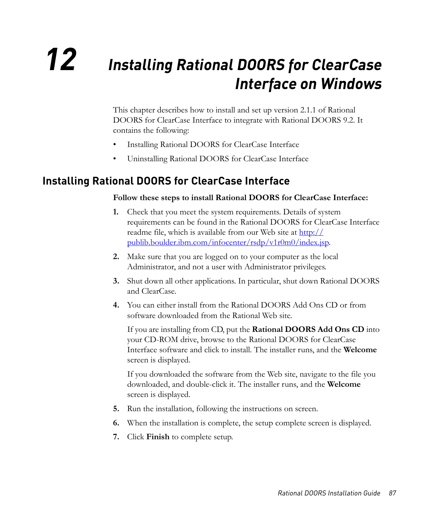## *12 Installing Rational DOORS for ClearCase Interface on Windows*

This chapter describes how to install and set up version 2.1.1 of Rational DOORS for ClearCase Interface to integrate with Rational DOORS 9.2. It contains the following:

- [Installing Rational DOORS for ClearCase Interface](#page-96-0)
- [Uninstalling Rational DOORS for ClearCase Interface](#page-97-0)

## <span id="page-96-0"></span>**Installing Rational DOORS for ClearCase Interface**

#### **Follow these steps to install Rational DOORS for ClearCase Interface:**

- **1.** Check that you meet the system requirements. Details of system requirements can be found in the Rational DOORS for ClearCase Interface readme file, which is available from our Web site at http:// publib.boulder.ibm.com/infocenter/rsdp/v1r0m0/index.jsp.
- **2.** Make sure that you are logged on to your computer as the local Administrator, and not a user with Administrator privileges.
- **3.** Shut down all other applications. In particular, shut down Rational DOORS and ClearCase.
- **4.** You can either install from the Rational DOORS Add Ons CD or from software downloaded from the Rational Web site.

If you are installing from CD, put the **Rational DOORS Add Ons CD** into your CD-ROM drive, browse to the Rational DOORS for ClearCase Interface software and click to install. The installer runs, and the **Welcome** screen is displayed.

If you downloaded the software from the Web site, navigate to the file you downloaded, and double-click it. The installer runs, and the **Welcome** screen is displayed.

- **5.** Run the installation, following the instructions on screen.
- **6.** When the installation is complete, the setup complete screen is displayed.
- **7.** Click **Finish** to complete setup.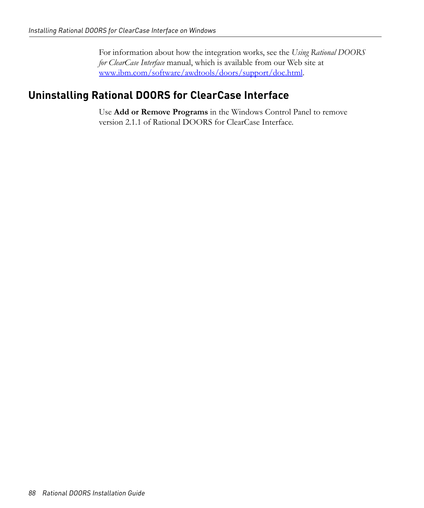For information about how the integration works, see the *Using Rational DOORS for ClearCase Interface* manual, which is available from our Web site at www.ibm.com/software/awdtools/doors/support/doc.html.

## <span id="page-97-0"></span>**Uninstalling Rational DOORS for ClearCase Interface**

Use **Add or Remove Programs** in the Windows Control Panel to remove version 2.1.1 of Rational DOORS for ClearCase Interface.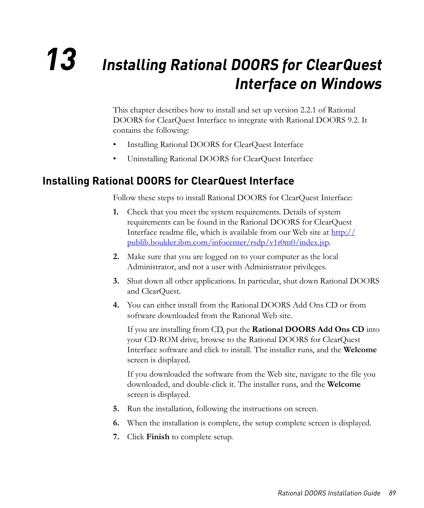# *13 Installing Rational DOORS for ClearQuest Interface on Windows*

This chapter describes how to install and set up version 2.2.1 of Rational DOORS for ClearQuest Interface to integrate with Rational DOORS 9.2. It contains the following:

- [Installing Rational DOORS for ClearQuest Interface](#page-98-0)
- [Uninstalling Rational DOORS for ClearQuest Interface](#page-99-0)

## <span id="page-98-0"></span>**Installing Rational DOORS for ClearQuest Interface**

Follow these steps to install Rational DOORS for ClearQuest Interface:

- **1.** Check that you meet the system requirements. Details of system requirements can be found in the Rational DOORS for ClearQuest Interface readme file, which is available from our Web site at http:// publib.boulder.ibm.com/infocenter/rsdp/v1r0m0/index.jsp.
- **2.** Make sure that you are logged on to your computer as the local Administrator, and not a user with Administrator privileges.
- **3.** Shut down all other applications. In particular, shut down Rational DOORS and ClearQuest.
- **4.** You can either install from the Rational DOORS Add Ons CD or from software downloaded from the Rational Web site.

If you are installing from CD, put the **Rational DOORS Add Ons CD** into your CD-ROM drive, browse to the Rational DOORS for ClearQuest Interface software and click to install. The installer runs, and the **Welcome** screen is displayed.

If you downloaded the software from the Web site, navigate to the file you downloaded, and double-click it. The installer runs, and the **Welcome** screen is displayed.

- **5.** Run the installation, following the instructions on screen.
- **6.** When the installation is complete, the setup complete screen is displayed.
- **7.** Click **Finish** to complete setup.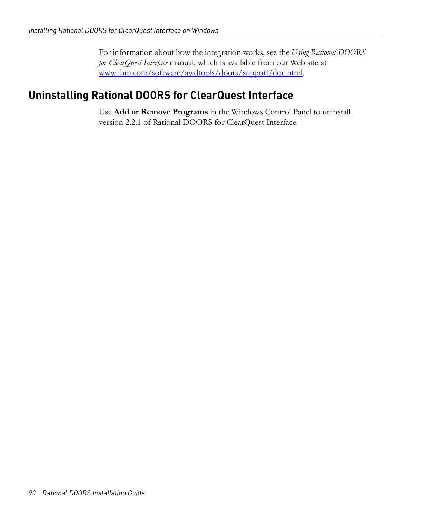For information about how the integration works, see the *Using Rational DOORS for ClearQuest Interface* manual, which is available from our Web site at www.ibm.com/software/awdtools/doors/support/doc.html.

## <span id="page-99-0"></span>**Uninstalling Rational DOORS for ClearQuest Interface**

Use **Add or Remove Programs** in the Windows Control Panel to uninstall version 2.2.1 of Rational DOORS for ClearQuest Interface.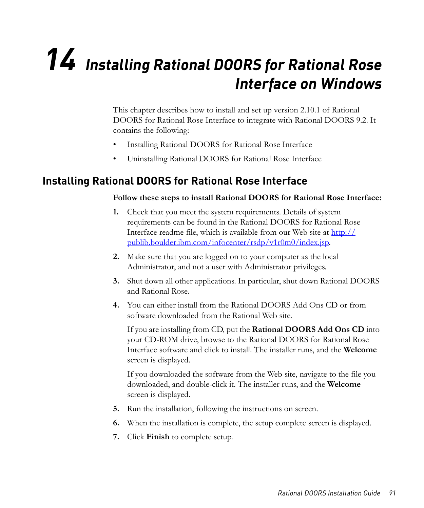## *14 Installing Rational DOORS for Rational Rose Interface on Windows*

This chapter describes how to install and set up version 2.10.1 of Rational DOORS for Rational Rose Interface to integrate with Rational DOORS 9.2. It contains the following:

- [Installing Rational DOORS for Rational Rose Interface](#page-100-0)
- [Uninstalling Rational DOORS for Rational Rose Interface](#page-101-0)

## <span id="page-100-0"></span>**Installing Rational DOORS for Rational Rose Interface**

#### **Follow these steps to install Rational DOORS for Rational Rose Interface:**

- **1.** Check that you meet the system requirements. Details of system requirements can be found in the Rational DOORS for Rational Rose Interface readme file, which is available from our Web site at http:// publib.boulder.ibm.com/infocenter/rsdp/v1r0m0/index.jsp.
- **2.** Make sure that you are logged on to your computer as the local Administrator, and not a user with Administrator privileges.
- **3.** Shut down all other applications. In particular, shut down Rational DOORS and Rational Rose.
- **4.** You can either install from the Rational DOORS Add Ons CD or from software downloaded from the Rational Web site.

If you are installing from CD, put the **Rational DOORS Add Ons CD** into your CD-ROM drive, browse to the Rational DOORS for Rational Rose Interface software and click to install. The installer runs, and the **Welcome** screen is displayed.

If you downloaded the software from the Web site, navigate to the file you downloaded, and double-click it. The installer runs, and the **Welcome** screen is displayed.

- **5.** Run the installation, following the instructions on screen.
- **6.** When the installation is complete, the setup complete screen is displayed.
- **7.** Click **Finish** to complete setup.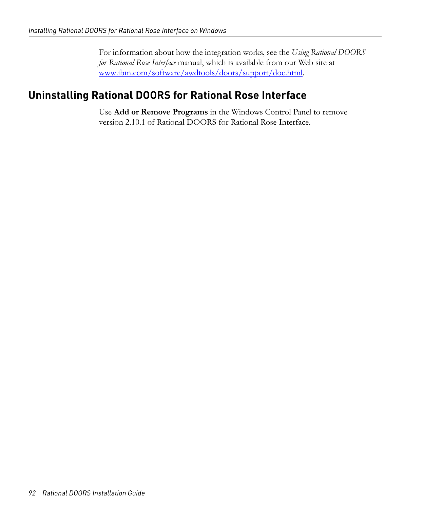For information about how the integration works, see the *Using Rational DOORS for Rational Rose Interface* manual, which is available from our Web site at www.ibm.com/software/awdtools/doors/support/doc.html.

## <span id="page-101-0"></span>**Uninstalling Rational DOORS for Rational Rose Interface**

Use **Add or Remove Programs** in the Windows Control Panel to remove version 2.10.1 of Rational DOORS for Rational Rose Interface.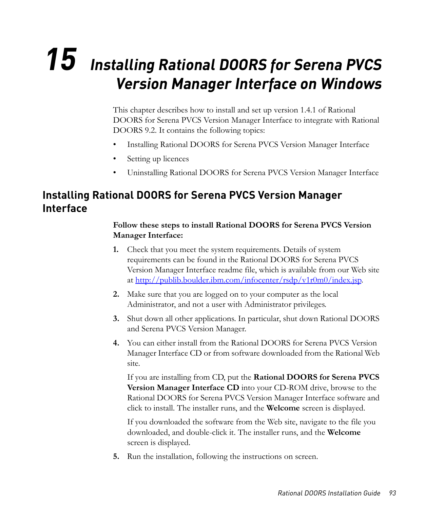## *15 Installing Rational DOORS for Serena PVCS Version Manager Interface on Windows*

This chapter describes how to install and set up version 1.4.1 of Rational DOORS for Serena PVCS Version Manager Interface to integrate with Rational DOORS 9.2. It contains the following topics:

- [Installing Rational DOORS for Serena PVCS Version Manager Interface](#page-102-0)
- [Setting up licences](#page-103-0)
- [Uninstalling Rational DOORS for Serena PVCS Version Manager Interface](#page-103-1)

## <span id="page-102-0"></span>**Installing Rational DOORS for Serena PVCS Version Manager Interface**

#### **Follow these steps to install Rational DOORS for Serena PVCS Version Manager Interface:**

- **1.** Check that you meet the system requirements. Details of system requirements can be found in the Rational DOORS for Serena PVCS Version Manager Interface readme file, which is available from our Web site at http://publib.boulder.ibm.com/infocenter/rsdp/v1r0m0/index.jsp.
- **2.** Make sure that you are logged on to your computer as the local Administrator, and not a user with Administrator privileges.
- **3.** Shut down all other applications. In particular, shut down Rational DOORS and Serena PVCS Version Manager.
- **4.** You can either install from the Rational DOORS for Serena PVCS Version Manager Interface CD or from software downloaded from the Rational Web site.

If you are installing from CD, put the **Rational DOORS for Serena PVCS Version Manager Interface CD** into your CD-ROM drive, browse to the Rational DOORS for Serena PVCS Version Manager Interface software and click to install. The installer runs, and the **Welcome** screen is displayed.

If you downloaded the software from the Web site, navigate to the file you downloaded, and double-click it. The installer runs, and the **Welcome** screen is displayed.

**5.** Run the installation, following the instructions on screen.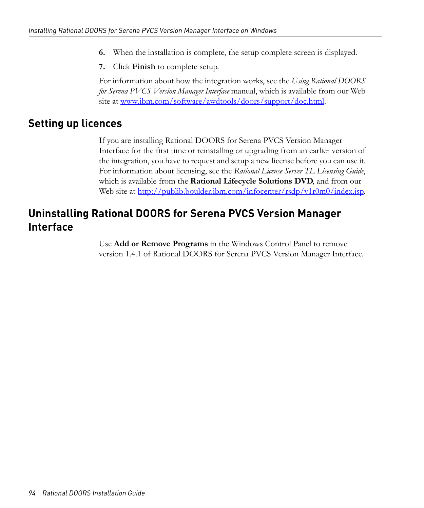- **6.** When the installation is complete, the setup complete screen is displayed.
- **7.** Click **Finish** to complete setup.

For information about how the integration works, see the *Using Rational DOORS for Serena PVCS Version Manager Interface* manual, which is available from our Web site at www.ibm.com/software/awdtools/doors/support/doc.html.

## <span id="page-103-0"></span>**Setting up licences**

If you are installing Rational DOORS for Serena PVCS Version Manager Interface for the first time or reinstalling or upgrading from an earlier version of the integration, you have to request and setup a new license before you can use it. For information about licensing, see the *Rational License Server TL Licensing Guide*, which is available from the **Rational Lifecycle Solutions DVD**, and from our Web site at http://publib.boulder.ibm.com/infocenter/rsdp/v1r0m0/index.jsp.

## <span id="page-103-1"></span>**Uninstalling Rational DOORS for Serena PVCS Version Manager Interface**

Use **Add or Remove Programs** in the Windows Control Panel to remove version 1.4.1 of Rational DOORS for Serena PVCS Version Manager Interface.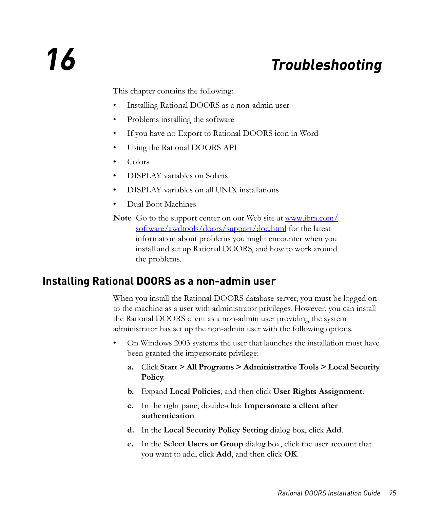# *16 Troubleshooting*

This chapter contains the following:

- [Installing Rational DOORS as a non-admin user](#page-104-0)
- [Problems installing the software](#page-105-0)
- [If you have no Export to Rational DOORS icon in Word](#page-105-1)
- [Using the Rational DOORS API](#page-106-1)
- [Colors](#page-106-2)
- [DISPLAY variables on Solaris](#page-106-3)
- [DISPLAY variables on all UNIX installations](#page-106-4)
- [Dual Boot Machines](#page-106-0)
- **Note** Go to the support center on our Web site at <u>www.ibm.com/</u> software/awdtools/doors/support/doc.html for the latest information about problems you might encounter when you install and set up Rational DOORS, and how to work around the problems.

## <span id="page-104-0"></span>**Installing Rational DOORS as a non-admin user**

When you install the Rational DOORS database server, you must be logged on to the machine as a user with administrator privileges. However, you can install the Rational DOORS client as a non-admin user providing the system administrator has set up the non-admin user with the following options.

- On Windows 2003 systems the user that launches the installation must have been granted the impersonate privilege:
	- **a.** Click **Start > All Programs > Administrative Tools > Local Security Policy**.
	- **b.** Expand **Local Policies**, and then click **User Rights Assignment**.
	- **c.** In the right pane, double-click **Impersonate a client after authentication**.
	- **d.** In the **Local Security Policy Setting** dialog box, click **Add**.
	- **e.** In the **Select Users or Group** dialog box, click the user account that you want to add, click **Add**, and then click **OK**.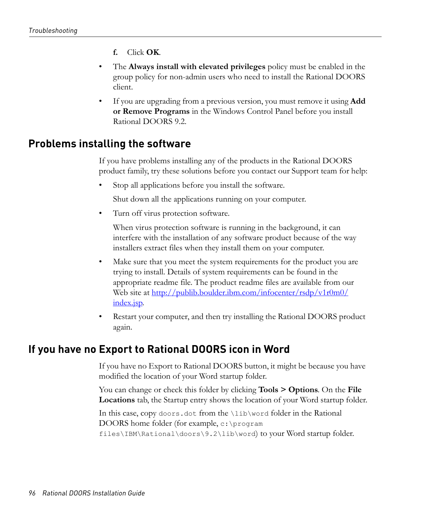- **f.** Click **OK**.
- The **Always install with elevated privileges** policy must be enabled in the group policy for non-admin users who need to install the Rational DOORS client.
- If you are upgrading from a previous version, you must remove it using **Add or Remove Programs** in the Windows Control Panel before you install Rational DOORS 9.2.

### <span id="page-105-0"></span>**Problems installing the software**

If you have problems installing any of the products in the Rational DOORS product family, try these solutions before you contact our Support team for help:

Stop all applications before you install the software.

Shut down all the applications running on your computer.

• Turn off virus protection software.

When virus protection software is running in the background, it can interfere with the installation of any software product because of the way installers extract files when they install them on your computer.

- Make sure that you meet the system requirements for the product you are trying to install. Details of system requirements can be found in the appropriate readme file. The product readme files are available from our Web site at http://publib.boulder.ibm.com/infocenter/rsdp/v1r0m0/ index.jsp.
- Restart your computer, and then try installing the Rational DOORS product again.

## <span id="page-105-1"></span>**If you have no Export to Rational DOORS icon in Word**

If you have no Export to Rational DOORS button, it might be because you have modified the location of your Word startup folder.

You can change or check this folder by clicking **Tools > Options**. On the **File Locations** tab, the Startup entry shows the location of your Word startup folder.

In this case, copy doors.dot from the \lib\word folder in the Rational DOORS home folder (for example, c:\program files\IBM\Rational\doors\9.2\lib\word) to your Word startup folder.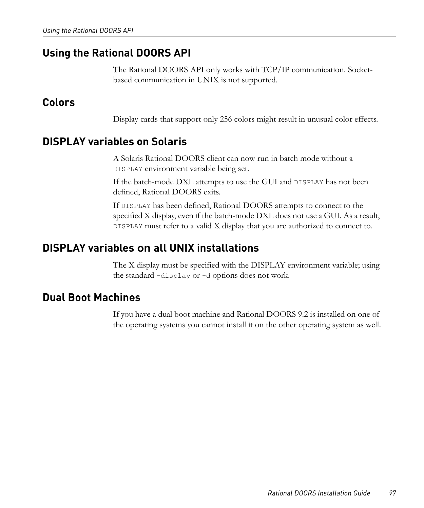## <span id="page-106-1"></span>**Using the Rational DOORS API**

The Rational DOORS API only works with TCP/IP communication. Socketbased communication in UNIX is not supported.

## <span id="page-106-2"></span>**Colors**

Display cards that support only 256 colors might result in unusual color effects.

## <span id="page-106-3"></span>**DISPLAY variables on Solaris**

A Solaris Rational DOORS client can now run in batch mode without a DISPLAY environment variable being set.

If the batch-mode DXL attempts to use the GUI and DISPLAY has not been defined, Rational DOORS exits.

If DISPLAY has been defined, Rational DOORS attempts to connect to the specified X display, even if the batch-mode DXL does not use a GUI. As a result, DISPLAY must refer to a valid X display that you are authorized to connect to.

## <span id="page-106-4"></span>**DISPLAY variables on all UNIX installations**

The X display must be specified with the DISPLAY environment variable; using the standard -display or -d options does not work.

## <span id="page-106-0"></span>**Dual Boot Machines**

If you have a dual boot machine and Rational DOORS 9.2 is installed on one of the operating systems you cannot install it on the other operating system as well.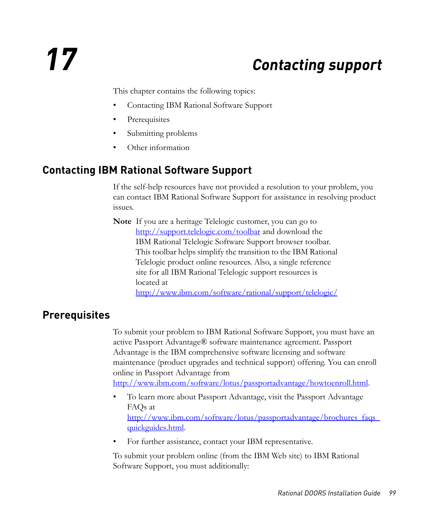## *17 Contacting support*

This chapter contains the following topics:

- [Contacting IBM Rational Software Support](#page-108-0)
- **[Prerequisites](#page-108-1)**
- [Submitting problems](#page-109-0)
- <span id="page-108-2"></span>• [Other information](#page-111-0)

#### <span id="page-108-0"></span>**Contacting IBM Rational Software Support**

If the self-help resources have not provided a resolution to your problem, you can contact IBM Rational Software Support for assistance in resolving product issues.

**Note** If you are a heritage Telelogic customer, you can go to http://support.telelogic.com/toolbar and download the IBM Rational Telelogic Software Support browser toolbar. This toolbar helps simplify the transition to the IBM Rational Telelogic product online resources. Also, a single reference site for all IBM Rational Telelogic support resources is located at

http://www.ibm.com/software/rational/support/telelogic/

#### <span id="page-108-1"></span>**Prerequisites**

To submit your problem to IBM Rational Software Support, you must have an active Passport Advantage® software maintenance agreement. Passport Advantage is the IBM comprehensive software licensing and software maintenance (product upgrades and technical support) offering. You can enroll online in Passport Advantage from

http://www.ibm.com/software/lotus/passportadvantage/howtoenroll.html.

- To learn more about Passport Advantage, visit the Passport Advantage FAQs at http://www.ibm.com/software/lotus/passportadvantage/brochures\_faqs\_ quickguides.html.
- For further assistance, contact your IBM representative.

To submit your problem online (from the IBM Web site) to IBM Rational Software Support, you must additionally: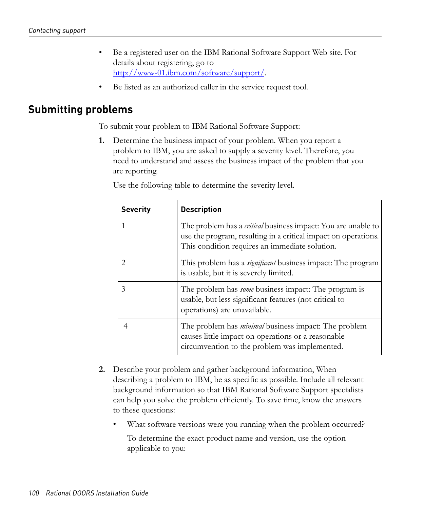- Be a registered user on the IBM Rational Software Support Web site. For details about registering, go to http://www-01.ibm.com/software/support/.
- Be listed as an authorized caller in the service request tool.

#### <span id="page-109-0"></span>**Submitting problems**

To submit your problem to IBM Rational Software Support:

**1.** Determine the business impact of your problem. When you report a problem to IBM, you are asked to supply a severity level. Therefore, you need to understand and assess the business impact of the problem that you are reporting.

Use the following table to determine the severity level.

| <b>Severity</b>               | <b>Description</b>                                                                                                                                                                       |
|-------------------------------|------------------------------------------------------------------------------------------------------------------------------------------------------------------------------------------|
| 1                             | The problem has a <i>critical</i> business impact: You are unable to<br>use the program, resulting in a critical impact on operations.<br>This condition requires an immediate solution. |
| $\mathfrak{D}_{\mathfrak{p}}$ | This problem has a <i>significant</i> business impact: The program<br>is usable, but it is severely limited.                                                                             |
| 3                             | The problem has <i>some</i> business impact: The program is<br>usable, but less significant features (not critical to<br>operations) are unavailable.                                    |
|                               | The problem has <i>minimal</i> business impact: The problem<br>causes little impact on operations or a reasonable<br>circumvention to the problem was implemented.                       |

- **2.** Describe your problem and gather background information, When describing a problem to IBM, be as specific as possible. Include all relevant background information so that IBM Rational Software Support specialists can help you solve the problem efficiently. To save time, know the answers to these questions:
	- What software versions were you running when the problem occurred?

To determine the exact product name and version, use the option applicable to you: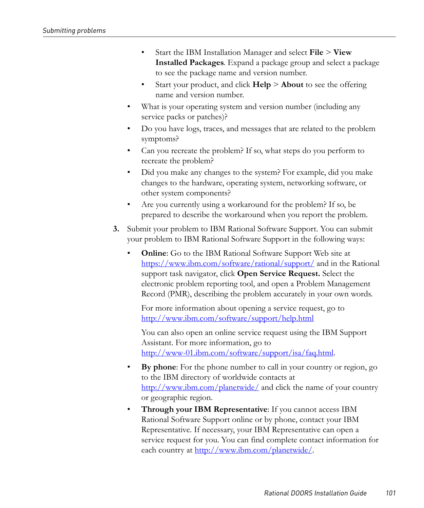- Start the IBM Installation Manager and select **File** > **View Installed Packages**. Expand a package group and select a package to see the package name and version number.
- Start your product, and click **Help** > **About** to see the offering name and version number.
- What is your operating system and version number (including any service packs or patches)?
- Do you have logs, traces, and messages that are related to the problem symptoms?
- Can you recreate the problem? If so, what steps do you perform to recreate the problem?
- Did you make any changes to the system? For example, did you make changes to the hardware, operating system, networking software, or other system components?
- Are you currently using a workaround for the problem? If so, be prepared to describe the workaround when you report the problem.
- **3.** Submit your problem to IBM Rational Software Support. You can submit your problem to IBM Rational Software Support in the following ways:
	- **Online**: Go to the IBM Rational Software Support Web site at https://www.ibm.com/software/rational/support/ and in the Rational support task navigator, click **Open Service Request.** Select the electronic problem reporting tool, and open a Problem Management Record (PMR), describing the problem accurately in your own words.

For more information about opening a service request, go to http://www.ibm.com/software/support/help.html

You can also open an online service request using the IBM Support Assistant. For more information, go to http://www-01.ibm.com/software/support/isa/faq.html.

- **By phone**: For the phone number to call in your country or region, go to the IBM directory of worldwide contacts at http://www.ibm.com/planetwide/ and click the name of your country or geographic region.
- **Through your IBM Representative:** If you cannot access IBM Rational Software Support online or by phone, contact your IBM Representative. If necessary, your IBM Representative can open a service request for you. You can find complete contact information for each country at http://www.ibm.com/planetwide/.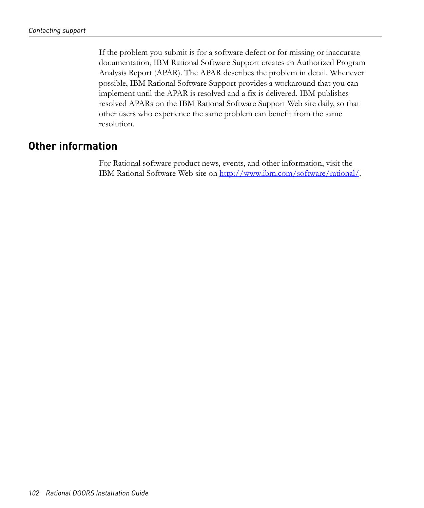If the problem you submit is for a software defect or for missing or inaccurate documentation, IBM Rational Software Support creates an Authorized Program Analysis Report (APAR). The APAR describes the problem in detail. Whenever possible, IBM Rational Software Support provides a workaround that you can implement until the APAR is resolved and a fix is delivered. IBM publishes resolved APARs on the IBM Rational Software Support Web site daily, so that other users who experience the same problem can benefit from the same resolution.

#### <span id="page-111-0"></span>**Other information**

For Rational software product news, events, and other information, visit the IBM Rational Software Web site on http://www.ibm.com/software/rational/.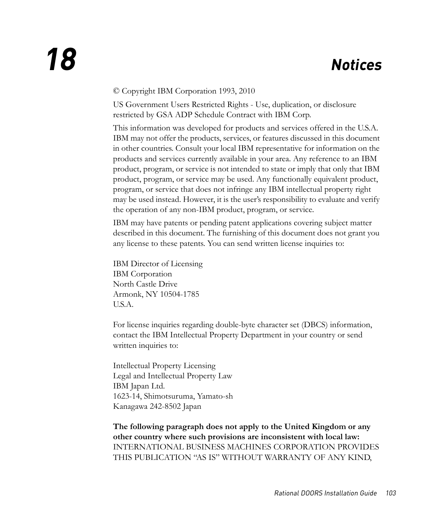# *18 Notices*

© Copyright IBM Corporation 1993, 2010

US Government Users Restricted Rights - Use, duplication, or disclosure restricted by GSA ADP Schedule Contract with IBM Corp.

This information was developed for products and services offered in the U.S.A. IBM may not offer the products, services, or features discussed in this document in other countries. Consult your local IBM representative for information on the products and services currently available in your area. Any reference to an IBM product, program, or service is not intended to state or imply that only that IBM product, program, or service may be used. Any functionally equivalent product, program, or service that does not infringe any IBM intellectual property right may be used instead. However, it is the user's responsibility to evaluate and verify the operation of any non-IBM product, program, or service.

IBM may have patents or pending patent applications covering subject matter described in this document. The furnishing of this document does not grant you any license to these patents. You can send written license inquiries to:

IBM Director of Licensing IBM Corporation North Castle Drive Armonk, NY 10504-1785 U.S.A.

For license inquiries regarding double-byte character set (DBCS) information, contact the IBM Intellectual Property Department in your country or send written inquiries to:

Intellectual Property Licensing Legal and Intellectual Property Law IBM Japan Ltd. 1623-14, Shimotsuruma, Yamato-sh Kanagawa 242-8502 Japan

**The following paragraph does not apply to the United Kingdom or any other country where such provisions are inconsistent with local law:** INTERNATIONAL BUSINESS MACHINES CORPORATION PROVIDES THIS PUBLICATION "AS IS" WITHOUT WARRANTY OF ANY KIND,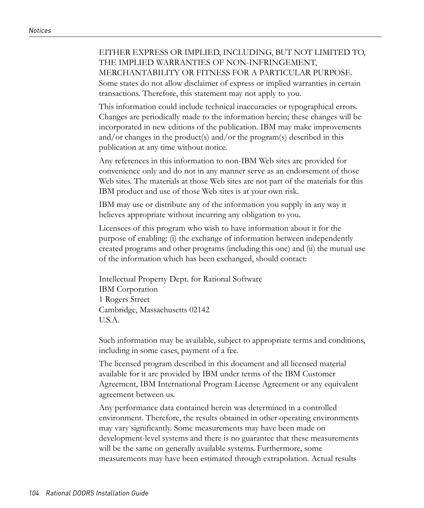#### EITHER EXPRESS OR IMPLIED, INCLUDING, BUT NOT LIMITED TO, THE IMPLIED WARRANTIES OF NON-INFRINGEMENT, MERCHANTABILITY OR FITNESS FOR A PARTICULAR PURPOSE. Some states do not allow disclaimer of express or implied warranties in certain

transactions. Therefore, this statement may not apply to you. This information could include technical inaccuracies or typographical errors. Changes are periodically made to the information herein; these changes will be incorporated in new editions of the publication. IBM may make improvements and/or changes in the product(s) and/or the program(s) described in this publication at any time without notice.

Any references in this information to non-IBM Web sites are provided for convenience only and do not in any manner serve as an endorsement of those Web sites. The materials at those Web sites are not part of the materials for this IBM product and use of those Web sites is at your own risk.

IBM may use or distribute any of the information you supply in any way it believes appropriate without incurring any obligation to you.

Licensees of this program who wish to have information about it for the purpose of enabling: (i) the exchange of information between independently created programs and other programs (including this one) and (ii) the mutual use of the information which has been exchanged, should contact:

Intellectual Property Dept. for Rational Software IBM Corporation 1 Rogers Street Cambridge, Massachusetts 02142 U.S.A.

Such information may be available, subject to appropriate terms and conditions, including in some cases, payment of a fee.

The licensed program described in this document and all licensed material available for it are provided by IBM under terms of the IBM Customer Agreement, IBM International Program License Agreement or any equivalent agreement between us.

Any performance data contained herein was determined in a controlled environment. Therefore, the results obtained in other operating environments may vary significantly. Some measurements may have been made on development-level systems and there is no guarantee that these measurements will be the same on generally available systems. Furthermore, some measurements may have been estimated through extrapolation. Actual results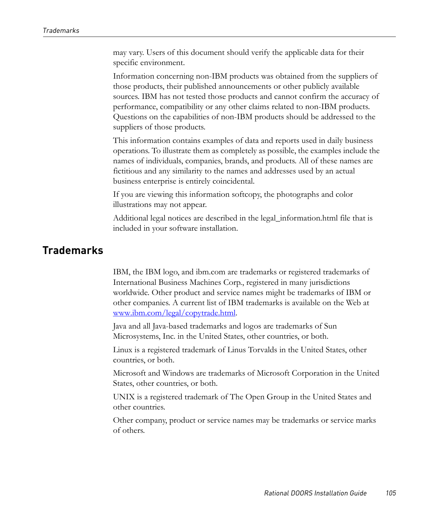may vary. Users of this document should verify the applicable data for their specific environment.

Information concerning non-IBM products was obtained from the suppliers of those products, their published announcements or other publicly available sources. IBM has not tested those products and cannot confirm the accuracy of performance, compatibility or any other claims related to non-IBM products. Questions on the capabilities of non-IBM products should be addressed to the suppliers of those products.

This information contains examples of data and reports used in daily business operations. To illustrate them as completely as possible, the examples include the names of individuals, companies, brands, and products. All of these names are fictitious and any similarity to the names and addresses used by an actual business enterprise is entirely coincidental.

If you are viewing this information softcopy, the photographs and color illustrations may not appear.

Additional legal notices are described in the legal\_information.html file that is included in your software installation.

#### **Trademarks**

IBM, the IBM logo, and ibm.com are trademarks or registered trademarks of International Business Machines Corp., registered in many jurisdictions worldwide. Other product and service names might be trademarks of IBM or other companies. A current list of IBM trademarks is available on the Web at www.ibm.com/legal/copytrade.html.

Java and all Java-based trademarks and logos are trademarks of Sun Microsystems, Inc. in the United States, other countries, or both.

Linux is a registered trademark of Linus Torvalds in the United States, other countries, or both.

Microsoft and Windows are trademarks of Microsoft Corporation in the United States, other countries, or both.

UNIX is a registered trademark of The Open Group in the United States and other countries.

Other company, product or service names may be trademarks or service marks of others.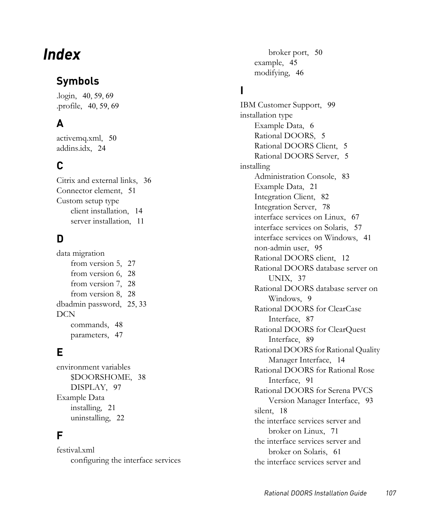### *Index*

#### **Symbols**

.login, [40](#page-49-0), [59](#page-68-0), [69](#page-78-0) .profile, [40](#page-49-1), [59](#page-68-1), [69](#page-78-1)

#### **A**

activemq.xml, [50](#page-59-0) addins.idx, [24](#page-33-0)

#### **C**

Citrix and external links, [36](#page-45-0) Connector element, [51](#page-60-0) Custom setup type client installation, [14](#page-23-0) server installation, [11](#page-20-0)

#### **D**

data migration from version 5, [27](#page-36-0) from version 6, [28](#page-37-0) from version 7, [28](#page-37-0) from version 8, [28](#page-37-0) dbadmin password, [25](#page-34-0), [33](#page-42-0) DCN commands, [48](#page-57-0) parameters, [47](#page-56-0)

#### **E**

environment variables \$DOORSHOME, [38](#page-47-0) DISPLAY, [97](#page-106-0) Example Data installing, [21](#page-30-0) uninstalling, [22](#page-31-0)

#### **F**

festival.xml configuring the interface services

broker port, [50](#page-59-0) example, [45](#page-54-0) modifying, [46](#page-55-0)

#### **I**

IBM Customer Support, [99](#page-108-2) installation type Example Data, [6](#page-15-0) Rational DOORS, [5](#page-14-0) Rational DOORS Client, [5](#page-14-1) Rational DOORS Server, [5](#page-14-2) installing Administration Console, [83](#page-92-0) Example Data, [21](#page-30-0) Integration Client, [82](#page-91-0) Integration Server, [78](#page-87-0) interface services on Linux, [67](#page-76-0) interface services on Solaris, [57](#page-66-0) interface services on Windows, [41](#page-50-0) non-admin user, [95](#page-104-0) Rational DOORS client, [12](#page-21-0) Rational DOORS database server on UNIX, [37](#page-46-0) Rational DOORS database server on Windows, [9](#page-18-0) Rational DOORS for ClearCase Interface, [87](#page-96-0) Rational DOORS for ClearQuest Interface, [89](#page-98-0) Rational DOORS for Rational Quality Manager Interface, [14](#page-23-0) Rational DOORS for Rational Rose Interface, [91](#page-100-0) Rational DOORS for Serena PVCS Version Manager Interface, [93](#page-102-0) silent, [18](#page-27-0) the interface services server and broker on Linux, [71](#page-80-0) the interface services server and broker on Solaris, [61](#page-70-0) the interface services server and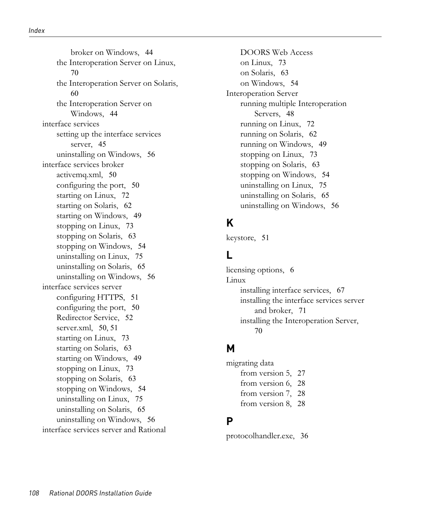broker on Windows, [44](#page-53-0) the Interoperation Server on Linux, [70](#page-79-0) the Interoperation Server on Solaris, [60](#page-69-0) the Interoperation Server on Windows, [44](#page-53-1) interface services setting up the interface services server, [45](#page-54-1) uninstalling on Windows, [56](#page-65-0) interface services broker activemq.xml, [50](#page-59-0) configuring the port, [50](#page-59-0) starting on Linux, [72](#page-81-0) starting on Solaris, [62](#page-71-0) starting on Windows, [49](#page-58-0) stopping on Linux, [73](#page-82-0) stopping on Solaris, [63](#page-72-0) stopping on Windows, [54](#page-63-0) uninstalling on Linux, [75](#page-84-0) uninstalling on Solaris, [65](#page-74-0) uninstalling on Windows, [56](#page-65-1) interface services server configuring HTTPS, [51](#page-60-0) configuring the port, [50](#page-59-1) Redirector Service, [52](#page-61-0) server.xml, [50](#page-59-1), [51](#page-60-0) starting on Linux, [73](#page-82-1) starting on Solaris, [63](#page-72-1) starting on Windows, [49](#page-58-1) stopping on Linux, [73](#page-82-2) stopping on Solaris, [63](#page-72-2) stopping on Windows, [54](#page-63-1) uninstalling on Linux, [75](#page-84-1) uninstalling on Solaris, [65](#page-74-1) uninstalling on Windows, [56](#page-65-2) interface services server and Rational

DOORS Web Access on Linux, [73](#page-82-3) on Solaris, [63](#page-72-3) on Windows, [54](#page-63-2) Interoperation Server running multiple Interoperation Servers, [48](#page-57-1) running on Linux, [72](#page-81-1) running on Solaris, [62](#page-71-1) running on Windows, [49](#page-58-2) stopping on Linux, [73](#page-82-4) stopping on Solaris, [63](#page-72-4) stopping on Windows, [54](#page-63-3) uninstalling on Linux, [75](#page-84-2) uninstalling on Solaris, [65](#page-74-2) uninstalling on Windows, [56](#page-65-3)

#### **K**

keystore, [51](#page-60-0)

#### **L**

licensing options, [6](#page-15-1) Linux installing interface services, [67](#page-76-0) installing the interface services server and broker, [71](#page-80-0) installing the Interoperation Server, [70](#page-79-0)

#### **M**

migrating data from version 5, [27](#page-36-0) from version 6, [28](#page-37-0) from version 7, [28](#page-37-0) from version 8, [28](#page-37-0)

#### **P**

protocolhandler.exe, [36](#page-45-0)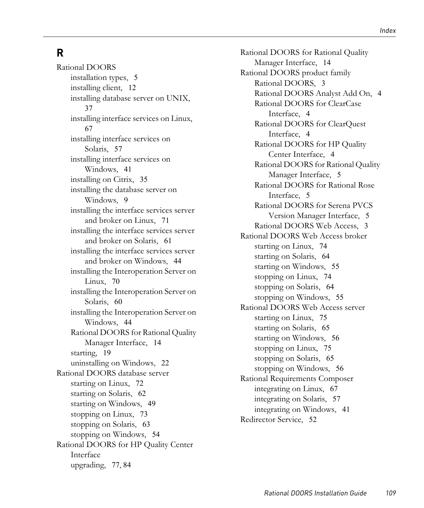#### **R**

Rational DOORS installation types, [5](#page-14-0) installing client, [12](#page-21-0) installing database server on UNIX, [37](#page-46-0) installing interface services on Linux, [67](#page-76-0) installing interface services on Solaris, [57](#page-66-0) installing interface services on Windows, [41](#page-50-0) installing on Citrix, [35](#page-44-0) installing the database server on Windows, [9](#page-18-0) installing the interface services server and broker on Linux, [71](#page-80-0) installing the interface services server and broker on Solaris, [61](#page-70-0) installing the interface services server and broker on Windows, [44](#page-53-0) installing the Interoperation Server on Linux, [70](#page-79-0) installing the Interoperation Server on Solaris, [60](#page-69-0) installing the Interoperation Server on Windows, [44](#page-53-1) Rational DOORS for Rational Quality Manager Interface, [14](#page-23-0) starting, [19](#page-28-0) uninstalling on Windows, [22](#page-31-0) Rational DOORS database server starting on Linux, [72](#page-81-2) starting on Solaris, [62](#page-71-2) starting on Windows, [49](#page-58-3) stopping on Linux, [73](#page-82-5) stopping on Solaris, [63](#page-72-5) stopping on Windows, [54](#page-63-4) Rational DOORS for HP Quality Center Interface upgrading, [77](#page-86-0), [84](#page-93-0)

Rational DOORS for Rational Quality Manager Interface, [14](#page-23-0) Rational DOORS product family Rational DOORS, [3](#page-12-0) Rational DOORS Analyst Add On, [4](#page-13-0) Rational DOORS for ClearCase Interface, [4](#page-13-1) Rational DOORS for ClearQuest Interface, [4](#page-13-2) Rational DOORS for HP Quality Center Interface, [4](#page-13-3) Rational DOORS for Rational Quality Manager Interface, [5](#page-14-3) Rational DOORS for Rational Rose Interface, [5](#page-14-4) Rational DOORS for Serena PVCS Version Manager Interface, [5](#page-14-5) Rational DOORS Web Access, [3](#page-12-1) Rational DOORS Web Access broker starting on Linux, [74](#page-83-0) starting on Solaris, [64](#page-73-0) starting on Windows, [55](#page-64-0) stopping on Linux, [74](#page-83-1) stopping on Solaris, [64](#page-73-1) stopping on Windows, [55](#page-64-1) Rational DOORS Web Access server starting on Linux, [75](#page-84-3) starting on Solaris, [65](#page-74-3) starting on Windows, [56](#page-65-4) stopping on Linux, [75](#page-84-4) stopping on Solaris, [65](#page-74-4) stopping on Windows, [56](#page-65-5) Rational Requirements Composer integrating on Linux, [67](#page-76-0) integrating on Solaris, [57](#page-66-0) integrating on Windows, [41](#page-50-0) Redirector Service, [52](#page-61-0)